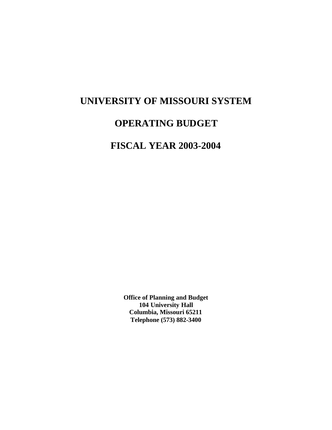# **UNIVERSITY OF MISSOURI SYSTEM**

# **OPERATING BUDGET**

# **FISCAL YEAR 2003-2004**

**Office of Planning and Budget 104 University Hall Columbia, Missouri 65211 Telephone (573) 882-3400**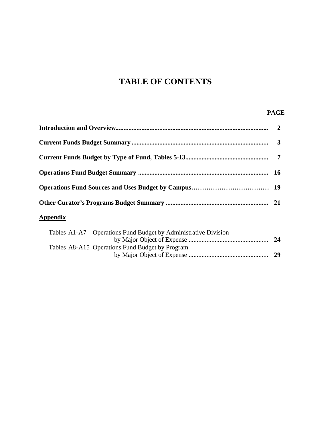# **TABLE OF CONTENTS**

## **PAGE**

| <b>Appendix</b> |  |
|-----------------|--|
|                 |  |

|  | Tables A1-A7 Operations Fund Budget by Administrative Division |      |
|--|----------------------------------------------------------------|------|
|  |                                                                | - 24 |
|  | Tables A8-A15 Operations Fund Budget by Program                |      |
|  |                                                                | -29  |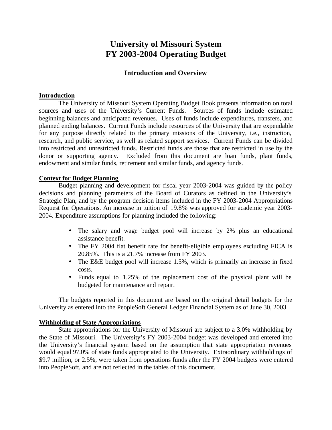# **University of Missouri System FY 2003-2004 Operating Budget**

## **Introduction and Overview**

## **Introduction**

The University of Missouri System Operating Budget Book presents information on total sources and uses of the University's Current Funds. Sources of funds include estimated beginning balances and anticipated revenues. Uses of funds include expenditures, transfers, and planned ending balances. Current Funds include resources of the University that are expendable for any purpose directly related to the primary missions of the University, i.e., instruction, research, and public service, as well as related support services. Current Funds can be divided into restricted and unrestricted funds. Restricted funds are those that are restricted in use by the donor or supporting agency. Excluded from this document are loan funds, plant funds, endowment and similar funds, retirement and similar funds, and agency funds.

## **Context for Budget Planning**

Budget planning and development for fiscal year 2003-2004 was guided by the policy decisions and planning parameters of the Board of Curators as defined in the University's Strategic Plan, and by the program decision items included in the FY 2003-2004 Appropriations Request for Operations. An increase in tuition of 19.8% was approved for academic year 2003- 2004. Expenditure assumptions for planning included the following:

- The salary and wage budget pool will increase by 2% plus an educational assistance benefit.
- The FY 2004 flat benefit rate for benefit-eligible employees excluding FICA is 20.85%. This is a 21.7% increase from FY 2003.
- The E&E budget pool will increase 1.5%, which is primarily an increase in fixed costs.
- Funds equal to 1.25% of the replacement cost of the physical plant will be budgeted for maintenance and repair.

The budgets reported in this document are based on the original detail budgets for the University as entered into the PeopleSoft General Ledger Financial System as of June 30, 2003.

## **Withholding of State Appropriations**

State appropriations for the University of Missouri are subject to a 3.0% withholding by the State of Missouri. The University's FY 2003-2004 budget was developed and entered into the University's financial system based on the assumption that state appropriation revenues would equal 97.0% of state funds appropriated to the University. Extraordinary withholdings of \$9.7 million, or 2.5%, were taken from operations funds after the FY 2004 budgets were entered into PeopleSoft, and are not reflected in the tables of this document.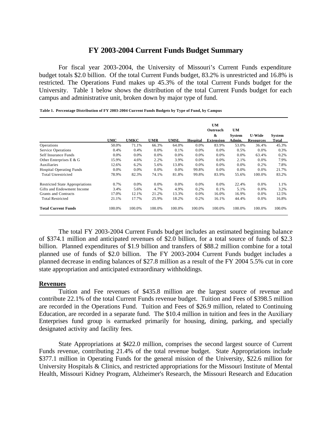# **FY 2003-2004 Current Funds Budget Summary**

For fiscal year 2003-2004, the University of Missouri's Current Funds expenditure budget totals \$2.0 billion. Of the total Current Funds budget, 83.2% is unrestricted and 16.8% is restricted. The Operations Fund makes up 45.3% of the total Current Funds budget for the University. Table 1 below shows the distribution of the total Current Funds budget for each campus and administrative unit, broken down by major type of fund.

| Table 1. Percentage Distribution of FY 2003-2004 Current Funds Budgets by Type of Fund, by Campus |  |
|---------------------------------------------------------------------------------------------------|--|
|---------------------------------------------------------------------------------------------------|--|

|                                        | UMC     | UMKC    | <b>UMR</b> | <b>UMSL</b> | <b>Hospital</b> | <b>UM</b><br>Outreach<br>&<br><b>Extension</b> | <b>UM</b><br><b>System</b><br>Admin. | <b>U-Wide</b><br><b>Resources</b> | <b>System</b><br>Total |
|----------------------------------------|---------|---------|------------|-------------|-----------------|------------------------------------------------|--------------------------------------|-----------------------------------|------------------------|
| Operations                             | 50.0%   | 71.1%   | 66.3%      | 64.0%       | 0.0%            | 83.9%                                          | 53.0%                                | 36.4%                             | 45.3%                  |
| Service Operations                     | 0.4%    | 0.4%    | 0.0%       | 0.1%        | 0.0%            | 0.0%                                           | 0.5%                                 | 0.0%                              | 0.3%                   |
| Self Insurance Funds                   | $0.0\%$ | $0.0\%$ | 0.0%       | 0.0%        | 0.0%            | 0.0%                                           | 0.0%                                 | 63.4%                             | 0.2%                   |
| Other Enterprises E & G                | 15.9%   | 4.6%    | 2.2%       | 3.9%        | 0.0%            | 0.0%                                           | 2.1%                                 | 0.0%                              | 7.9%                   |
| Auxiliaries                            | 12.6%   | 6.2%    | 5.6%       | 13.8%       | $0.0\%$         | 0.0%                                           | 0.0%                                 | 0.2%                              | 7.8%                   |
| <b>Hospital Operating Funds</b>        | 0.0%    | 0.0%    | 0.0%       | 0.0%        | 99.8%           | 0.0%                                           | 0.0%                                 | 0.0%                              | 21.7%                  |
| <b>Total Unrestricted</b>              | 78.9%   | 82.3%   | 74.1%      | 81.8%       | 99.8%           | 83.9%                                          | 55.6%                                | 100.0%                            | 83.2%                  |
| <b>Restricted State Appropriations</b> | 0.7%    | 0.0%    | 0.0%       | 0.0%        | 0.0%            | 0.0%                                           | 22.4%                                | 0.0%                              | 1.1%                   |
| Gifts and Endowment Income             | 3.4%    | 5.6%    | 4.7%       | 4.9%        | 0.2%            | 0.1%                                           | 5.1%                                 | 0.0%                              | 3.2%                   |
| Grants and Contracts                   | 17.0%   | 12.1%   | 21.2%      | 13.3%       | 0.0%            | 16.0%                                          | 16.9%                                | 0.0%                              | 12.5%                  |
| <b>Total Restricted</b>                | 21.1%   | 17.7%   | 25.9%      | 18.2%       | 0.2%            | 16.1%                                          | 44.4%                                | 0.0%                              | 16.8%                  |
| <b>Total Current Funds</b>             | 100.0%  | 100.0%  | 100.0%     | 100.0%      | 100.0%          | 100.0%                                         | 100.0%                               | 100.0%                            | 100.0%                 |

The total FY 2003-2004 Current Funds budget includes an estimated beginning balance of \$374.1 million and anticipated revenues of \$2.0 billion, for a total source of funds of \$2.3 billion. Planned expenditures of \$1.9 billion and transfers of \$88.2 million combine for a total planned use of funds of \$2.0 billion. The FY 2003-2004 Current Funds budget includes a planned decrease in ending balances of \$27.8 million as a result of the FY 2004 5.5% cut in core state appropriation and anticipated extraordinary withholdings.

## **Revenues**

Tuition and Fee revenues of \$435.8 million are the largest source of revenue and contribute 22.1% of the total Current Funds revenue budget. Tuition and Fees of \$398.5 million are recorded in the Operations Fund. Tuition and Fees of \$26.9 million, related to Continuing Education, are recorded in a separate fund. The \$10.4 million in tuition and fees in the Auxiliary Enterprises fund group is earmarked primarily for housing, dining, parking, and specially designated activity and facility fees.

State Appropriations at \$422.0 million, comprises the second largest source of Current Funds revenue, contributing 21.4% of the total revenue budget. State Appropriations include \$377.1 million in Operating Funds for the general mission of the University, \$22.6 million for University Hospitals & Clinics, and restricted appropriations for the Missouri Institute of Mental Health, Missouri Kidney Program, Alzheimer's Research, the Missouri Research and Education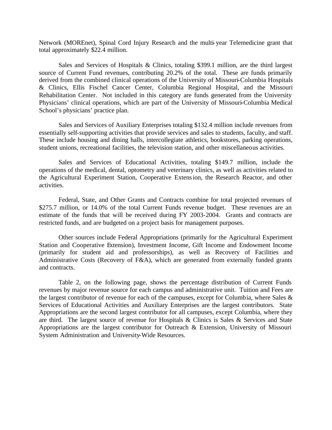Network (MOREnet), Spinal Cord Injury Research and the multi-year Telemedicine grant that total approximately \$22.4 million.

Sales and Services of Hospitals & Clinics, totaling \$399.1 million, are the third largest source of Current Fund revenues, contributing 20.2% of the total. These are funds primarily derived from the combined clinical operations of the University of Missouri-Columbia Hospitals & Clinics, Ellis Fischel Cancer Center, Columbia Regional Hospital, and the Missouri Rehabilitation Center. Not included in this category are funds generated from the University Physicians' clinical operations, which are part of the University of Missouri-Columbia Medical School's physicians' practice plan.

Sales and Services of Auxiliary Enterprises totaling \$132.4 million include revenues from essentially self-supporting activities that provide services and sales to students, faculty, and staff. These include housing and dining halls, intercollegiate athletics, bookstores, parking operations, student unions, recreational facilities, the television station, and other miscellaneous activities.

Sales and Services of Educational Activities, totaling \$149.7 million, include the operations of the medical, dental, optometry and veterinary clinics, as well as activities related to the Agricultural Experiment Station, Cooperative Extension, the Research Reactor, and other activities.

Federal, State, and Other Grants and Contracts combine for total projected revenues of \$275.7 million, or 14.0% of the total Current Funds revenue budget. These revenues are an estimate of the funds that will be received during FY 2003-2004. Grants and contracts are restricted funds, and are budgeted on a project basis for management purposes.

Other sources include Federal Appropriations (primarily for the Agricultural Experiment Station and Cooperative Extension), Investment Income, Gift Income and Endowment Income (primarily for student aid and professorships), as well as Recovery of Facilities and Administrative Costs (Recovery of F&A), which are generated from externally funded grants and contracts.

Table 2, on the following page, shows the percentage distribution of Current Funds revenues by major revenue source for each campus and administrative unit. Tuition and Fees are the largest contributor of revenue for each of the campuses, except for Columbia, where Sales & Services of Educational Activities and Auxiliary Enterprises are the largest contributors. State Appropriations are the second largest contributor for all campuses, except Columbia, where they are third. The largest source of revenue for Hospitals & Clinics is Sales & Services and State Appropriations are the largest contributor for Outreach & Extension, University of Missouri System Administration and University-Wide Resources.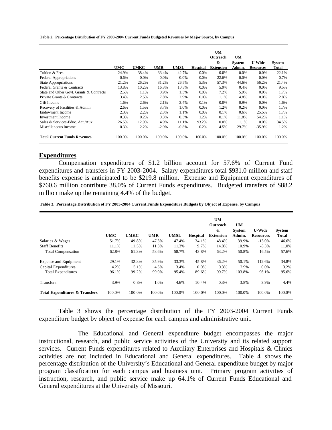**Table 2. Percentage Distribution of FY 2003-2004 Current Funds Budgeted Revenues by Major Source, by Campus**

|                                          |            |             |            |             |                 | UM<br>Outreach<br>& | <b>UM</b><br><b>System</b> | <b>U-Wide</b>    | <b>System</b> |
|------------------------------------------|------------|-------------|------------|-------------|-----------------|---------------------|----------------------------|------------------|---------------|
|                                          | <b>UMC</b> | <b>UMKC</b> | <b>UMR</b> | <b>UMSL</b> | <b>Hospital</b> | <b>Extension</b>    | Admin.                     | <b>Resources</b> | Total         |
| Tuition & Fees                           | 24.9%      | 38.4%       | 33.4%      | 42.7%       | $0.0\%$         | 0.0%                | 0.0%                       | 0.0%             | 22.1%         |
| Federal Appropriations                   | $0.6\%$    | $0.0\%$     | 0.0%       | 0.0%        | $0.0\%$         | 22.6%               | 0.0%                       | 0.0%             | 0.7%          |
| State Appropriations                     | 21.2%      | 26.2%       | 31.2%      | 26.5%       | 5.3%            | 57.3%               | 44.6%                      | 56.2%            | 21.4%         |
| Federal Grants & Contracts               | 13.8%      | 10.2%       | 16.3%      | 10.5%       | 0.0%            | 5.9%                | 0.4%                       | 0.0%             | 9.5%          |
| State and Other Govt. Grants & Contracts | 2.5%       | 1.1%        | 0.9%       | 1.3%        | $0.0\%$         | 7.2%                | 5.9%                       | 0.0%             | 1.7%          |
| Private Grants & Contracts               | 3.4%       | 2.5%        | 7.8%       | 2.9%        | 0.0%            | 1.1%                | 4.8%                       | 0.0%             | 2.8%          |
| Gift Income                              | 1.6%       | 2.6%        | 2.1%       | 3.4%        | 0.1%            | 0.0%                | 0.9%                       | 0.0%             | 1.6%          |
| Recovery of Facilities & Admin.          | 2.6%       | 1.5%        | 3.7%       | 1.0%        | 0.0%            | 1.2%                | 0.2%                       | 0.0%             | 1.7%          |
| Endowment Income                         | 2.3%       | 2.2%        | 2.3%       | 1.1%        | $0.0\%$         | 0.1%                | $0.6\%$                    | 25.5%            | 1.7%          |
| <b>Investment Income</b>                 | 0.3%       | 0.2%        | 0.3%       | 0.3%        | 1.2%            | 0.1%                | 11.8%                      | 54.2%            | 1.1%          |
| Sales & Services-Educ. Act./Aux.         | 26.5%      | 12.9%       | 4.9%       | 11.1%       | 93.2%           | 0.0%                | 1.1%                       | 0.0%             | 34.5%         |
| Miscellaneous Income                     | 0.3%       | 2.2%        | $-2.9\%$   | $-0.8%$     | 0.2%            | 4.5%                | 29.7%                      | $-35.9%$         | 1.2%          |
| <b>Total Current Funds Revenues</b>      | 100.0%     | 100.0%      | 100.0%     | 100.0%      | 100.0%          | 100.0%              | 100.0%                     | 100.0%           | 100.0%        |

## **Expenditures**

Compensation expenditures of \$1.2 billion account for 57.6% of Current Fund expenditures and transfers in FY 2003-2004. Salary expenditures total \$931.0 million and staff benefits expense is anticipated to be \$219.8 million. Expense and Equipment expenditures of \$760.6 million contribute 38.0% of Current Funds expenditures. Budgeted transfers of \$88.2 million make up the remaining 4.4% of the budget.

**Table 3. Percentage Distribution of FY 2003-2004 Current Funds Expenditure Budgets by Object of Expense, by Campus**

|                                           |            |             |            |             |          | <b>UM</b><br>Outreach<br>& | <b>UM</b><br><b>System</b> | <b>U-Wide</b>    | <b>System</b> |
|-------------------------------------------|------------|-------------|------------|-------------|----------|----------------------------|----------------------------|------------------|---------------|
|                                           | <b>UMC</b> | <b>UMKC</b> | <b>UMR</b> | <b>UMSL</b> | Hospital | <b>Extension</b>           | Admin.                     | <b>Resources</b> | Total         |
| Salaries & Wages                          | 51.7%      | 49.8%       | 47.3%      | 47.4%       | 34.1%    | 48.4%                      | 39.9%                      | $-13.0%$         | 46.6%         |
| <b>Staff Benefits</b>                     | 11.1%      | 11.5%       | 11.3%      | 11.3%       | 9.7%     | 14.8%                      | 10.9%                      | $-3.5%$          | 11.0%         |
| <b>Total Compensation</b>                 | 62.8%      | 61.3%       | 58.6%      | 58.7%       | 43.8%    | 63.2%                      | 50.8%                      | $-16.5%$         | 57.6%         |
| <b>Expense and Equipment</b>              | 29.1%      | 32.8%       | 35.9%      | 33.3%       | 45.8%    | 36.2%                      | 50.1%                      | 112.6%           | 34.8%         |
| Capital Expenditures                      | 4.2%       | 5.1%        | 4.5%       | 3.4%        | 0.0%     | 0.3%                       | 2.9%                       | $0.0\%$          | 3.2%          |
| <b>Total Expenditures</b>                 | 96.1%      | 99.2%       | 99.0%      | 95.4%       | 89.6%    | 99.7%                      | 103.8%                     | 96.1%            | 95.6%         |
| Transfers                                 | 3.9%       | 0.8%        | 1.0%       | 4.6%        | 10.4%    | 0.3%                       | $-3.8%$                    | 3.9%             | 4.4%          |
| <b>Total Expenditures &amp; Transfers</b> | 100.0%     | 100.0%      | 100.0%     | 100.0%      | 100.0%   | 100.0%                     | 100.0%                     | 100.0%           | 100.0%        |

Table 3 shows the percentage distribution of the FY 2003-2004 Current Funds expenditure budget by object of expense for each campus and administrative unit.

The Educational and General expenditure budget encompasses the major instructional, research, and public service activities of the University and its related support services. Current Funds expenditures related to Auxiliary Enterprises and Hospitals & Clinics activities are not included in Educational and General expenditures. Table 4 shows the percentage distribution of the University's Educational and General expenditure budget by major program classification for each campus and business unit. Primary program activities of instruction, research, and public service make up 64.1% of Current Funds Educational and General expenditures at the University of Missouri.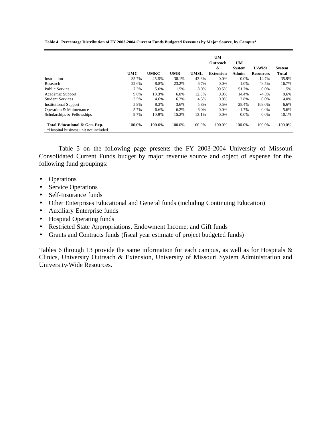**Table 4. Percentage Distribution of FY 2003-2004 Current Funds Budgeted Revenues by Major Source, by Campus\***

|                                                                        |            |             |            |             | <b>UM</b><br>Outreach | UM            |                  |               |
|------------------------------------------------------------------------|------------|-------------|------------|-------------|-----------------------|---------------|------------------|---------------|
|                                                                        |            |             |            |             | &                     | <b>System</b> | <b>U-Wide</b>    | <b>System</b> |
|                                                                        | <b>UMC</b> | <b>UMKC</b> | <b>UMR</b> | <b>UMSL</b> | <b>Extension</b>      | Admin.        | <b>Resources</b> | Total         |
| Instruction                                                            | 35.7%      | 45.5%       | 38.1%      | 43.6%       | $0.0\%$               | 0.0%          | $-14.7%$         | 35.9%         |
| Research                                                               | 22.6%      | 8.8%        | 23.2%      | 6.7%        | $0.0\%$               | 1.0%          | $-48.5%$         | 16.7%         |
| Public Service                                                         | 7.3%       | 5.0%        | 1.5%       | 8.0%        | 99.5%                 | 51.7%         | $0.0\%$          | 11.5%         |
| Academic Support                                                       | 9.6%       | 10.3%       | 6.0%       | 12.3%       | 0.0%                  | 14.4%         | $-4.8%$          | 9.6%          |
| <b>Student Services</b>                                                | 3.5%       | 4.6%        | 6.2%       | 4.5%        | $0.0\%$               | 2.8%          | $0.0\%$          | 4.0%          |
| <b>Institutional Support</b>                                           | 5.9%       | 8.3%        | 3.6%       | 5.8%        | 0.5%                  | 28.4%         | 168.0%           | 6.6%          |
| Operation & Maintenance                                                | 5.7%       | 6.6%        | 6.2%       | 6.0%        | $0.0\%$               | 1.7%          | $0.0\%$          | 5.6%          |
| Scholarships & Fellowships                                             | 9.7%       | 10.9%       | 15.2%      | 13.1%       | $0.0\%$               | 0.0%          | $0.0\%$          | 10.1%         |
| Total Educational & Gen. Exp.<br>*Hospital business unit not included. | 100.0%     | 100.0%      | 100.0%     | 100.0%      | 100.0%                | 100.0%        | 100.0%           | 100.0%        |

Table 5 on the following page presents the FY 2003-2004 University of Missouri Consolidated Current Funds budget by major revenue source and object of expense for the following fund groupings:

- Operations
- Service Operations
- Self-Insurance funds
- Other Enterprises Educational and General funds (including Continuing Education)
- Auxiliary Enterprise funds
- Hospital Operating funds
- Restricted State Appropriations, Endowment Income, and Gift funds
- Grants and Contracts funds (fiscal year estimate of project budgeted funds)

Tables 6 through 13 provide the same information for each campus, as well as for Hospitals & Clinics, University Outreach & Extension, University of Missouri System Administration and University-Wide Resources.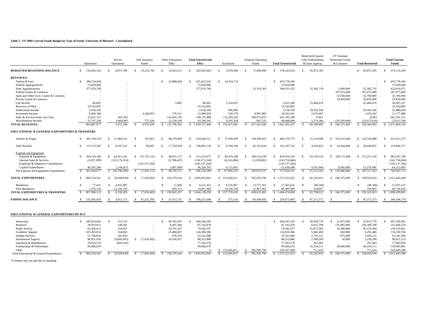#### **Table 5. FY 2004 Current Funds Budget by Type of Funds, University of Missouri - Consolidated**

 $\sim$ 

|                                                               |               | Operations  |               | Service<br>Operations |               | Self Insurance<br>Funds |    | Other Enterprises<br>E&G |     | <b>Total Unrestricted</b><br>E&G |     | <b>Auxiliaries</b> |    | <b>Hospital Operating</b><br>Funds |              | <b>Total Unrestricted</b> |               | <b>Restricted Expend</b><br>Gifts, Endowments<br>& State Approp |    | <b>FY Estimate</b><br><b>Restricted Grants</b><br>& Contracts |               | <b>Total Restricted</b> |     | <b>Total Current</b><br><b>Funds</b> |  |
|---------------------------------------------------------------|---------------|-------------|---------------|-----------------------|---------------|-------------------------|----|--------------------------|-----|----------------------------------|-----|--------------------|----|------------------------------------|--------------|---------------------------|---------------|-----------------------------------------------------------------|----|---------------------------------------------------------------|---------------|-------------------------|-----|--------------------------------------|--|
| <b>BUDGETED BEGINNING BALANCE</b>                             | -S            | 130,492.543 |               | 4.871.708             |               | 35,235,783              |    | 32,063,411               |     | 202,663,445                      |     | 3.978.589          |    | 71,600,000                         |              | 278,242,034               | S.            | 95,872,305                                                      |    |                                                               |               | 95,872,305              |     | 374,114,339                          |  |
| <b>REVENUES:</b>                                              |               |             |               |                       |               |                         |    |                          |     |                                  |     |                    |    |                                    |              |                           |               |                                                                 |    |                                                               |               |                         |     |                                      |  |
| Tuition & Fees                                                | S.            | 398.534.858 |               |                       |               |                         |    | 26,888,694               |     | 425, 423, 552                    | -S  | 10,354,714         |    |                                    | .S           | 435,778,266               |               |                                                                 |    |                                                               |               |                         |     | 435,778,266                          |  |
| <b>Federal Appropriations</b>                                 |               | 15,029,008  |               |                       |               |                         |    |                          |     | 15,029,008                       |     |                    |    |                                    |              | 15,029,008                |               |                                                                 |    |                                                               |               |                         |     | 15,029,008                           |  |
| State Appropriations                                          |               | 377,076,769 |               |                       |               |                         |    |                          |     | 377,076,769                      |     |                    |    | 22,554,583                         |              | 399.631.352               |               | 21,382,719                                                      |    | 1,000,000                                                     |               | 22,382,719              |     | 422,014,071                          |  |
| Federal Grants & Contracts                                    |               |             |               |                       |               |                         |    |                          |     |                                  |     |                    |    | $\overline{\phantom{a}}$           |              | $\sim$                    |               |                                                                 |    | 187,075,000                                                   |               | 187,075,000             |     | 187,075,000                          |  |
| State and Other Govt. Grants & Contracts                      |               |             |               |                       |               |                         |    |                          |     |                                  |     |                    |    |                                    |              |                           |               |                                                                 |    | 33,700,000                                                    |               | 33,700,000              |     | 33,700,000                           |  |
| Private Grants & Contracts                                    |               |             |               |                       |               |                         |    |                          |     |                                  |     |                    |    |                                    |              |                           |               |                                                                 |    | 54,950,000                                                    |               | 54,950,000              |     | 54,950,000                           |  |
| Gift Income                                                   |               | 86,001      |               |                       |               |                         |    | 3,000                    |     | 89,001                           |     | 5,334,207          |    |                                    |              | 5,423,208                 |               | 25,484,019                                                      |    |                                                               |               | 25,484,019              |     | 30,907,227                           |  |
| Recovery of F&A                                               |               | 33,543,893  |               |                       |               |                         |    |                          |     | 33,543,893                       |     |                    |    |                                    |              | 33,543,893                |               |                                                                 |    |                                                               |               |                         |     | 33,543,893                           |  |
| <b>Endowment Income</b>                                       |               | 2,618,100   |               |                       |               |                         |    |                          |     | 2.618.100                        |     | 900,000            |    |                                    |              | 3,518,100                 |               | 29,362,540                                                      |    |                                                               |               | 29.362.540              |     | 32,880,640                           |  |
| <b>Investment Income</b>                                      |               | 8,600,368   |               |                       |               | 4.204.055               |    | 176.511                  |     | 12,980,934                       |     | 528,178            |    | 4.991.909                          |              | 18,501,021                |               | 2.676.467                                                       |    |                                                               |               | 2.676.467               |     | 21,177,489                           |  |
| Sales & Services-Educ Act./Aux                                |               | 32,631,722  |               | 602.383               |               |                         |    | 116,491,783              |     | 149,725,888                      |     | 132,393,282        |    | 399,073,019                        |              | 681.192.189               |               | 8.963                                                           |    |                                                               |               | 8.963                   |     | 681,201,152                          |  |
| Miscellaneous Income                                          |               | 25,767,258  |               | 4.469.905             |               | 772,544                 |    | 12.230.594               |     | 43,240,301                       |     | 4.505.564          |    | 942.535                            |              | 48,688,400                |               | 5,274,384                                                       |    | (30.350.000)                                                  |               | (25.075.616)            |     | 23,612,784                           |  |
| <b>TOTAL REVENUES</b>                                         |               | 893,887,977 |               | 5.072.288             | -8            | 4.976.599               |    | 155,790,582              | -S. | 1.059,727,446                    |     | \$154,015,946      |    | 427,562,046                        | -8           | 1,641,305,437             |               | 84,189,093                                                      | S. | 246,375,000                                                   |               | \$ 330,564,093          |     | \$1.971.869.530                      |  |
| <b>EDUCATIONAL &amp; GENERAL EXPENDITURES &amp; TRANSFERS</b> |               |             |               |                       |               |                         |    |                          |     |                                  |     |                    |    |                                    |              |                           |               |                                                                 |    |                                                               |               |                         |     |                                      |  |
| Salaries & Wages                                              | S.            | 491.554.519 | s             | 37,484,235            |               | 325,663                 |    | 90.279.894               |     | 619.644.311                      | S   | 37,036,039         | S  | 149,590,425                        | $\mathbf{S}$ | 806,270,775               |               | 21.219.498                                                      |    | 103.525.000                                                   | -S            | 124,744,498             | -S  | 931,015,273                          |  |
| <b>Staff Benefits</b>                                         | <sup>\$</sup> | 113,315,945 |               | 9.335.216             | -S            | 90,047                  |    | 17.339.928               |     | 140.081.136                      | S   | 8.760.546          |    | 42.355.834                         | $\mathbf{S}$ | 191.197.516               | -S            | 4.204.855                                                       |    | 24,444,000                                                    | $\mathcal{L}$ | 28,648,855              | S.  | 219,846,371                          |  |
| <b>Expense and Equipment</b>                                  |               |             |               |                       |               |                         |    |                          |     |                                  |     |                    |    |                                    |              |                           |               |                                                                 |    |                                                               |               |                         |     |                                      |  |
| Expense & Equipment                                           | -S            | 264,326,186 | S             | 64,261,162            | S.            | 137,701,154             | -S | 48.931.175               |     | 515.219.677                      | -S  | 89,376,208         | S  | 206.314.338                        |              | 810.910.224               | \$.           | 62,530,516                                                      |    | 109,721,000                                                   | $\mathcal{S}$ | 172.251.516             |     | 983,161,740                          |  |
| Internal Sales & Services                                     |               | (3,207,389) |               | (123, 176, 324)       |               |                         |    | (3,788,447)              |     | (130, 172, 160)                  |     | (6,242,884)        |    | (5,339,801)                        |              | (141, 754, 846)           |               |                                                                 |    |                                                               |               |                         |     | (141, 754, 846)                      |  |
| Employer & Employee Contributions                             |               |             |               |                       |               | (145, 137, 266)         |    |                          |     | (145, 137, 266)                  |     |                    |    |                                    |              | (145, 137, 266)           |               |                                                                 |    |                                                               |               |                         |     | (145, 137, 266)                      |  |
| Capital Expenditures                                          |               | 40,545,280  |               | 2,166,873             |               |                         |    | 3,607,994                |     | 46,320,147                       |     | 4,715,901          |    |                                    |              | 51,036,048                |               | 4,591,046                                                       |    | 8,685,000                                                     |               | 13,276,046              |     | 64,312,095                           |  |
| Net Expense and Equipment Expenditures                        | -S            | 301,664,077 | -S.           | (56,748,289)          | -S            | (7, 436, 112)           | -8 | 48,750,722               | -8  | 286,230,398                      | -S. | 87,849,226         |    | 200,974,537                        | -8           | 575,054,161               |               | 67,121,563                                                      |    | \$118,406,000                                                 | <sup>\$</sup> | 185,527,563             | -S. | 760,581,723                          |  |
| <b>TOTAL EXPENDITURES</b>                                     | <sup>\$</sup> | 906.534.541 | S             | (9.928.838)           | -S            | (7.020.402)             | -S | 156,370,544              | S.  | 1.045.955.845                    |     | \$133,645,811      |    | 392,920,796                        | $\mathbf{S}$ | 1.572.522.452             | -S            | 92,545,916                                                      |    | \$ 246,375,000                                                | \$.           | 338,920,916             |     | \$1.911.443.368                      |  |
| Mandatory                                                     | $\mathcal{L}$ | 77,435      | S.            | 4,032,987             |               |                         | -S | 11,000                   |     | 4,121,422                        | -S  | 9,716,907          |    | 13,727,303                         | S            | 27,565,632                | $\mathcal{L}$ | (90, 500)                                                       |    |                                                               | £.            | (90, 500)               | -S  | 27,475,132                           |  |
| Non-Mandatory                                                 |               | 1,376,134   |               | 12,226,136            |               |                         |    | 459,713                  |     | 14,061,983                       |     | 14,356,700         |    | 31,967,302                         |              | 60.385.985                |               | 334,607                                                         |    |                                                               |               | 334,607                 |     | 60,720,592                           |  |
| <b>TOTAL EXPENDITURES &amp; TRANSFERS</b>                     | -S            | 907,988,110 | -S            | 6.330.285             | <sup>\$</sup> | (7.020.402)             | S. | 156,841,257              | -S  | 1.064.139.250                    |     | \$157,719,418      | £. | 438,615,401                        | $\mathbf{s}$ | 1,660,474,068             | £.            | 92,790,023                                                      | -S | 246,375,000                                                   | S.            | 339,165,023             | S.  | 1.999.639.091                        |  |
| <b>ENDING BALANCE</b>                                         |               | 116,392,410 | $\mathcal{L}$ | 3.613.711             | s.            | 47.232.784              | -S | 31,012,735               | -S  | 198,251,640                      | -S  | 275,118            | -8 | 60,546,645                         | -S           | 259,073,403               | -S            | 87,271,375                                                      |    |                                                               | S.            | 87, 271, 375            | S.  | 346, 344, 778                        |  |

#### **EDUCATIONAL & GENERAL EXPENDITURES BY PCS**

| Instruction                              | 349,610,644 | 153.735     |             | 94.781.825  | 444,546,204   |             |             | 444,545,203   | 30,938,778 | 21.875,000  | 52,813,778  | 497,358,981   |
|------------------------------------------|-------------|-------------|-------------|-------------|---------------|-------------|-------------|---------------|------------|-------------|-------------|---------------|
| Research                                 | 78,503,913  | 148,181     |             | 8.491.384   | 87,143,478    |             |             | 87,143,478    | 8,615,799  | 135,685,000 | 144,300,799 | 231.444.278   |
| Public Service                           | 63,366,613  | 154,507     |             | 10.761.437  | 74.282.557    |             |             | 74.282.557    | 25,873,304 | 59,380,000  | 85,253,304  | 159,535,861   |
| Academic Support                         | 103.263.814 | 184.965     |             | 23,490,607  | 126,939,386   |             |             | 126,939,386   | 5,841,400  | 450,000     | 6.291.400   | 133,230,786   |
| <b>Student Services</b>                  | 51,760,834  | 101.920     |             | 678.334     | 52,541,088    |             |             | 52,541,088    | 1,725,121  | 875,000     | 2,600,121   | 55,141,209    |
| <b>Institutional Support</b>             | 86,951,934  | (9,845,603) | (7,020,402) | 18,166,957  | 88,252,886    |             |             | 88,252,886    | 2,189,209  | 50,000      | 2,239,209   | 90,912,125    |
| Operation & Maintenance                  | 78,010,119  | (826, 543)  |             |             | 77,183,576    |             |             | 77,183,576    | 291,483    |             | 291,483     | 77,485,059    |
| Scholarships & Fellowships               | 95,066,670  |             |             |             | 95,066,670    |             |             | 95,066,670    | 16.359.211 | 28,060,000  | 44,419,211  | 139,485,881   |
| Other                                    |             |             |             |             |               | 133,645,811 | 392.920.796 | 526,567,608   | 711.610    |             | 711.610     | 526,849,188   |
| Total Educational & General Expenditures | 906.534.541 | 9,928,838   | 7.020.402)  | 156,370,544 | 1.045.955.845 | 133,645,811 | 392.920.796 | 1.572.522.452 | 92.545.916 | 246,375,000 | 338,920,916 | 1.911.443.368 |
|                                          |             |             |             |             |               |             |             |               |            |             |             |               |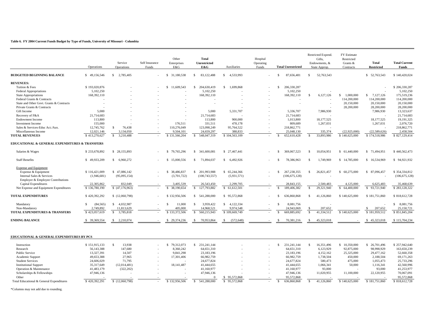#### **Table 6. FY 2004 Current Funds Budget by Type of Funds, University of Missouri - Columbia**

|                                                      | Operations     | Service<br>Operations  | Self Insurance<br>Funds | Other<br>Enterprises<br>E&G | Total<br><b>Unrestricted</b><br>E&G | Auxiliaries                 | Hospital<br>Operating<br>Funds | <b>Total Unrestricted</b>      | Restricted Expend.<br>Gifts,<br>Endowments, &<br>State Approp. | <b>FY Estimate</b><br>Restricted<br>Grants &<br>Contracts | <b>Total</b><br><b>Restricted</b> | <b>Total Current</b><br>Funds |
|------------------------------------------------------|----------------|------------------------|-------------------------|-----------------------------|-------------------------------------|-----------------------------|--------------------------------|--------------------------------|----------------------------------------------------------------|-----------------------------------------------------------|-----------------------------------|-------------------------------|
| <b>BUDGETED BEGINNING BALANCE</b>                    | \$49,156,546   | \$2.785.405            |                         | \$ 31,180,538               | $\mathbb{S}$<br>83,122,488          | $\mathcal{S}$<br>4.533.993  |                                | 87.656.481<br>$\mathcal{S}$    | -S<br>52,763,543                                               |                                                           | \$ 52,763,543                     | \$140,420,024                 |
| <b>REVENUES:</b>                                     |                |                        |                         |                             |                                     |                             |                                |                                |                                                                |                                                           |                                   |                               |
| Tuition & Fees                                       | \$193,020,876  |                        |                         | 11,609,543<br>S.            | 204,630,419<br>S                    | $\mathbb{S}$<br>1,699,868   |                                | 206,330,287<br>$\mathcal{S}$   |                                                                |                                                           |                                   | \$206,330,287                 |
| Federal Appropriations                               | 5,102,250      |                        |                         |                             | 5,102,250                           |                             |                                | 5,102,250                      |                                                                |                                                           |                                   | 5,102,250                     |
| State Appropriations                                 | 168,392,110    |                        |                         |                             | 168,392,110                         |                             |                                | 168,392,110                    | 6,127,126<br>$\mathcal{S}$                                     | 1,000,000<br>\$.                                          | \$7,127,126                       | 175,519,236                   |
| Federal Grants & Contracts                           |                |                        |                         |                             |                                     |                             |                                |                                |                                                                | 114,200,000                                               | 114,200,000                       | 114,200,000                   |
| State and Other Govt. Grants & Contracts             |                |                        |                         |                             |                                     |                             |                                | $\overline{\phantom{a}}$       |                                                                | 20,150,000                                                | 20,150,000                        | 20,150,000                    |
| Private Grants & Contracts                           |                |                        |                         |                             |                                     |                             |                                |                                |                                                                | 28,200,000                                                | 28,200,000                        | 28,200,000                    |
| Gift Income                                          | 5.000          |                        |                         |                             | 5.000                               | 5,331,707                   |                                | 5.336.707                      | 7.986.930                                                      |                                                           | 7,986,930                         | 13,323,637                    |
| Recovery of F&A                                      | 21,714,683     |                        |                         | $\sim$                      | 21,714,683                          |                             |                                | 21,714,683                     |                                                                |                                                           |                                   | 21,714,683                    |
| <b>Endowment Income</b>                              | 113,800        |                        |                         |                             | 113,800                             | 900,000                     |                                | 1,013,800                      | 18,177,525                                                     |                                                           | 18,177,525                        | 19,191,325                    |
| <b>Investment Income</b>                             | 155,000        |                        |                         | 176,511                     | 331,511                             | 478,178                     |                                | 809,689                        | 1,267,031                                                      |                                                           | 1,267,031                         | 2,076,720                     |
| Sales & Services-Educ Act./Aux.                      | 12,745,762     | 76.438<br>S.           |                         | 110.276.049                 | 123,098,249                         | 95.764.522                  |                                | 218,862,771                    |                                                                |                                                           |                                   | 218,862,771                   |
| Miscellaneous Income                                 | 12.021.146     | 3.134.050              |                         | 9.504.101                   | 24.659.297                          | 388,833                     |                                | 25,048,130                     | 335,374                                                        | (22.925.000)                                              | (22.589.626)                      | 2.458.504                     |
| <b>TOTAL REVENUES</b>                                | \$413,270,627  | 3,210,488<br>-S        |                         | \$131,566,204               | 548,047,319<br>S.                   | \$104,563,109               |                                | 652,610,428<br>-S              | 33,893,986<br>-S                                               | \$140,625,000                                             | \$174,518,986                     | \$827,129,414                 |
|                                                      |                |                        |                         |                             |                                     |                             |                                |                                |                                                                |                                                           |                                   |                               |
| EDUCATIONAL & GENERAL EXPENDITURES & TRANSFERS       |                |                        |                         |                             |                                     |                             |                                |                                |                                                                |                                                           |                                   |                               |
| Salaries & Wages                                     | \$233,678,892  | \$28,155,893           |                         | 79,765,296<br>-S            | 341,600,081<br>S.                   | 27,467,441<br>S.            |                                | 369,067,523<br>-S              | $\mathcal{S}$<br>10.054.951                                    | \$ 61,440,000                                             | \$71,494,951                      | \$440,562,473                 |
| <b>Staff Benefits</b>                                | \$49,933,209   | \$6,960,272            |                         | S.<br>15,000,556            | 71,894,037<br>$\mathbb{S}$          | 6.492.926<br>$\mathbb{S}$   |                                | 78,386,963<br>-S               | 1,749,969<br>$\mathcal{S}$                                     | \$14,785,000                                              | \$16,534,969                      | \$94,921,932                  |
| <b>Expense and Equipment</b>                         |                |                        |                         |                             |                                     |                             |                                |                                |                                                                |                                                           |                                   |                               |
| Expense & Equipment                                  | \$116,421,009  | \$47,086,142           |                         | 38,486,837<br>s.            | \$ 201,993,988                      | \$ 65,244,366               |                                | 267, 238, 355<br>$\mathcal{S}$ | $\mathbb{S}$<br>26,821,457                                     | \$60,275,000                                              | \$ 87,096,457                     | \$354,334,812                 |
| Internal Sales & Services                            | (1,946,681)    | (95,095,154)           |                         | (3,701,722)                 | (100, 743, 557)                     | (5,931,571)                 |                                | (106, 675, 128)                |                                                                |                                                           |                                   | (106, 675, 128)               |
| Employer & Employee Contributions                    |                |                        |                         |                             |                                     |                             |                                |                                |                                                                |                                                           |                                   |                               |
| Capital Expenditures                                 | 22.305.862     | 832.049                |                         | 3,405,539                   | 26,543,450                          | 2.299.705                   |                                | 28.843.155                     | 2.500,483                                                      | 4.125,000                                                 | 6.625.483                         | 35,468,639                    |
| Net Expense and Equipment Expenditures               | \$136,780,190  | \$(47,176,963)         |                         | 38,190,654<br>-S            | 127,793,882<br><sup>\$</sup>        | <sup>S</sup><br>61,612,501  |                                | 189,406,382<br>-S              | 29,321,940<br>-S                                               | \$ 64,400,000                                             | \$93,721,940                      | \$283,128,322                 |
| <b>TOTAL EXPENDITURES</b>                            | \$420,392,292  | \$(12,060,798)         |                         | \$132,956,506               | \$ 541,288,000                      | 95,572,868<br><sup>\$</sup> |                                | 636,860,868<br>-\$             | $\mathbb{S}$<br>41,126,860                                     | \$140,625,000                                             | \$181,751,860                     | \$818,612,728                 |
| Mandatory                                            | (84.565)<br>S. | \$ 4,032,987           |                         | 11.000<br>-S                | 3.959.422<br><sup>\$</sup>          | $\mathbb{S}$<br>4.122.334   |                                | 8.081.756<br>-S                |                                                                |                                                           |                                   | \$ 8.081,756                  |
| Non-Mandatory                                        | 2,749,892      | 11,813,629             |                         | 405,000                     | 14,968,521                          | 9,974,548                   |                                | 24,943,069                     | 207,652<br>$\mathcal{S}$                                       |                                                           | 207,652                           | 25,150,721                    |
| <b>TOTAL EXPENDITURES &amp; TRANSFERS</b>            | \$423,057,619  | 3,785,818<br>-S        |                         | \$133,372,506               | 560,215,943<br>$\mathcal{S}$        | \$109,669,749               |                                | 669,885,692<br>$\mathcal{S}$   | $\mathbf{s}$<br>41.334.512                                     | \$140,625,000                                             | \$181,959,512                     | \$851,845,204                 |
| <b>ENDING BALANCE</b>                                | \$ 39,369,554  | 2,210,074<br>-S        |                         | \$29,374,236                | 70,953,864<br>-S                    | (572, 648)<br>-S            |                                | 70,381,216<br><b>S</b>         | 45,323,018<br>-8                                               |                                                           | \$45,323,018                      | \$115,704,234                 |
| <b>EDUCATIONAL &amp; GENERAL EXPENDITURES BY PCS</b> |                |                        |                         |                             |                                     |                             |                                |                                |                                                                |                                                           |                                   |                               |
|                                                      |                |                        |                         |                             |                                     |                             |                                |                                |                                                                |                                                           |                                   |                               |
| Instruction                                          | \$151,915,133  | $\mathbb{S}$<br>13,938 |                         | \$79,312,073                | \$231,241,144                       |                             |                                | 231,241,144<br>$\mathcal{S}$   | $\mathbb{S}$<br>16,351,496                                     | \$10,350,000                                              | \$ 26,701,496                     | \$257,942,640                 |
| Research                                             | 56,143,388     | 147,680                |                         | 8,360,242                   | 64,651,310                          |                             |                                | 64,651,310                     | 6,123,929                                                      | 92,875,000                                                | 98,998,929                        | 163,650,239                   |
| Public Service                                       | 13,327,391     | 14.507                 |                         | 9,841,298                   | 23,183,196                          |                             |                                | 23.183.196                     | 4,152,162                                                      | 25,325,000                                                | 29,477,162                        | 52,660,358                    |
| Academic Support                                     | 49,653,388     | 27.965                 |                         | 17,301,406                  | 66,982,759                          |                             |                                | 66,982,759                     | 1,738,504                                                      | 450,000                                                   | 2,188,504                         | 69,171,263                    |
| <b>Student Services</b>                              | 24,606,029     | 71,795                 |                         |                             | 24,677,824                          |                             |                                | 24,677,824                     | 580,473                                                        | 475,000                                                   | 1,055,473                         | 25,733,296                    |
| <b>Institutional Support</b>                         | 35,317,649     | (12,014,481)           |                         | 18,141,487                  | 41,444,655                          |                             |                                | 41,444,655                     | 1,066,341                                                      | 50,000                                                    | 1,116,341                         | 42,560,996                    |
| Operation & Maintenance                              | 41,483,179     | (322, 202)             |                         |                             | 41,160,977                          |                             |                                | 41,160,977                     | 93,000                                                         |                                                           | 93,000                            | 41,253,977                    |
| Scholarships & Fellowships                           | 47,946,136     |                        |                         |                             | 47.946.136                          |                             |                                | 47.946.136                     | 11,020,955                                                     | 11.100.000                                                | 22,120,955                        | 70,067,091                    |
| Other                                                |                |                        |                         |                             | $\Omega$                            | 95.572.868<br>-S            |                                | 95.572.868                     |                                                                |                                                           |                                   | 95.572.868                    |
| Total Educational & General Expenditures             | \$420,392,291  | \$(12,060,798)         |                         | \$132,956,506               | 541,288,000<br>S                    | \$95,572,868                |                                | 636,860,868<br><sup>\$</sup>   | 41.126.860<br>S.                                               | \$140,625,000                                             | \$181,751,860                     | \$818,612,728                 |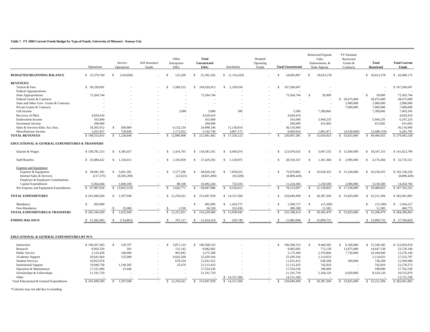#### **Table 7. FY 2004 Current Funds Budget by Type of Funds, University of Missouri - Kansas City**

|                                                                        | Operations                 | Service<br>Operations           | Self Insurance<br>Funds | Other<br>Enterprises<br>E&G      | <b>Total</b><br><b>Unrestricted</b><br>E&G | <b>Auxiliaries</b>         | Hospital<br>Operating<br>Funds | <b>Total Unrestricted</b>    | Restricted Expend.<br>Gifts,<br>Endowments, &<br>State Approp. | FY Estimate<br>Restricted<br>Grants &<br>Contracts | <b>Total</b><br><b>Restricted</b> | <b>Total Current</b><br>Funds |
|------------------------------------------------------------------------|----------------------------|---------------------------------|-------------------------|----------------------------------|--------------------------------------------|----------------------------|--------------------------------|------------------------------|----------------------------------------------------------------|----------------------------------------------------|-----------------------------------|-------------------------------|
| <b>BUDGETED BEGINNING BALANCE</b>                                      | \$ 25,370,760              | (310.694)<br>S.                 |                         | 122.260<br>\$.                   | 25,182,326<br>s.                           | S.<br>(1.116.429)          |                                | 24,065,897<br>\$             | $\mathcal{S}$<br>18,623,278                                    |                                                    | \$18,623,278                      | \$42,689,175                  |
| <b>REVENUES:</b>                                                       |                            |                                 |                         |                                  |                                            |                            |                                |                              |                                                                |                                                    |                                   |                               |
| Tuition & Fees                                                         | \$99,330,891               |                                 |                         | 5.589.522<br>S.                  | 104.920.413<br>s.                          | $\mathbb{S}$<br>2.339.634  |                                | 107,260,047<br>\$            |                                                                |                                                    |                                   | \$107,260,047                 |
| <b>Federal Appropriations</b>                                          |                            |                                 |                         |                                  |                                            |                            |                                |                              |                                                                |                                                    |                                   |                               |
| <b>State Appropriations</b>                                            | 73,264,744                 |                                 |                         |                                  | 73,264,744                                 |                            |                                | 73,264,744                   | -S<br>39,000                                                   |                                                    | $\mathcal{S}$<br>39,000           | 73,303,744                    |
| Federal Grants & Contracts                                             |                            |                                 |                         |                                  |                                            |                            |                                |                              |                                                                | \$ 28,475,000                                      | 28,475,000                        | 28,475,000                    |
|                                                                        |                            |                                 |                         |                                  |                                            |                            |                                |                              |                                                                |                                                    | 2,900,000                         |                               |
| State and Other Govt, Grants & Contracts<br>Private Grants & Contracts |                            |                                 |                         |                                  |                                            |                            |                                |                              |                                                                | 2,900,000<br>7,000,000                             |                                   | 2,900,000                     |
|                                                                        |                            |                                 |                         |                                  |                                            |                            |                                |                              |                                                                |                                                    | 7,000,000                         | 7,000,000                     |
| Gift Income                                                            |                            |                                 |                         | 3,000                            | 3,000                                      | 500                        |                                | 3,500                        | 7,399,845                                                      |                                                    | 7,399,845                         | 7,403,345                     |
| Recovery of F&A                                                        | 4,029,410                  |                                 |                         | $\sim$                           | 4.029.410                                  |                            |                                | 4,029,410                    |                                                                |                                                    |                                   | 4,029,410                     |
| <b>Endowment Income</b>                                                | 163,000                    |                                 |                         | $\sim$                           | 163,000                                    |                            |                                | 163,000                      | 5,944,235                                                      |                                                    | 5,944,235                         | 6,107,235                     |
| <b>Investment Income</b>                                               | 200,000                    |                                 |                         |                                  | 200,000                                    |                            |                                | 200,000                      | 415,002                                                        |                                                    | 415,002                           | 615,002                       |
| Sales & Services-Educ Act./Aux.                                        | 18.365.912                 | <sup>\$</sup><br>500,000        |                         | 6.132.234                        | 24.998.146                                 | 11.118.814                 |                                | 36.116.960                   |                                                                |                                                    |                                   | 36,116,960                    |
| Miscellaneous Income                                                   | 3.201.857                  | 728,840                         |                         | 1,172,052                        | 5,102,749                                  | 3,867,175                  |                                | 8,969,924                    | 1,861,871                                                      | (4.550,000)                                        | (2,688,129)                       | 6,281,795                     |
| <b>TOTAL REVENUES</b>                                                  | \$198,555,814              | 1,228,840<br><sup>\$</sup>      |                         | 12,896,808<br>$\mathbf{\hat{s}}$ | 212,681,462<br>S.                          | 17,326,123<br>$\mathbb{S}$ |                                | 230,007,585<br>$\mathcal{S}$ | 15,659,953<br>$\mathcal{S}$                                    | 33,825,000<br>-\$                                  | 49,484,953                        | \$279,492,538                 |
| EDUCATIONAL & GENERAL EXPENDITURES & TRANSFERS                         |                            |                                 |                         |                                  |                                            |                            |                                |                              |                                                                |                                                    |                                   |                               |
| Salaries & Wages                                                       | \$108,781,313              | \$4,385,457                     |                         | <sup>\$</sup><br>5,414,791       | \$118,581,561                              | S.<br>4,495,074            |                                | 123,076,635<br>\$            | $\mathcal{S}$<br>5,047,155                                     | \$13,500,000                                       | \$18,547,155                      | \$141,623,790                 |
| <b>Staff Benefits</b>                                                  | \$25,080,422               | \$1,156,011                     |                         | 1,192,859<br>-S                  | 27,429,292<br>s.                           | 1,129,875<br>S.            |                                | 28,559,167<br>\$             | 1,181,384<br>\$.                                               | \$2,995,000                                        | 4,176,384<br>S.                   | \$ 32,735,551                 |
| <b>Expense and Equipment</b>                                           |                            |                                 |                         |                                  |                                            |                            |                                |                              |                                                                |                                                    |                                   |                               |
| Expense & Equipment                                                    | \$58,841,365               | 3,601,581<br>$\mathbb{S}$       |                         | 5.577.296<br>$\mathbf{s}$        | 68,020,242<br>\$.                          | $\mathbb{S}$<br>7,859,623  |                                | \$<br>75,879,865             | 10,928,355<br>-S                                               | \$15,330,000                                       | \$26,258,355                      | \$102,138,220                 |
| Internal Sales & Services                                              | (217, 575)                 | (8,585,200)                     |                         | (22, 625)                        | (8,825,400)                                | (65,028)                   |                                | (8,890,428)                  |                                                                |                                                    |                                   | (8,890,428)                   |
| Employer & Employee Contributions                                      |                            |                                 |                         |                                  |                                            |                            |                                |                              |                                                                |                                                    |                                   |                               |
| Capital Expenditures                                                   | 9.364.044                  | 1.040.100                       |                         | 88.100                           | 10.492.244                                 | 732,016                    |                                | 11,224,260                   | 1.230.500                                                      | 2,000,000                                          | 3.230.500                         | 14,454,760                    |
| Net Expense and Equipment Expenditures                                 | $\mathbf{s}$<br>67,987,834 | (3,943,519)<br>\$.              |                         | 5,642,771                        | 69,687,086                                 | 8,526,611<br>$\mathbb{S}$  |                                | 78,213,697                   | 12.158.855<br>$\mathcal{S}$                                    | 17,330,000<br>$\mathbf{s}$                         | 29.488.855                        | \$107,702,552                 |
| <b>TOTAL EXPENDITURES</b>                                              | \$201,849,569              | \$1,597,949                     |                         | 12,250,421<br>S.                 | \$ 215,697,939                             | \$14,151,560               |                                | 229,849,499<br>\$.           | 18,387,394<br>-S                                               | \$ 33,825,000                                      | \$ 52,212,394                     | \$282,061,893                 |
| Mandatory                                                              | $\mathbb{S}$<br>495,000    | - 11                            |                         |                                  | $\mathbf{s}$<br>495,000                    | \$1,454,727                |                                | 1,949,727<br>\$              | $\mathcal{S}$<br>(15,500)                                      |                                                    | (15,500)<br>$\mathcal{S}$         | \$1,934,227                   |
| Non-Mandatory                                                          |                            | 35,000                          |                         | 1,530<br>-S                      | 36,530                                     | 352,658                    |                                | 389,188                      | 11,585                                                         |                                                    | 11,585                            | 400,773                       |
| <b>TOTAL EXPENDITURES &amp; TRANSFERS</b>                              | \$202,344,569              | $\mathbf{\hat{S}}$<br>1.632.949 |                         | $\mathbf{s}$                     | 216.229.469                                | $\mathbb{S}$               |                                | $\mathbf{\hat{s}}$           | $\mathcal{S}$                                                  | \$ 33,825,000                                      |                                   | \$284,396,893                 |
|                                                                        |                            |                                 |                         | 12,251,951                       | <sup>\$</sup>                              | 15,958,945                 |                                | 232,188,414                  | 18,383,479                                                     |                                                    | 52,208,479<br>S.                  |                               |
| <b>ENDING BALANCE</b>                                                  | \$21,582,005               | (714.803)<br>-S                 |                         | 767,117<br>-8                    | 21.634.319<br>-S                           | 250,749<br>-S              |                                | 21,885,068<br>¢              | -S<br>15,899,752                                               |                                                    | 15,899,752<br>-S                  | \$ 37,784,820                 |
| EDUCATIONAL & GENERAL EXPENDITURES BY PCS                              |                            |                                 |                         |                                  |                                            |                            |                                |                              |                                                                |                                                    |                                   |                               |
| Instruction                                                            | \$100,507,403              | $\mathbf{s}$<br>129,797         |                         | <sup>\$</sup><br>5.871.133       | \$106,508,333                              |                            |                                | 106,508,333<br><sup>\$</sup> | $\mathcal{S}$<br>9,446,585                                     | $\mathbf{s}$<br>6,100,000                          | \$15,546,585                      | \$122,054,918                 |
| Research                                                               | 8,950,359                  | 501                             |                         | 131,142                          | 9,082,002                                  |                            |                                | 9,082,002                    | 772,138                                                        | 13,875,000                                         | 14,647,138                        | 23,729,140                    |
| Public Service                                                         | 2,133,458                  | 140,000                         |                         | 901,842                          | 3,175,300                                  |                            |                                | 3,175,300                    | 2,370,840                                                      | 7,730,000                                          | 10,100,840                        | 13,276,140                    |
| Academic Support                                                       | 20,641,664                 | 155,000                         |                         | 4,642,500                        | 25,439,164                                 |                            |                                | 25,439,164                   | 2,114,633                                                      |                                                    | 2,114,633                         | 27,553,797                    |
| <b>Student Services</b>                                                | 10,953,078                 |                                 |                         | 678,334                          | 11.631.412                                 |                            |                                | 11,631,412                   | 638,268                                                        | 100,000                                            | 738,268                           | 12,369,680                    |
| <b>Institutional Support</b>                                           | 19,940,758                 | 1,149,205                       |                         | 25,470                           | 21,115,433                                 |                            |                                | 21,115,433                   | 742,810                                                        |                                                    | 742,810                           | 22,278,273                    |

Operation & Maintenance 17,531,090 23,446 17,554,536 198,000 17,762,536 198,000 17,762,536 198,000 17,762,536 Scholarships & Fellowships 21,191,759 21,191,759 - 21,191,759 2,104,120 29,315,879 2,104,120 29,315,879 Other - - - - - \$ 14,151,560 - 14,151,560 - - - 13,721,530 Total Educational & General Expenditures \$ 201,849,569 \$ 1,597,949 - \$ 12,250,421 \$ 215,697,939 \$ 14,151,560 - \$ 229,849,499 \$ 18,387,394 \$ 33,825,000 \$ 52,212,394 \$ 282,061,893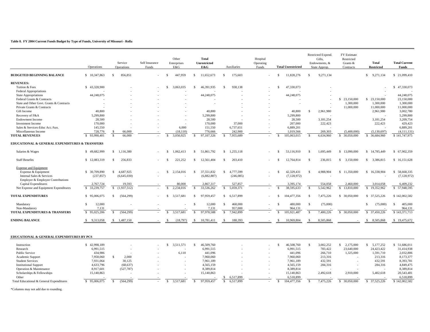#### **Table 8. FY 2004 Current Funds Budget by Type of Funds, University of Missouri - Rolla**

|                                                               |                        | Service                 | Self Insurance<br>Funds | Other<br>Enterprises<br>E&G |               | <b>Total</b><br>Unrestricted<br>E&G | <b>Auxiliaries</b>         | Hospital<br>Operating<br>Funds |               | <b>Total Unrestricted</b> |               | Restricted Expend.<br>Gifts,<br>Endowments, & | FY Estimate<br>Restricted<br>Grants & | <b>Total</b><br><b>Restricted</b> | <b>Total Current</b><br>Funds |
|---------------------------------------------------------------|------------------------|-------------------------|-------------------------|-----------------------------|---------------|-------------------------------------|----------------------------|--------------------------------|---------------|---------------------------|---------------|-----------------------------------------------|---------------------------------------|-----------------------------------|-------------------------------|
|                                                               | Operations             | Operations              |                         |                             |               |                                     |                            |                                |               |                           |               | State Approp.                                 | Contracts                             |                                   |                               |
| <b>BUDGETED BEGINNING BALANCE</b>                             | \$10,347,863           | 856,851<br>S.           |                         | 447,959<br>S                | s.            | 11,652,673                          | 175,603<br>\$.             |                                | S.            | 11,828,276                | -S            | 9,271,134                                     |                                       | \$9,271,134                       | \$ 21,099,410                 |
| <b>REVENUES:</b>                                              |                        |                         |                         |                             |               |                                     |                            |                                |               |                           |               |                                               |                                       |                                   |                               |
| Tuition & Fees                                                | \$43,328,900           |                         |                         | 3,063,035<br>\$.            | S.            | 46,391,935                          | 938,138<br>S.              |                                | \$.           | 47,330,073                |               |                                               |                                       |                                   | \$47,330,073                  |
| <b>Federal Appropriations</b>                                 |                        |                         |                         |                             |               |                                     |                            |                                |               |                           |               |                                               |                                       |                                   |                               |
| <b>State Appropriations</b>                                   | 44,248,075             |                         |                         |                             |               | 44,248,075                          |                            |                                |               | 44,248,075                |               |                                               |                                       |                                   | 44,248,075                    |
| Federal Grants & Contracts                                    |                        |                         |                         |                             |               |                                     |                            |                                |               |                           |               |                                               | \$ 23,150,000                         | \$ 23,150,000                     | 23,150,000                    |
| State and Other Govt. Grants & Contracts                      |                        |                         |                         |                             |               |                                     |                            |                                |               | $\sim$                    |               |                                               | 1,300,000                             | 1,300,000                         | 1,300,000                     |
| Private Grants & Contracts                                    |                        |                         |                         |                             |               |                                     |                            |                                |               |                           |               |                                               | 11,000,000                            | 11,000,000                        | 11,000,000                    |
| <b>Gift Income</b>                                            | 40,800                 |                         |                         |                             |               | 40,800                              |                            |                                |               | 40.800                    | $\mathcal{S}$ | 2,961,980                                     |                                       | 2,961,980                         | 3,002,780                     |
| Recovery of F&A                                               | 5,299,800              |                         |                         |                             |               | 5,299,800                           |                            |                                |               | 5,299,800                 |               |                                               |                                       |                                   | 5,299,800                     |
| <b>Endowment Income</b>                                       | 28,500                 |                         |                         | $\sim$                      |               | 28,500                              |                            |                                |               | 28,500                    |               | 3,181,254                                     |                                       | 3,181,254                         | 3,209,754                     |
| <b>Investment Income</b>                                      | 170,000                |                         |                         | $\sim$                      |               | 170,000                             | 37,000                     |                                |               | 207,000                   |               | 222,423                                       |                                       | 222,423                           | 429,423                       |
| Sales & Services-Educ Act./Aux.                               | 145,550                |                         |                         | 6.000                       |               | 151,550                             | 6,737,651                  |                                |               | 6,889,201                 |               |                                               |                                       | $\sim$                            | 6,889,201                     |
| Miscellaneous Income                                          | 728,776                | 66,000<br>-S            |                         | (18, 110)                   |               | 776,666                             | 242,900                    |                                |               | 1,019,566                 |               | 269,303                                       | (5,400,000)                           | (5,130,697)                       | (4,111,131)                   |
| <b>TOTAL REVENUES</b>                                         | \$93,990,401           | $\mathcal{S}$<br>66,000 |                         | 3.050.925<br>-S             |               | 97.107.326                          | 7.955.689<br>$\mathbf{s}$  |                                | $\mathcal{S}$ | 105,063,015               | -S            | 6.634.960                                     | \$ 30,050,000                         | \$ 36,684,960                     | \$141,747,975                 |
| <b>EDUCATIONAL &amp; GENERAL EXPENDITURES &amp; TRANSFERS</b> |                        |                         |                         |                             |               |                                     |                            |                                |               |                           |               |                                               |                                       |                                   |                               |
| Salaries & Wages                                              | \$49,682,999           | \$1,116,380             |                         | 1.062.413<br>-S             | S.            | 51,861,792                          | 1,255,118<br>S.            |                                | Ŝ.            | 53,116,910                | S             | 1,695,449                                     | \$13,090,000                          | \$14,785,449                      | \$ 67,902,359                 |
| <b>Staff Benefits</b>                                         | \$12,083,319           | S.<br>256,833           | $\sim$                  | 221,252<br>-S               | -S            | 12,561,404                          | \$.<br>203,410             |                                | S.            | 12,764,814                | $\mathcal{S}$ | 236,815                                       | \$3,150,000                           | \$3,386,815                       | \$16,151,628                  |
| <b>Expense and Equipment</b>                                  |                        |                         |                         |                             |               |                                     |                            |                                |               |                           |               |                                               |                                       |                                   |                               |
| Expense & Equipment                                           | \$ 30,709,890          | S.<br>4,687,925         |                         | 2,154,016<br>S.             | S.            | 37,551,832                          | 4,777,599<br>S.            |                                | S.            | 42,329,431                | \$.           | 4,988,904                                     | \$11,350,000                          | \$16,338,904                      | \$58,668,335                  |
| Internal Sales & Services                                     | (237, 857)             | (6,645,030)             |                         |                             |               | (6,882,887)                         | (246, 085)                 |                                |               | (7,128,972)               |               |                                               |                                       |                                   | (7,128,972)                   |
| Employer & Employee Contributions                             |                        |                         |                         |                             |               |                                     |                            |                                |               |                           |               |                                               |                                       |                                   |                               |
| Capital Expenditures                                          | 2,767,724              | 19,593                  |                         | 80,000                      |               | 2,867,317                           | 527,857                    |                                |               | 3,395,174                 |               | 554,058                                       | 2,460,000                             | 3,014,058                         | 6,409,232                     |
| Net Expense and Equipment Expenditures                        | \$ 33,239,757          | \$(1,937,512)           |                         | 2.234.016<br>$\mathcal{S}$  | $\mathcal{S}$ | 33.536.262                          | <sup>\$</sup><br>5,059,371 |                                | $\mathcal{S}$ | 38.595.633                | -S            | 5.542.962                                     | \$13,810,000                          | \$19,352,962                      | \$57,948,595                  |
| <b>TOTAL EXPENDITURES</b>                                     | \$95,006,075           | (564, 299)<br>S.        |                         | 3,517,681<br>S.             | S.            | 97.959.457                          | S.<br>6.517.899            |                                | S.            | 104,477,356               | -S            | 7,475,226                                     | \$ 30,050,000                         | \$ 37,525,226                     | \$142,002,582                 |
| Mandatory                                                     | $\mathbb{S}$<br>12,000 |                         |                         |                             | -S            | 12,000                              | 468,000<br>\$.             |                                | \$.           | 480,000                   | $\mathcal{S}$ | (75,000)                                      |                                       | <sup>\$</sup><br>(75,000)         | 405,000<br>-S                 |
| Non-Mandatory                                                 | 7,131                  |                         |                         |                             |               | 7,131                               | 957,000                    |                                |               | 964,131                   |               |                                               |                                       |                                   | 964,131                       |
| <b>TOTAL EXPENDITURES &amp; TRANSFERS</b>                     | \$95,025,206           | (564, 299)<br>\$        |                         | 3.517.681<br>$\mathcal{S}$  | $\mathcal{S}$ | 97.978.588                          | 7,942,899<br>$\mathcal{S}$ |                                | $\mathbb{S}$  | 105.921.487               | $\mathcal{S}$ | 7,400,226                                     | \$ 30,050,000                         | \$ 37,450,226                     | \$143,371,713                 |
| <b>ENDING BALANCE</b>                                         | \$ 9.313,058           | \$1,487,150             |                         | (18, 797)<br>-\$            | -S            | 10,781,411                          | 188.393<br>\$.             |                                | Ŝ.            | 10,969,804                | -8            | 8,505,868                                     |                                       | 8,505,868<br>-S                   | \$19,475,672                  |
| <b>EDUCATIONAL &amp; GENERAL EXPENDITURES BY PCS</b>          |                        |                         |                         |                             |               |                                     |                            |                                |               |                           |               |                                               |                                       |                                   |                               |

| Instruction                              | 42,998,189 |            | 1.57<br>511 . | 46,509,760 |           |  | 46.508.760  | 3,002,252 | !175.000   | 5,177,252  | 51,686,011    |
|------------------------------------------|------------|------------|---------------|------------|-----------|--|-------------|-----------|------------|------------|---------------|
| Research                                 | 6,991,515  |            |               | 6,991,515  |           |  | 6,991,515   | 783,422   | 23,640,000 | 24,423,422 | 31,414,938    |
| Public Service                           | 434,986    |            | 6,110         | 441,096    |           |  | 441,096     | 266,710   | 1,325,000  | 1,591,710  | 2,032,806     |
| Academic Support                         | 7,958,060  | 2.000      |               | 7,960,060  |           |  | 7,960,060   | 213,316   |            | 213,316    | 8,173,377     |
| <b>Student Services</b>                  | 7,931,064  | 30,125     |               | 7.961.189  |           |  | 7,961,189   | 432,591   |            | 432,591    | 8,393,781     |
| <b>Institutional Support</b>             | 4,633,796  | (68, 637)  |               | 4,565,159  |           |  | 4,565,159   | 284,316   |            | 284,316    | 4,849,475     |
| Operation & Maintenance                  | 8,917,601  | (527, 787) |               | 8,389,814  |           |  | 8,389,814   |           |            |            | 8,389,814     |
| Scholarships & Fellowships               | 15,140,863 |            |               | 15,140,863 |           |  | 15,140,863  | 2,492,618 | 2,910,000  | 5,402,618  | 20,543,481    |
| Other                                    |            |            |               |            | 6,517,899 |  | 6,518,899   |           |            |            | 6,518,899     |
| Total Educational & General Expenditures | 95,006,075 | (564.299)  | 3.517.681     | 97.959.457 | 6,517,899 |  | 104.477.356 | 475.226   | 30,050,000 | 37,525,226 | \$142,002.582 |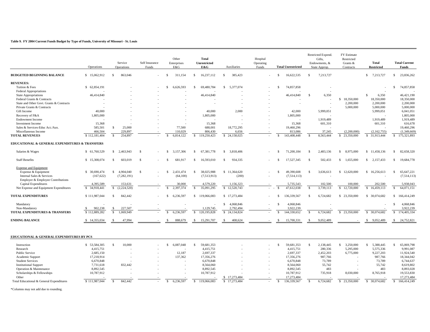#### **Table 9. FY 2004 Current Funds Budget by Type of Funds, University of Missouri - St. Louis**

|                                                      | Operations    |              | Service<br>Operations | Self Insurance<br>Funds |               | Other<br>Enterprises<br>E&G |              | Total<br><b>Unrestricted</b><br>E&G | Auxiliaries                | Hospital<br>Operating<br>Funds |               | <b>Total Unrestricted</b> |     | Restricted Expend.<br>Gifts,<br>Endowments, &<br>State Approp. | FY Estimate<br>Restricted<br>Grants $\&$<br>Contracts | Total<br><b>Restricted</b> |                    | <b>Total Current</b><br><b>Funds</b> |
|------------------------------------------------------|---------------|--------------|-----------------------|-------------------------|---------------|-----------------------------|--------------|-------------------------------------|----------------------------|--------------------------------|---------------|---------------------------|-----|----------------------------------------------------------------|-------------------------------------------------------|----------------------------|--------------------|--------------------------------------|
| <b>BUDGETED BEGINNING BALANCE</b>                    | \$15,062,912  | \$.          | 863,046               |                         | -S            | 311.154                     | S.           | 16.237.112                          | 385,423<br>¢               |                                |               | 16,622,535                | S   | 7,213,727                                                      |                                                       | \$7,213,727                | \$.                | 23,836,262                           |
|                                                      |               |              |                       |                         |               |                             |              |                                     |                            |                                |               |                           |     |                                                                |                                                       |                            |                    |                                      |
| <b>REVENUES:</b>                                     |               |              |                       |                         |               |                             |              |                                     |                            |                                |               |                           |     |                                                                |                                                       |                            |                    |                                      |
| Tuition & Fees                                       | \$62,854,191  |              |                       |                         | S             | 6,626,593                   | S.           | 69,480,784                          | 5,377,074<br>-S            |                                |               | 74,857,858                |     |                                                                |                                                       |                            | <b>S</b>           | 74,857,858                           |
| <b>Federal Appropriations</b>                        |               |              |                       |                         |               |                             |              |                                     |                            |                                |               |                           |     |                                                                |                                                       |                            |                    |                                      |
| State Appropriations                                 | 46,414,840    |              |                       |                         |               |                             |              | 46,414,840                          |                            |                                |               | 46,414,840                | -S  | 6,350                                                          |                                                       | $\mathcal{S}$<br>6.350     |                    | 46,421,190                           |
| Federal Grants & Contracts                           |               |              |                       |                         |               |                             |              |                                     |                            |                                |               |                           |     |                                                                | 18,350,000<br>$\mathcal{S}$                           | 18,350,000                 |                    | 18,350,000                           |
| State and Other Govt. Grants & Contracts             |               |              |                       |                         |               |                             |              | $\overline{\phantom{a}}$            |                            |                                |               |                           |     |                                                                | 2,200,000                                             | 2,200,000                  |                    | 2,200,000                            |
| Private Grants & Contracts                           |               |              |                       |                         |               |                             |              |                                     |                            |                                |               |                           |     |                                                                | 5,000,000                                             | 5,000,000                  |                    | 5,000,000                            |
| Gift Income                                          | 40,000        |              |                       |                         |               |                             |              | 40,000                              | 2,000                      |                                |               | 42,000                    |     | 5,999,051                                                      |                                                       | 5,999,051                  |                    | 6,041,051                            |
| Recovery of F&A                                      | 1,805,000     |              |                       |                         |               |                             |              | 1,805,000                           |                            |                                |               | 1,805,000                 |     |                                                                |                                                       |                            |                    | 1,805,000                            |
| <b>Endowment Income</b>                              |               |              |                       |                         |               |                             |              |                                     |                            |                                |               |                           |     | 1,919,489                                                      |                                                       | 1,919,489                  |                    | 1,919,489                            |
| <b>Investment Income</b>                             | 15,368        |              |                       |                         |               |                             |              | 15,368                              |                            |                                |               | 15,368                    |     | 601,310                                                        |                                                       | 601,310                    |                    | 616,678                              |
| Sales & Services-Educ Act./Aux.                      | 585,501       | S.           | 25,000                |                         |               | 77,500                      |              | 688,001                             | 18,772,295                 |                                |               | 19,460,296                |     |                                                                |                                                       |                            |                    | 19,460,296                           |
| Miscellaneous Income                                 | 466,504       |              | 229,897               | $\sim$                  |               | 110.029                     |              | 806,430                             | 6.656                      |                                |               | 813.086                   |     | 37,245                                                         | (2,200,000)                                           | (2,162,755)                |                    | (1,349,669)                          |
| <b>TOTAL REVENUES</b>                                | \$112,181,404 | <sup>S</sup> | 254,897               |                         | <sup>\$</sup> | 6,814,122                   | S.           | 119,250,423                         | \$24,158,025               |                                | -\$           | 143,408,448               | -S  | 8,563,444                                                      | 23,350,000<br>-S                                      | \$ 31,913,444              | <sup>S</sup>       | 175,321,893                          |
| EDUCATIONAL & GENERAL EXPENDITURES & TRANSFERS       |               |              |                       |                         |               |                             |              |                                     |                            |                                |               |                           |     |                                                                |                                                       |                            |                    |                                      |
| Salaries & Wages                                     | \$ 61,760,529 |              | \$2,463,943           | -S                      | S.            | 3,157,306                   | S.           | 67,381,778                          | $\mathcal{S}$<br>3,818,406 |                                |               | 71,200,184                | \$. | 2,483,136                                                      | 8,975,000<br>$\mathbf{s}$                             | \$11,458,136               | S.                 | 82,658,320                           |
| <b>Staff Benefits</b>                                | \$15,308,074  | \$           | 603,019               | $\mathcal{S}$           | $\mathcal{S}$ | 681.917                     | S.           | 16,593,010                          | 934,335<br>\$              |                                |               | 17,527,345                | \$. | 502,433                                                        | 1.655.000<br>$\mathbf{s}$                             | 2,157,433<br>$\mathcal{S}$ | S.                 | 19,684,778                           |
| <b>Expense and Equipment</b>                         |               |              |                       |                         |               |                             |              |                                     |                            |                                |               |                           |     |                                                                |                                                       |                            |                    |                                      |
| Expense & Equipment                                  | \$ 30,690,474 | $\mathbf{s}$ | 4,904,040             | $\mathbf{s}$            | S.            | 2,431,474                   | $\mathbf{s}$ | 38,025,988                          | \$11,364,620               |                                |               | 49,390,608                | S.  | 3,636,613                                                      | \$12,620,000                                          | \$16,256,613               | $\mathbf{\hat{S}}$ | 65,647,221                           |
| Internal Sales & Services                            | (167, 622)    |              | (7, 282, 191)         |                         |               | (64,100)                    |              | (7,513,913)                         | (200)                      |                                |               | (7,514,113)               |     | $\sim$                                                         |                                                       |                            |                    | (7,514,113)                          |
| Employer & Employee Contributions                    |               |              |                       |                         |               |                             |              |                                     |                            |                                |               |                           |     |                                                                |                                                       |                            |                    |                                      |
| Capital Expenditures                                 | 4,395,589     |              | 153,631               |                         |               | 30,000                      |              | 4,579,220                           | 1,156,323                  |                                |               | 5,735,543                 |     | 102,500                                                        | 100,000                                               | 202,500                    |                    | 5,938,043                            |
| Net Expense and Equipment Expenditures               | \$ 34,918,441 | S.           | (2,224,520)           |                         | <sup>\$</sup> | 2,397,374                   | -S           | 35.091.295                          | \$12,520,743               | $\sim 100$                     | - \$          | 47.612.038                | -S  | 3,739,113                                                      | 12,720,000<br>-S                                      | 16.459.113<br>S.           | -S                 | 64,071,151                           |
| <b>TOTAL EXPENDITURES</b>                            | \$111,987,044 | S.           | 842,442               |                         | Ŝ.            | 6,236,597                   |              | \$119,066,083                       | \$17,273,484               |                                |               | 136,339,567               | -S. | 6,724,682                                                      | \$ 23,350,000                                         | \$ 30,074,682              | \$.                | 166,414,249                          |
| Mandatory                                            |               |              |                       |                         |               |                             |              |                                     | 4,068,846<br>S.            |                                | $\mathcal{S}$ | 4.068.846                 |     |                                                                |                                                       |                            | S.                 | 4,068,846                            |
| Non-Mandatory                                        | 902,238<br>S. | \$.          | 227,507               |                         |               |                             |              | 1,129,745                           | 2,792,494                  |                                |               | 3,922,239                 |     |                                                                |                                                       |                            |                    | 3,922,239                            |
| <b>TOTAL EXPENDITURES &amp; TRANSFERS</b>            | \$112,889,282 | $\mathbb{S}$ | 1.069.949             |                         | <sup>\$</sup> | 6.236.597                   | S            | 120.195.828                         | \$24,134,824               |                                | -S            | 144,330,652               | -S. | 6,724,682                                                      | 23,350,000<br>$\mathbf{s}$                            | 30,074,682<br>$\mathbf{s}$ | S.                 | 174,405,334                          |
| <b>ENDING BALANCE</b>                                | \$14,355,034  | -S           | 47,994                |                         | -\$           | 888,679                     | S.           | 15,291,707                          | 408,624<br>-S              |                                |               | 15,700,331                |     | 9,052,489                                                      |                                                       | 9,052,489<br>- \$          | S.                 | 24,752,821                           |
| <b>EDUCATIONAL &amp; GENERAL EXPENDITURES BY PCS</b> |               |              |                       |                         |               |                             |              |                                     |                            |                                |               |                           |     |                                                                |                                                       |                            |                    |                                      |

| Instruction                              | 53.584.305    | 10,000  | 6,087,048 | 59,681,353  |            |  | 59,681,353 | 2,138,445 | 3,250,000  | .388,445   | 65,069,798  |
|------------------------------------------|---------------|---------|-----------|-------------|------------|--|------------|-----------|------------|------------|-------------|
| Research                                 | 4,415,751     |         |           | 4,415,751   |            |  | 4,415,751  | 280,336   | 5,295,000  | 5,575,336  | 9,991,087   |
| Public Service                           | 2,685,150     |         | 12,187    | 2,697,337   |            |  | 2,697,337  | 2,452,203 | 6,775,000  | 9,227,203  | 11,924,540  |
| Academic Support                         | 17.218.914    |         | 137,362   | 17,356,276  |            |  | 17,356,276 | 987,766   |            | 987,766    | 18,344,042  |
| <b>Student Services</b>                  | 6,670,848     |         |           | 6,670,848   |            |  | 6,670,848  | 73,789    |            | 73,789     | 6,744,637   |
| <b>Institutional Support</b>             | 7,731,618     | 832,442 |           | 8,564,060   |            |  | 8,564,060  | 55,742    |            | 55,742     | 8,619,802   |
| Operation & Maintenance                  | 8,892,545     |         |           | 8.892.545   |            |  | 8,892,545  | 483       |            | 483        | 8,893,028   |
| Scholarships & Fellowships               | 10,787,912    |         |           | 10,787,912  |            |  | 10,787,912 | 735,918   | 8,030,000  | 8,765,918  | 19,553,830  |
| Other                                    |               |         |           |             | 17,273,484 |  | 17,273,484 |           |            |            | 17,273,484  |
| Total Educational & General Expenditures | \$111.987.044 | 842,442 | 6,236,597 | 119,066,083 | 17,273,484 |  | 36.339.56  | 6.724.682 | 23,350,000 | 30.074.682 | 166,414,249 |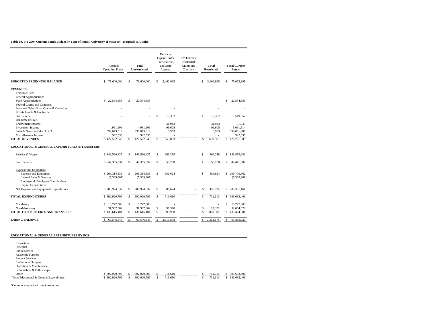#### **Table 10. FY 2004 Current Funds Budget by Type of Funds, University of Missouri - Hospitals & Clinics**

|                                                           | Hospital<br><b>Operating Funds</b> |               | <b>Total</b><br><b>Unrestricted</b> |              | Restricted<br>Expend. Gifts,<br>Endwoments,<br>and State<br>Approp. | <b>FY Estimate</b><br>Restricted<br>Grants and<br>Contracts |                    | <b>Total</b><br><b>Restricted</b> |               | <b>Total Current</b><br><b>Funds</b> |
|-----------------------------------------------------------|------------------------------------|---------------|-------------------------------------|--------------|---------------------------------------------------------------------|-------------------------------------------------------------|--------------------|-----------------------------------|---------------|--------------------------------------|
| <b>BUDGETED BEGINNING BALANCE</b>                         | \$<br>71,600,000                   | \$            | 71,600,000                          | s            | 3,462,995                                                           |                                                             | s                  | 3,462,995                         | \$            | 75,062,995                           |
| <b>REVENUES:</b>                                          |                                    |               |                                     |              |                                                                     |                                                             |                    |                                   |               |                                      |
| Tuition & Fees                                            |                                    |               |                                     |              |                                                                     |                                                             |                    |                                   |               |                                      |
| Federal Appropriations                                    |                                    |               |                                     |              |                                                                     |                                                             |                    |                                   |               |                                      |
| <b>State Appropriations</b>                               | \$22,554,583                       | \$            | 22,554,583                          |              |                                                                     |                                                             |                    |                                   | \$            | 22,554,583                           |
| <b>Federal Grants and Contracts</b>                       |                                    |               |                                     |              |                                                                     |                                                             |                    |                                   |               |                                      |
| State and Other Govt. Grants & Contracts                  |                                    |               |                                     |              |                                                                     |                                                             |                    |                                   |               |                                      |
| Private Grants & Contracts                                |                                    |               |                                     |              |                                                                     |                                                             |                    |                                   |               |                                      |
| Gift Income                                               |                                    |               |                                     | S            | 519.352                                                             |                                                             | \$.                | 519.352                           |               | 519.352                              |
| Recovery of F&A                                           |                                    |               |                                     |              |                                                                     |                                                             |                    |                                   |               |                                      |
| <b>Endowment Income</b>                                   |                                    |               |                                     |              | 31.943                                                              |                                                             |                    | 31.943                            |               | 31.943                               |
| <b>Investment</b> Income                                  | 4,991,909                          |               | 4,991,909                           |              | 99,605                                                              |                                                             |                    | 99,605                            |               | 5,091,514                            |
| Sales & Services-Educ Act/Aux.                            | 399,073,019                        |               | 399,073,019                         |              | 8,963                                                               |                                                             |                    | 8,963                             |               | 399,081,982                          |
| Miscellaneous Income                                      | 942.535                            |               | 942,535                             |              |                                                                     |                                                             |                    |                                   |               | 942,535                              |
| <b>TOTAL REVENUES</b>                                     | \$427.562,046                      | $\mathbf{s}$  | 427.562.046                         | $\mathbf{s}$ | 659.863                                                             |                                                             | $\mathbf{\hat{S}}$ | 659.863                           | $\mathbb{S}$  | 428,221,909                          |
| EDUCATIONAL & GENERAL EXPENDITURES & TRANSFERS            |                                    |               |                                     |              |                                                                     |                                                             |                    |                                   |               |                                      |
| Salaries & Wages                                          | \$149,590,425                      | \$            | 149,590,425                         | s            | 269.218                                                             |                                                             | s                  | 269.218                           | S.            | 149,859,643                          |
| <b>Staff Benefits</b>                                     | s<br>42,355,834                    | \$.           | 42,355,834                          | s            | 55,768                                                              |                                                             | s                  | 55,768                            | \$            | 42,411,602                           |
| <b>Expense and Equipment</b>                              |                                    |               |                                     |              |                                                                     |                                                             |                    |                                   |               |                                      |
| <b>Expense and Equipment</b>                              | \$206,314,338                      | \$            | 206,314,338                         | s            | 386,624                                                             |                                                             | s                  | 386,624                           |               | \$ 206,700,962                       |
| Internal Sales & Services                                 | (5,339,801)                        |               | (5,339,801)                         |              |                                                                     |                                                             |                    |                                   |               | (5,339,801)                          |
| Employer & Employee Contributions<br>Capital Expenditures |                                    |               |                                     |              |                                                                     |                                                             |                    |                                   |               |                                      |
| Net Expense and Equipment Expenditures                    | \$200,974,537                      | $\mathbf{s}$  | 200,974,537                         | $\mathbb{S}$ | 386,624                                                             |                                                             | S                  | 386,624                           |               | \$ 201,361,161                       |
| <b>TOTAL EXPENDITURES</b>                                 | \$392,920,796                      | $\mathsf{s}$  | 392,920,796                         | s            | 711,610                                                             |                                                             | S                  | 711,610                           |               | \$ 393,632,406                       |
| Mandatory                                                 | \$13,727,303                       | \$            | 13,727,303                          |              |                                                                     |                                                             |                    |                                   | \$            | 13,727,303                           |
| Non-Mandatory                                             | 31,967,302                         |               | 31,967,302                          | S            | 97,370                                                              |                                                             |                    | 97,370                            |               | 32,064,672                           |
| <b>TOTAL EXPENDITURES AND TRANSFERS</b>                   | \$438,615,401                      | \$            | 438,615,401                         | s            | 808,980                                                             |                                                             | s                  | 808,980                           | s.            | 439, 424, 381                        |
|                                                           |                                    |               |                                     |              |                                                                     |                                                             |                    |                                   |               |                                      |
| <b>ENDING BALANCE</b>                                     | 60,546,645<br>S                    | $\mathcal{S}$ | 60,546,645                          | $\mathbf{s}$ | 3,313,878                                                           |                                                             | s                  | 3,313,878                         | $\mathcal{S}$ | 63,860,523                           |

#### **EDUCATIONAL & GENERAL EXPENDITURES BY PCS**

| Instruction                              |               |             |         |          |         |             |
|------------------------------------------|---------------|-------------|---------|----------|---------|-------------|
| Research                                 |               |             |         |          |         |             |
| Public Service                           |               |             |         |          |         |             |
| Academic Support                         |               |             |         |          |         |             |
| <b>Student Services</b>                  |               |             |         |          |         |             |
| <b>Institutional Support</b>             |               |             |         |          |         |             |
| Operation & Maintenance                  |               |             |         |          |         |             |
| Scholarships & Fellowships               |               |             |         |          |         |             |
| Other                                    | \$392,920,796 | 392,920,796 | 711.610 | <b>.</b> | 711.610 | 393.632.406 |
| Total Educational & General Expenditures | \$392,920,796 | 392,920,796 | 711,610 | $\sim$   | 711.610 | 393,632,406 |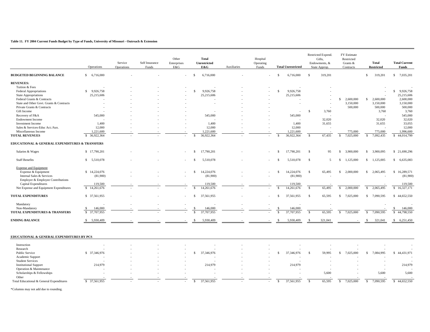#### **Table 11. FY 2004 Current Funds Budget by Type of Funds, University of Missouri - Outreach & Extension**

|                                                | Operations                  | Service<br>Operations | Self Insurance<br>Funds | Other<br>Enterprises<br>E&G |                | <b>Total</b><br>Unrestricted<br>E&G | Auxiliaries | Hospital<br>Operating<br>Funds |                | <b>Total Unrestricted</b> |               | Restricted Expend.<br>Gifts,<br>Endowments, &<br>State Approp. | FY Estimate<br>Restricted<br>Grants &<br>Contracts |                         | <b>Total</b><br><b>Restricted</b> | <b>Total Current</b><br>Funds |
|------------------------------------------------|-----------------------------|-----------------------|-------------------------|-----------------------------|----------------|-------------------------------------|-------------|--------------------------------|----------------|---------------------------|---------------|----------------------------------------------------------------|----------------------------------------------------|-------------------------|-----------------------------------|-------------------------------|
| <b>BUDGETED BEGINNING BALANCE</b>              | \$6,716,000                 |                       |                         |                             | $\mathbb{S}$   | 6,716,000                           |             |                                | $\mathcal{S}$  | 6,716,000                 | $\mathcal{S}$ | 319,201                                                        |                                                    | $\mathbb{S}$            | 319,201                           | \$7,035,201                   |
| <b>REVENUES:</b>                               |                             |                       |                         |                             |                |                                     |             |                                |                |                           |               |                                                                |                                                    |                         |                                   |                               |
| Tuition & Fees                                 |                             |                       |                         |                             |                |                                     |             |                                |                |                           |               |                                                                |                                                    |                         |                                   |                               |
| Federal Appropriations                         | \$9,926,758                 |                       |                         |                             | -S             | 9,926,758                           |             |                                | $\mathcal{S}$  | 9,926,758                 |               |                                                                |                                                    |                         |                                   | $\mathbb{S}$<br>9,926,758     |
| <b>State Appropriations</b>                    | 25,215,606                  |                       |                         |                             |                | 25,215,606                          |             |                                |                | 25,215,606                |               |                                                                |                                                    |                         |                                   | 25,215,606                    |
| Federal Grants & Contracts                     |                             |                       |                         |                             |                |                                     |             |                                |                |                           |               |                                                                | \$<br>2,600,000                                    | <sup>\$</sup>           | 2,600,000                         | 2,600,000                     |
| State and Other Govt. Grants & Contracts       |                             |                       |                         |                             |                |                                     |             |                                |                |                           |               |                                                                | 3,150,000                                          |                         | 3,150,000                         | 3,150,000                     |
| Private Grants & Contracts                     |                             |                       |                         |                             |                |                                     |             |                                |                |                           |               |                                                                | 500,000                                            |                         | 500,000                           | 500,000                       |
| Gift Income                                    |                             |                       |                         |                             |                |                                     |             |                                |                |                           | <sup>S</sup>  | 3,760                                                          |                                                    |                         | 3,760                             | 3,760                         |
|                                                | 545,000                     |                       |                         |                             |                | 545,000                             |             |                                |                | 545,000                   |               |                                                                |                                                    |                         |                                   | 545,000                       |
| Recovery of F&A                                |                             |                       |                         |                             |                |                                     |             |                                |                |                           |               |                                                                |                                                    |                         |                                   |                               |
| <b>Endowment Income</b>                        |                             |                       |                         |                             |                |                                     |             |                                |                |                           |               | 32,020                                                         |                                                    |                         | 32,020                            | 32,020                        |
| <b>Investment Income</b>                       | 1,400                       |                       |                         |                             |                | 1.400                               |             |                                |                | 1.400                     |               | 31,655                                                         |                                                    |                         | 31,655                            | 33,055                        |
| Sales & Services-Educ Act./Aux.                | 12,000                      |                       |                         |                             |                | 12,000                              |             |                                |                | 12,000                    |               | ÷,                                                             |                                                    |                         |                                   | 12,000                        |
| Miscellaneous Income                           | 1,221,600                   |                       |                         |                             |                | 1,221,600                           |             |                                |                | 1,221,600                 |               |                                                                | 775,000                                            |                         | 775,000                           | 1,996,600                     |
| <b>TOTAL REVENUES</b>                          | $\mathcal{S}$<br>36,922,364 |                       |                         |                             |                | 36,922,364                          |             |                                | $\mathcal{S}$  | 36,922,364                | -S            | 67,435                                                         | 7.025.000<br>-S                                    | -S                      | 7,092,435                         | 44,014,799<br>$\mathbb{S}$    |
| EDUCATIONAL & GENERAL EXPENDITURES & TRANSFERS |                             |                       |                         |                             |                |                                     |             |                                |                |                           |               |                                                                |                                                    |                         |                                   |                               |
| Salaries & Wages                               | \$17,790,201                |                       |                         |                             | <sup>S</sup>   | 17,790,201                          |             |                                | -\$            | 17,790,201                | \$            | 95                                                             | \$<br>3,900,000                                    | S.                      | 3,900,095                         | \$21,690,296                  |
| <b>Staff Benefits</b>                          | \$5,510,078                 |                       |                         |                             | - \$           | 5,510,078                           |             |                                | -8             | 5,510,078                 | -S            | $\overline{5}$                                                 | <sup>\$</sup><br>1,125,000                         | <sup>\$</sup>           | 1,125,005                         | \$6,635,083                   |
| <b>Expense and Equipment</b>                   |                             |                       |                         |                             |                |                                     |             |                                |                |                           |               |                                                                |                                                    |                         |                                   |                               |
| Expense & Equipment                            | \$14,224,076                |                       |                         |                             | -S             | 14,224,076                          |             |                                | <sup>\$</sup>  | 14,224,076                | <sup>S</sup>  | 65,495                                                         | $\mathbb{S}$<br>2,000,000                          | <sup>\$</sup>           | 2,065,495                         | \$16,289,571                  |
| Internal Sales & Services                      | (81,900)                    |                       |                         |                             |                | (81,900)                            |             |                                |                | (81,900)                  |               |                                                                |                                                    |                         |                                   | (81,900)                      |
| Employer & Employee Contributions              |                             |                       |                         |                             |                |                                     |             |                                |                |                           |               |                                                                |                                                    |                         |                                   |                               |
| Capital Expenditures                           | 119,500                     |                       |                         |                             |                | 119,500                             |             |                                |                | 119,500                   |               |                                                                |                                                    |                         |                                   | 119,500                       |
| Net Expense and Equipment Expenditures         | \$14,261,676                |                       |                         |                             | -S             | 14,261,676                          |             |                                | -\$            | 14,261,676                | - \$          | 65,495                                                         | $\mathbb{S}$<br>2,000,000                          | \$                      | 2,065,495                         | 16,327,171<br>$\mathbb{S}$    |
| <b>TOTAL EXPENDITURES</b>                      | \$ 37,561,955               |                       |                         |                             | s              | 37,561,955                          |             |                                | \$             | 37,561,955                | \$            | 65,595                                                         | \$7,025,000                                        |                         | \$ 7,090,595                      | \$44,652,550                  |
| Mandatory                                      |                             |                       |                         |                             |                |                                     |             |                                |                |                           |               |                                                                |                                                    |                         |                                   |                               |
| Non-Mandatory                                  | 146,000<br>-S               |                       |                         |                             |                | 146,000                             |             |                                |                | 146,000                   |               |                                                                |                                                    |                         |                                   | 146,000<br>S                  |
| TOTAL EXPENDITURES & TRANSFERS                 | \$ 37,707,955               |                       |                         |                             | $\overline{s}$ | 37,707,955                          |             |                                | $\overline{s}$ | 37,707,955                | -S            | 65,595                                                         | $\sqrt{s}$<br>7,025,000                            | $\overline{\mathbf{s}}$ | 7.090.595                         | $\mathbf{s}$<br>44,798,550    |
| <b>ENDING BALANCE</b>                          | \$5,930,409                 |                       |                         |                             | -S             | 5,930,409                           |             |                                | -\$            | 5,930,409                 | <sup>S</sup>  | 321,041                                                        |                                                    | S.                      | 321,041                           | \$6,251,450                   |
| EDUCATIONAL & GENERAL EXPENDITURES BY PCS      |                             |                       |                         |                             |                |                                     |             |                                |                |                           |               |                                                                |                                                    |                         |                                   |                               |
| Instruction                                    |                             |                       |                         |                             |                |                                     |             |                                |                |                           |               |                                                                |                                                    |                         |                                   |                               |
| Research                                       |                             |                       |                         |                             |                |                                     |             |                                |                |                           |               |                                                                |                                                    |                         |                                   |                               |
| Public Service                                 | \$ 37,346,976               |                       |                         |                             | -S             | 37,346,976                          |             |                                | -8             | 37,346,976                | - \$          | 59,995                                                         | 7,025,000<br><sup>\$</sup>                         | S.                      | 7,084,995                         | \$44,431,971                  |
| Academic Support                               |                             |                       |                         |                             |                |                                     |             |                                |                |                           |               |                                                                |                                                    |                         |                                   |                               |
| <b>Student Services</b>                        |                             |                       |                         |                             |                |                                     |             |                                |                |                           |               |                                                                |                                                    |                         |                                   |                               |
| <b>Institutional Support</b>                   | 214,979                     |                       |                         |                             |                | 214,979                             |             |                                |                | 214,979                   |               |                                                                |                                                    |                         |                                   | 214,979                       |
| Operation & Maintenance                        |                             |                       |                         |                             |                |                                     |             |                                |                |                           |               |                                                                |                                                    |                         |                                   |                               |
|                                                |                             |                       |                         |                             |                |                                     |             |                                |                |                           |               |                                                                |                                                    |                         |                                   | 5,600                         |
| Scholarships & Fellowships                     |                             |                       |                         |                             |                |                                     |             |                                |                |                           |               | 5,600                                                          |                                                    |                         | 5,600                             |                               |
| Other                                          |                             |                       |                         |                             |                |                                     |             |                                |                |                           |               |                                                                |                                                    |                         |                                   |                               |
| Total Educational & General Expenditures       | \$ 37,561,955               |                       |                         |                             | \$             | 37,561,955                          |             |                                | \$             | 37,561,955                | <sup>S</sup>  | 65,595                                                         | $\mathcal{S}$<br>7,025,000                         | S.                      | 7,090,595                         | $\sqrt{44,652,550}$           |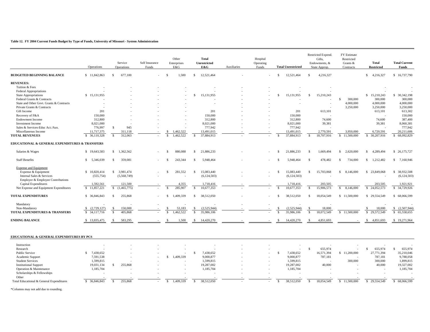#### **Table 12. FY 2004 Current Funds Budget by Type of Funds, University of Missouri - System Administration**

|                                                | Operations    |               | Service<br>Operations | Self Insurance<br>Funds |                    | Other<br>Enterprises<br>E&G |                         | <b>Total</b><br><b>Unrestricted</b><br>E&G | Auxiliaries | Hospital<br>Operating<br>Funds |                    | <b>Total Unrestricted</b> |               | Restricted Expend.<br>Gifts,<br>Endowments, &<br>State Approp. | <b>FY Estimate</b><br>Restricted<br>Grants &<br>Contracts | Total<br><b>Restricted</b>  | <b>Total Current</b><br>Funds |
|------------------------------------------------|---------------|---------------|-----------------------|-------------------------|--------------------|-----------------------------|-------------------------|--------------------------------------------|-------------|--------------------------------|--------------------|---------------------------|---------------|----------------------------------------------------------------|-----------------------------------------------------------|-----------------------------|-------------------------------|
| <b>BUDGETED BEGINNING BALANCE</b>              | \$11,842,863  | s.            | 677.100               |                         | -S                 | 1.500                       | <sup>\$</sup>           | 12,521,464                                 |             |                                | -8                 | 12.521.464                | $\mathcal{S}$ | 4,216,327                                                      |                                                           | \$4,216,327                 | \$16,737,790                  |
| <b>REVENUES:</b>                               |               |               |                       |                         |                    |                             |                         |                                            |             |                                |                    |                           |               |                                                                |                                                           |                             |                               |
| Tuition & Fees                                 |               |               |                       |                         |                    |                             |                         |                                            |             |                                |                    |                           |               |                                                                |                                                           |                             |                               |
| Federal Appropriations                         |               |               |                       |                         |                    |                             |                         |                                            |             |                                |                    |                           |               |                                                                |                                                           |                             |                               |
| <b>State Appropriations</b>                    | \$15,131,955  |               |                       |                         |                    |                             | S.                      | 15,131,955                                 |             |                                | Ŝ.                 | 15,131,955                | <sup>\$</sup> | 15,210,243                                                     |                                                           | \$15,210,243                | \$ 30,342,198                 |
| Federal Grants & Contracts                     |               |               |                       |                         |                    |                             |                         |                                            |             |                                |                    |                           |               |                                                                | 300,000<br>\$                                             | 300,000                     | 300,000                       |
| State and Other Govt. Grants & Contracts       |               |               |                       |                         |                    |                             |                         |                                            |             |                                |                    |                           |               |                                                                | 4,000,000                                                 | 4,000,000                   | 4,000,000                     |
| Private Grants & Contracts                     |               |               |                       |                         |                    |                             |                         |                                            |             |                                |                    |                           |               |                                                                | 3,250,000                                                 | 3,250,000                   | 3,250,000                     |
| Gift Income                                    | 201           |               |                       |                         |                    |                             |                         | 201                                        |             |                                |                    | 201                       |               | 613,101                                                        |                                                           | 613,101                     | 613,302                       |
| Recovery of F&A                                | 150,000       |               |                       |                         |                    |                             |                         | 150,000                                    |             |                                |                    | 150,000                   |               |                                                                |                                                           |                             | 150,000                       |
| <b>Endowment Income</b>                        | 312,800       |               |                       |                         |                    |                             |                         | 312,800                                    |             |                                |                    | 312,800                   |               | 74,600                                                         |                                                           | 74,600                      | 387,400                       |
| Investment Income                              | 8,021,000     |               |                       |                         |                    |                             |                         | 8,021,000                                  |             |                                |                    | 8,021,000                 |               | 39,381                                                         |                                                           | 39,381                      | 8,060,381                     |
| Sales & Services-Educ Act./Aux.                | 776,997       | <sup>S</sup>  | 945                   |                         |                    |                             |                         | 777,942                                    |             |                                |                    | 777,942                   |               |                                                                |                                                           |                             | 777,942                       |
| Miscellaneous Income                           | 11,717,375    |               | 311,118               |                         |                    | 1,462,522                   |                         | 13,491,015                                 |             |                                |                    | 13,491,015                |               | 2,770,591                                                      | 3,950,000                                                 | 6,720,591                   | 20,211,606                    |
| <b>TOTAL REVENUES</b>                          | \$ 36,110,328 | <sup>S</sup>  | 312,063               |                         | $\mathbf{\hat{S}}$ | 1.462,522                   |                         | 37,884,913                                 |             |                                | $\mathbf{\hat{S}}$ | 37,884,913                | -S            | 18,707,916                                                     | $\mathbf{s}$<br>11,500,000                                | 30,207,916<br><sup>S</sup>  | 68,092,829<br>-S              |
| EDUCATIONAL & GENERAL EXPENDITURES & TRANSFERS |               |               |                       |                         |                    |                             |                         |                                            |             |                                |                    |                           |               |                                                                |                                                           |                             |                               |
| Salaries & Wages                               | \$19,643,583  |               | \$1,362,562           |                         |                    | 880,088                     | <sup>\$</sup>           | 21,886,233                                 |             |                                |                    | 21,886,233                | -S            | 1,669,494                                                      | $\mathbf{s}$<br>2,620,000                                 | 4,289,494<br><sup>\$</sup>  | \$ 26,175,727                 |
| <b>Staff Benefits</b>                          | \$5,346,039   | <sup>\$</sup> | 359,081               |                         | -8                 | 243,344                     | S.                      | 5.948.464                                  |             |                                |                    | 5.948.464                 | -S            | 478,482                                                        | $\mathcal{S}$<br>734,000                                  | <sup>\$</sup><br>1,212,482  | \$7,160,946                   |
| <b>Expense and Equipment</b>                   |               |               |                       |                         |                    |                             |                         |                                            |             |                                |                    |                           |               |                                                                |                                                           |                             |                               |
| Expense & Equipment                            | \$10,820,414  | $\mathbb{S}$  | 3,981,474             |                         | -S                 | 281,552                     | \$                      | 15,083,440                                 |             |                                | -\$                | 15,083,440                | \$            | 15,703,068                                                     | \$<br>8,146,000                                           | \$23,849,068                | \$ 38,932,508                 |
| Internal Sales & Services                      | (555, 754)    |               | (5,568,749)           |                         |                    |                             |                         | (6, 124, 503)                              |             |                                |                    | (6, 124, 503)             |               |                                                                |                                                           |                             | (6, 124, 503)                 |
| Employer & Employee Contributions              |               |               |                       |                         |                    |                             |                         |                                            |             |                                |                    |                           |               |                                                                |                                                           |                             |                               |
| Capital Expenditures                           | 1.592.561     |               | 121,500               |                         |                    | 4.355                       |                         | 1,718,416                                  |             |                                |                    | 1,718,416                 |               | 203,505                                                        |                                                           | 203,505                     | 1,921,921                     |
| Net Expense and Equipment Expenditures         | \$11,857,221  | -S            | (1,465,775)           |                         |                    | 285,907                     |                         | 10,677,353                                 |             |                                |                    | 10,677,353                | -S            | 15,906,573                                                     | <sup>\$</sup><br>8,146,000                                | 24,052,573<br>-S            | 34,729,926<br>S.              |
| <b>TOTAL EXPENDITURES</b>                      | \$ 36,846,843 | \$            | 255,868               |                         | <sup>\$</sup>      | 1,409,339                   | S.                      | 38,512,050                                 |             |                                | -\$                | 38,512,050                | <sup>\$</sup> | 18,054,549                                                     | \$11,500,000                                              | \$29,554,549                | \$68,066,599                  |
| Mandatory                                      |               |               |                       |                         |                    |                             |                         |                                            |             |                                |                    |                           |               |                                                                |                                                           |                             |                               |
| Non-Mandatory                                  | (2,729,127)   |               | 150,000               |                         |                    | 53,183                      |                         | (2,525,944)                                |             |                                |                    | (2,525,944)               |               | 18,000                                                         |                                                           | 18,000                      | (2,507,944)<br>S              |
| <b>TOTAL EXPENDITURES &amp; TRANSFERS</b>      | \$34,117,716  |               | 405.868               |                         | $\overline{s}$     | 1.462.522                   | $\overline{\mathbf{s}}$ | 35,986,106                                 |             |                                |                    | 35,986,106                |               | 18,072,549                                                     | \$11,500,000                                              | $\mathcal{S}$<br>29,572,549 | $\mathbf{s}$<br>65,558,655    |
| <b>ENDING BALANCE</b>                          | \$13,835,475  | -S            | 583.295               |                         | -8                 | 1.500                       | -S                      | 14,420,270                                 |             |                                | -8                 | 14,420,270                | $\mathcal{S}$ | 4,851,693                                                      |                                                           | 4,851,693<br>S.             | \$19,271,964                  |
| EDUCATIONAL & GENERAL EXPENDITURES BY PCS      |               |               |                       |                         |                    |                             |                         |                                            |             |                                |                    |                           |               |                                                                |                                                           |                             |                               |
| Instruction                                    |               |               |                       |                         |                    |                             |                         |                                            |             |                                |                    |                           |               |                                                                |                                                           |                             |                               |
| Research                                       |               |               |                       |                         |                    |                             |                         |                                            |             |                                |                    |                           | $\mathbb{S}$  | 655,974                                                        | ÷,                                                        | $\mathbb{S}$<br>655,974     | $\mathbb{S}$<br>655,974       |
| Public Service                                 | \$7,438,652   |               |                       |                         |                    |                             | S.                      | 7,438,652                                  |             |                                | $\mathcal{S}$      | 7,438,652                 |               | 16,571,394                                                     | \$11,200,000                                              | 27,771,394                  | 35,210,046                    |
| Academic Support                               | 7,591,538     |               |                       |                         | $\mathbb{S}$       | 1,409,339                   |                         | 9,000,877                                  |             |                                |                    | 9,000,877                 |               | 787,181                                                        |                                                           | 787,181                     | 9,788,058                     |
| <b>Student Services</b>                        | 1,599,815     |               |                       |                         |                    |                             |                         | 1,599,815                                  |             |                                |                    | 1,599,815                 |               |                                                                | 300,000                                                   | 300,000                     | 1,899,815                     |
| <b>Institutional Support</b>                   | 19,031,134    | $\mathbb{S}$  | 255,868               |                         |                    |                             |                         | 19,287,002                                 |             |                                |                    | 19,287,002                |               | 40,000                                                         |                                                           | 40,000                      | 19,327,002                    |
| Operation & Maintenance                        | 1,185,704     |               |                       |                         |                    |                             |                         | 1,185,704                                  |             |                                |                    | 1,185,704                 |               |                                                                |                                                           |                             | 1,185,704                     |
| Scholarships & Fellowships                     |               |               |                       |                         |                    |                             |                         |                                            |             |                                |                    |                           |               |                                                                |                                                           |                             |                               |
| Other                                          |               |               |                       |                         |                    |                             |                         |                                            |             |                                |                    |                           |               |                                                                |                                                           |                             |                               |
| Total Educational & General Expenditures       | \$ 36,846,843 | \$            | 255,868               |                         | <sup>\$</sup>      | 1.409.339                   | -S                      | 38,512,050                                 |             |                                | $\mathcal{S}$      | 38,512,050                | <sup>\$</sup> | 18,054,549                                                     | \$11,500,000                                              | 29,554,549<br>-S            | 68,066,599<br>-S              |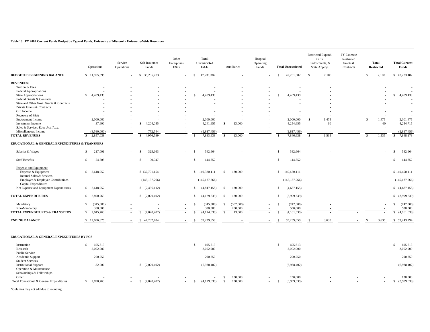#### **Table 13. FY 2004 Current Funds Budget by Type of Funds, University of Missouri - Universtiy-Wide Resources**

|                                                                                                                       | Operations                        | Service<br>Operations | Self Insurance<br>Funds          | Other<br>Enterprises<br>E&G | <b>Total</b><br>Unrestricted<br>E&G  |               | Auxiliaries | Hospital<br>Operating<br>Funds |               | <b>Total Unrestricted</b>      |              | Restricted Expend.<br>Gifts,<br>Endowments, &<br>State Approp. | FY Estimate<br>Restricted<br>Grants &<br>Contracts |               | <b>Total</b><br><b>Restricted</b> | <b>Total Current</b><br>Funds    |
|-----------------------------------------------------------------------------------------------------------------------|-----------------------------------|-----------------------|----------------------------------|-----------------------------|--------------------------------------|---------------|-------------|--------------------------------|---------------|--------------------------------|--------------|----------------------------------------------------------------|----------------------------------------------------|---------------|-----------------------------------|----------------------------------|
| <b>BUDGETED BEGINNING BALANCE</b>                                                                                     | \$11,995,599                      | ä,                    | \$ 35,235,783                    | $\sim$                      | 47,231,382<br>- \$                   |               |             |                                | $\mathbb{S}$  | 47,231,382                     | <sup>S</sup> | 2,100                                                          |                                                    | $\mathbf{s}$  | 2,100                             | \$47,233,482                     |
| <b>REVENUES:</b>                                                                                                      |                                   |                       |                                  |                             |                                      |               |             |                                |               |                                |              |                                                                |                                                    |               |                                   |                                  |
| Tuition & Fees                                                                                                        |                                   |                       |                                  |                             |                                      |               |             |                                |               |                                |              |                                                                |                                                    |               |                                   |                                  |
| Federal Appropriations                                                                                                |                                   |                       |                                  |                             |                                      |               |             |                                |               |                                |              |                                                                |                                                    |               |                                   |                                  |
| <b>State Appropriations</b>                                                                                           | \$4,409,439                       |                       |                                  |                             | 4,409,439<br>S.                      |               |             |                                | <sup>\$</sup> | 4,409,439                      |              |                                                                |                                                    |               |                                   | \$4,409,439                      |
| Federal Grants & Contracts                                                                                            |                                   |                       |                                  |                             |                                      |               |             |                                |               |                                |              |                                                                |                                                    |               |                                   |                                  |
| State and Other Govt. Grants & Contracts                                                                              |                                   |                       |                                  |                             |                                      |               |             |                                |               |                                |              |                                                                |                                                    |               |                                   |                                  |
| Private Grants & Contracts                                                                                            |                                   |                       |                                  |                             |                                      |               |             |                                |               |                                |              |                                                                |                                                    |               |                                   |                                  |
| Gift Income                                                                                                           |                                   |                       |                                  |                             |                                      |               |             |                                |               |                                |              |                                                                |                                                    |               |                                   |                                  |
| Recovery of F&A                                                                                                       |                                   |                       |                                  |                             |                                      |               |             |                                |               |                                |              |                                                                |                                                    |               |                                   |                                  |
|                                                                                                                       |                                   |                       |                                  |                             |                                      |               |             |                                |               |                                | -S           |                                                                |                                                    | \$.           |                                   |                                  |
| <b>Endowment Income</b>                                                                                               | 2,000,000                         |                       |                                  |                             | 2,000,000                            |               |             |                                |               | 2,000,000                      |              | 1,475                                                          |                                                    |               | 1,475                             | 2,001,475                        |
| Investment Income                                                                                                     | 37,600                            |                       | \$4,204,055                      |                             | 4,241,655                            | \$            | 13,000      |                                |               | 4,254,655                      |              | 60                                                             |                                                    |               | 60                                | 4,254,715                        |
| Sales & Services-Educ Act./Aux.                                                                                       |                                   |                       |                                  |                             |                                      |               |             |                                |               |                                |              |                                                                |                                                    |               |                                   |                                  |
| Miscellaneous Income                                                                                                  | (3,590,000)                       |                       | 772,544                          |                             | (2,817,456)                          |               |             |                                |               | (2,817,456)                    |              |                                                                |                                                    |               |                                   | (2,817,456)                      |
| <b>TOTAL REVENUES</b>                                                                                                 | $\mathcal{S}$<br>2,857,039        |                       | 4,976,599                        |                             | 7,833,638                            | $\mathbb{S}$  | 13,000      |                                | $\mathcal{S}$ | 7,846,638                      | $\mathbf S$  | 1,535                                                          |                                                    | <sup>\$</sup> | 1,535                             | 7,848,173<br>S.                  |
| EDUCATIONAL & GENERAL EXPENDITURES & TRANSFERS                                                                        |                                   |                       |                                  |                             |                                      |               |             |                                |               |                                |              |                                                                |                                                    |               |                                   |                                  |
| Salaries & Wages                                                                                                      | $\mathbb{S}$<br>217,001           |                       | 325,663<br>-\$                   |                             | 542,664<br>$\mathcal{S}$             |               |             |                                | <sup>\$</sup> | 542,664                        |              |                                                                |                                                    |               |                                   | 542,664<br>S                     |
| <b>Staff Benefits</b>                                                                                                 | S.<br>54,805                      |                       | 90,047<br>-S                     |                             | -S<br>144,852                        |               |             |                                | $\mathcal{S}$ | 144,852                        |              |                                                                |                                                    |               |                                   | 144,852<br>-S                    |
| <b>Expense and Equipment</b><br>Expense & Equipment<br>Internal Sales & Services<br>Employer & Employee Contributions | \$2,618,957                       |                       | \$137,701,154<br>(145, 137, 266) | $\sim$                      | 140,320,111<br>-S<br>(145, 137, 266) | -S            | 130,000     |                                | S.            | 140,450,111<br>(145, 137, 266) |              |                                                                |                                                    |               |                                   | \$140,450,111<br>(145, 137, 266) |
| Capital Expenditures                                                                                                  |                                   |                       |                                  |                             |                                      |               |             |                                |               |                                |              |                                                                |                                                    |               |                                   |                                  |
| Net Expense and Equipment Expenditures                                                                                | $\mathbb{S}$<br>2,618,957         | $\sim$                | $\mathbb{S}$<br>(7, 436, 112)    | $\sim$                      | (4,817,155)<br>$\mathcal{S}$         | \$            | 130,000     |                                | <sup>\$</sup> | (4,687,155)                    |              |                                                                |                                                    |               |                                   | (4,687,155)<br>$\mathbb{S}$      |
| <b>TOTAL EXPENDITURES</b>                                                                                             | S.<br>2,890,763                   |                       | (7,020,402)<br>-S                |                             | (4,129,639)<br>-\$                   | -S            | 130,000     |                                | -\$           | (3,999,639)                    |              |                                                                |                                                    |               |                                   | (3,999,639)<br>\$                |
| Mandatory                                                                                                             | $\mathbb{S}$<br>(345,000)         |                       |                                  |                             | (345,000)<br>$\mathcal{S}$           | $\mathcal{S}$ | (397,000)   |                                | $\mathcal{S}$ | (742,000)                      |              |                                                                |                                                    |               |                                   | $\mathbb{S}$<br>(742,000)        |
| Non-Mandatory                                                                                                         | 300,000                           |                       |                                  |                             | 300,000                              |               | 280,000     |                                |               | 580,000                        |              |                                                                |                                                    |               |                                   | 580,000                          |
| TOTAL EXPENDITURES & TRANSFERS                                                                                        | 2,845,763<br><sup>S</sup>         |                       | $\mathbb{S}$<br>(7,020,402)      |                             | (4,174,639)<br><sup>S</sup>          | -S            | 13,000      |                                | <sup>\$</sup> | (4,161,639)                    |              |                                                                |                                                    |               |                                   | (4,161,639)<br>$\mathbb{S}$      |
| <b>ENDING BALANCE</b>                                                                                                 | \$12,006,875                      |                       | 47,232,784<br>\$                 |                             | 59,239,659<br>-S                     |               |             |                                |               | 59,239,659                     | -8           | 3,635                                                          |                                                    |               | 3,635                             | \$ 59,243,294                    |
| EDUCATIONAL & GENERAL EXPENDITURES BY PCS                                                                             |                                   |                       |                                  |                             |                                      |               |             |                                |               |                                |              |                                                                |                                                    |               |                                   |                                  |
| Instruction                                                                                                           | $\mathbb{S}$<br>605,613           |                       |                                  |                             | $\mathbf{\hat{S}}$<br>605,613        |               |             |                                | $\mathcal{S}$ | 605,613                        |              |                                                                |                                                    |               |                                   | \$.<br>605,613                   |
| Research                                                                                                              | 2,002,900                         |                       |                                  |                             | 2,002,900                            |               |             |                                |               | 2,002,900                      |              |                                                                |                                                    |               |                                   | 2,002,900                        |
| Public Service                                                                                                        |                                   |                       |                                  |                             |                                      |               |             |                                |               |                                |              |                                                                |                                                    |               |                                   |                                  |
| Academic Support                                                                                                      | 200,250                           |                       |                                  |                             | 200,250                              |               |             |                                |               | 200,250                        |              |                                                                |                                                    |               |                                   | 200,250                          |
|                                                                                                                       |                                   |                       |                                  |                             |                                      |               |             |                                |               |                                |              |                                                                |                                                    |               |                                   |                                  |
| <b>Student Services</b>                                                                                               |                                   |                       |                                  |                             |                                      |               |             |                                |               |                                |              |                                                                |                                                    |               |                                   |                                  |
| <b>Institutional Support</b>                                                                                          | 82,000                            |                       | \$ (7,020,402)                   |                             | (6,938,402)                          |               |             |                                |               | (6,938,402)                    |              |                                                                |                                                    |               |                                   | (6,938,402)                      |
| Operation & Maintenance                                                                                               |                                   |                       |                                  |                             |                                      |               |             |                                |               |                                |              |                                                                |                                                    |               |                                   | ÷.                               |
| Scholarships & Fellowships                                                                                            |                                   |                       |                                  |                             |                                      |               |             |                                |               |                                |              |                                                                |                                                    |               |                                   |                                  |
| Other                                                                                                                 |                                   |                       |                                  |                             |                                      |               | 130,000     |                                |               | 130,000                        |              |                                                                |                                                    |               |                                   | 130,000                          |
| Total Educational & General Expenditures                                                                              | 2,890,763<br>$\sqrt{\frac{2}{5}}$ |                       | $\sqrt{s}$<br>(7,020,402)        |                             | $\mathsf{s}$<br>(4,129,639)          | $\mathbb{S}$  | 130,000     |                                | $\mathbb{S}$  | (3,999,639)                    |              |                                                                |                                                    |               |                                   | (3,999,639)<br>$\mathsf{s}$      |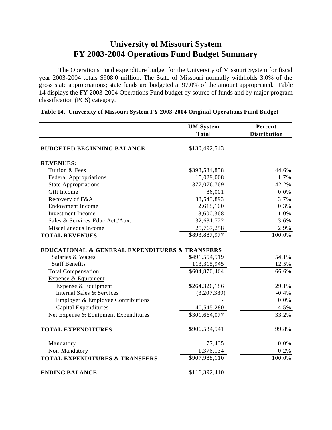# **University of Missouri System FY 2003-2004 Operations Fund Budget Summary**

The Operations Fund expenditure budget for the University of Missouri System for fiscal year 2003-2004 totals \$908.0 million. The State of Missouri normally withholds 3.0% of the gross state appropriations; state funds are budgeted at 97.0% of the amount appropriated. Table 14 displays the FY 2003-2004 Operations Fund budget by source of funds and by major program classification (PCS) category.

|                                                | <b>UM System</b> | Percent             |
|------------------------------------------------|------------------|---------------------|
|                                                | <b>Total</b>     | <b>Distribution</b> |
| <b>BUDGETED BEGINNING BALANCE</b>              | \$130,492,543    |                     |
| <b>REVENUES:</b>                               |                  |                     |
| Tuition & Fees                                 | \$398,534,858    | 44.6%               |
| <b>Federal Appropriations</b>                  | 15,029,008       | 1.7%                |
| <b>State Appropriations</b>                    | 377,076,769      | 42.2%               |
| Gift Income                                    | 86,001           | 0.0%                |
| Recovery of F&A                                | 33,543,893       | 3.7%                |
| <b>Endowment Income</b>                        | 2,618,100        | 0.3%                |
| <b>Investment Income</b>                       | 8,600,368        | 1.0%                |
| Sales & Services-Educ Act./Aux.                | 32,631,722       | 3.6%                |
| Miscellaneous Income                           | 25,767,258       | 2.9%                |
| <b>TOTAL REVENUES</b>                          | \$893,887,977    | 100.0%              |
| EDUCATIONAL & GENERAL EXPENDITURES & TRANSFERS |                  |                     |
| Salaries & Wages                               | \$491,554,519    | 54.1%               |
| <b>Staff Benefits</b>                          | 113,315,945      | 12.5%               |
| <b>Total Compensation</b>                      | \$604,870,464    | 66.6%               |
| Expense & Equipment                            |                  |                     |
| Expense & Equipment                            | \$264,326,186    | 29.1%               |
| Internal Sales & Services                      | (3,207,389)      | $-0.4%$             |
| Employer & Employee Contributions              |                  | 0.0%                |
| Capital Expenditures                           | 40,545,280       | 4.5%                |
| Net Expense & Equipment Expenditures           | \$301,664,077    | 33.2%               |
| <b>TOTAL EXPENDITURES</b>                      | \$906,534,541    | 99.8%               |
| Mandatory                                      | 77,435           | 0.0%                |
| Non-Mandatory                                  | 1,376,134        | 0.2%                |
| <b>TOTAL EXPENDITURES &amp; TRANSFERS</b>      | \$907,988,110    | 100.0%              |
| <b>ENDING BALANCE</b>                          | \$116,392,410    |                     |

## **Table 14. University of Missouri System FY 2003-2004 Original Operations Fund Budget**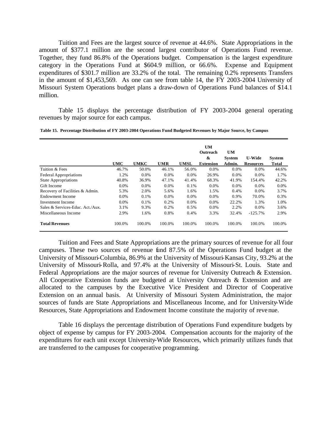Tuition and Fees are the largest source of revenue at 44.6%. State Appropriations in the amount of \$377.1 million are the second largest contributor of Operations Fund revenue. Together, they fund 86.8% of the Operations budget. Compensation is the largest expenditure category in the Operations Fund at \$604.9 million, or 66.6%. Expense and Equipment expenditures of \$301.7 million are 33.2% of the total. The remaining 0.2% represents Transfers in the amount of \$1,453,569. As one can see from table 14, the FY 2003-2004 University of Missouri System Operations budget plans a draw-down of Operations Fund balances of \$14.1 million.

Table 15 displays the percentage distribution of FY 2003-2004 general operating revenues by major source for each campus.

**Table 15. Percentage Distribution of FY 2003-2004 Operations Fund Budgeted Revenues by Major Source, by Campus**

|                                  |            |             |            |             | UM        |               |                  |               |
|----------------------------------|------------|-------------|------------|-------------|-----------|---------------|------------------|---------------|
|                                  |            |             |            |             | Outreach  | <b>UM</b>     |                  |               |
|                                  |            |             |            |             | &         | <b>System</b> | <b>U-Wide</b>    | <b>System</b> |
|                                  | <b>UMC</b> | <b>UMKC</b> | <b>UMR</b> | <b>UMSL</b> | Extension | Admin.        | <b>Resources</b> | <b>Total</b>  |
| Tuition & Fees                   | 46.7%      | 50.0%       | 46.1%      | 56.0%       | 0.0%      | 0.0%          | $0.0\%$          | 44.6%         |
| <b>Federal Appropriations</b>    | 1.2%       | $0.0\%$     | $0.0\%$    | $0.0\%$     | 26.9%     | $0.0\%$       | $0.0\%$          | 1.7%          |
| <b>State Appropriations</b>      | 40.8%      | 36.9%       | 47.1%      | 41.4%       | 68.3%     | 41.9%         | 154.4%           | 42.2%         |
| Gift Income                      | 0.0%       | 0.0%        | 0.0%       | 0.1%        | 0.0%      | 0.0%          | 0.0%             | 0.0%          |
| Recovery of Facilities & Admin.  | 5.3%       | 2.0%        | 5.6%       | 1.6%        | 1.5%      | 0.4%          | $0.0\%$          | 3.7%          |
| Endowment Income                 | $0.0\%$    | 0.1%        | $0.0\%$    | $0.0\%$     | $0.0\%$   | 0.9%          | 70.0%            | 0.3%          |
| Investment Income                | 0.0%       | 0.1%        | 0.2%       | 0.0%        | 0.0%      | 22.2%         | 1.3%             | 1.0%          |
| Sales & Services-Educ. Act./Aux. | 3.1%       | 9.3%        | 0.2%       | 0.5%        | $0.0\%$   | 2.2%          | $0.0\%$          | 3.6%          |
| Miscellaneous Income             | 2.9%       | 1.6%        | 0.8%       | 0.4%        | 3.3%      | 32.4%         | $-125.7%$        | 2.9%          |
| <b>Total Revenues</b>            | 100.0%     | 100.0%      | 100.0%     | 100.0%      | 100.0%    | 100.0%        | 100.0%           | 100.0%        |

Tuition and Fees and State Appropriations are the primary sources of revenue for all four campuses. These two sources of revenue fund 87.5% of the Operations Fund budget at the University of Missouri-Columbia, 86.9% at the University of Missouri-Kansas City, 93.2% at the University of Missouri-Rolla, and 97.4% at the University of Missouri-St. Louis. State and Federal Appropriations are the major sources of revenue for University Outreach & Extension. All Cooperative Extension funds are budgeted at University Outreach & Extension and are allocated to the campuses by the Executive Vice President and Director of Cooperative Extension on an annual basis. At University of Missouri System Administration, the major sources of funds are State Appropriations and Miscellaneous Income, and for University-Wide Resources, State Appropriations and Endowment Income constitute the majority of revenue.

Table 16 displays the percentage distribution of Operations Fund expenditure budgets by object of expense by campus for FY 2003-2004. Compensation accounts for the majority of the expenditures for each unit except University-Wide Resources, which primarily utilizes funds that are transferred to the campuses for cooperative programming.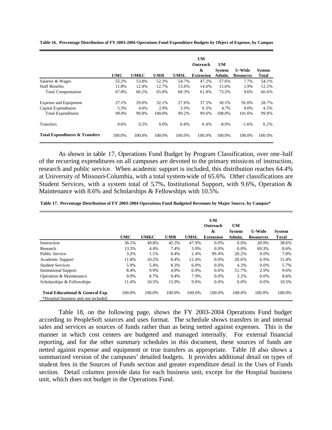**Table 16. Percentage Distribution of FY 2003-2004 Operations Fund Expenditure Budgets by Object of Expense, by Campus**

|                                           |            |             |            |             | <b>UM</b><br>Outreach | UM            |                  |               |
|-------------------------------------------|------------|-------------|------------|-------------|-----------------------|---------------|------------------|---------------|
|                                           |            |             |            |             | &                     | <b>System</b> | <b>U-Wide</b>    | <b>System</b> |
|                                           | <b>UMC</b> | <b>UMKC</b> | <b>UMR</b> | <b>UMSL</b> | <b>Extension</b>      | Admin.        | <b>Resources</b> | <b>Total</b>  |
| Salaries & Wages                          | 55.2%      | 53.8%       | 52.3%      | 54.7%       | 47.2%                 | 57.6%         | 7.7%             | 54.1%         |
| <b>Staff Benefits</b>                     | 11.8%      | 12.4%       | 12.7%      | 13.6%       | 14.6%                 | 15.6%         | 1.9%             | 12.5%         |
| <b>Total Compensation</b>                 | 67.0%      | 66.2%       | 65.0%      | 68.3%       | 61.8%                 | 73.2%         | 9.6%             | 66.6%         |
| Expense and Equipment                     | 27.1%      | 29.0%       | 32.1%      | 27.0%       | 37.5%                 | 30.1%         | 92.0%            | 28.7%         |
| Capital Expenditures                      | 5.3%       | 4.6%        | 2.9%       | 3.9%        | 0.3%                  | 4.7%          | $0.0\%$          | 4.5%          |
| <b>Total Expenditures</b>                 | 99.4%      | 99.8%       | 100.0%     | 99.2%       | 99.6%                 | 108.0%        | 101.6%           | 99.8%         |
| <b>Transfers</b>                          | 0.6%       | 0.2%        | $0.0\%$    | 0.8%        | 0.4%                  | $-8.0\%$      | $-1.6%$          | 0.2%          |
| <b>Total Expenditures &amp; Transfers</b> | 100.0%     | 100.0%      | 100.0%     | 100.0%      | 100.0%                | 100.0%        | 100.0%           | 100.0%        |

As shown in table 17, Operations Fund Budget by Program Classification, over one-half of the recurring expenditures on all campuses are devoted to the primary missio ns of instruction, research and public service. When academic support is included, this distribution reaches 64.4% at University of Missouri-Columbia, with a total system-wide of 65.6%. Other classifications are Student Services, with a system total of 5.7%, Institutional Support, with 9.6%, Operation & Maintenance with 8.6% and Scholarships & Fellowships with 10.5%.

**Table 17. Percentage Distribution of FY 2003-2004 Operations Fund Budgeted Revenues by Major Source, by Campus\***

|                                                                           |            |             |            |             | <b>UM</b><br>Outreach<br>& | <b>UM</b><br><b>System</b> | <b>U-Wide</b>    | <b>System</b> |
|---------------------------------------------------------------------------|------------|-------------|------------|-------------|----------------------------|----------------------------|------------------|---------------|
|                                                                           | <b>UMC</b> | <b>UMKC</b> | <b>UMR</b> | <b>UMSL</b> | <b>Extension</b>           | Admin.                     | <b>Resources</b> | <b>Total</b>  |
| Instruction                                                               | 36.1%      | 49.8%       | 45.3%      | 47.9%       | 0.0%                       | 0.0%                       | 20.9%            | 38.6%         |
| Research                                                                  | 13.3%      | 4.4%        | 7.4%       | 3.9%        | $0.0\%$                    | $0.0\%$                    | 69.3%            | 8.6%          |
| Public Service                                                            | 3.2%       | 1.1%        | 0.4%       | 2.4%        | 99.4%                      | 20.2%                      | 0.0%             | 7.0%          |
| Academic Support                                                          | 11.8%      | 10.2%       | 8.4%       | 15.4%       | 0.0%                       | 20.6%                      | 6.9%             | 11.4%         |
| <b>Student Services</b>                                                   | 5.9%       | 5.4%        | 8.3%       | 6.0%        | $0.0\%$                    | 4.3%                       | 0.0%             | 5.7%          |
| <b>Institutional Support</b>                                              | 8.4%       | 9.9%        | 4.9%       | 6.9%        | 0.6%                       | 51.7%                      | 2.9%             | 9.6%          |
| Operation & Maintenance                                                   | 9.9%       | 8.7%        | 9.4%       | 7.9%        | 0.0%                       | 3.2%                       | 0.0%             | 8.6%          |
| Scholarships & Fellowships                                                | 11.4%      | 10.5%       | 15.9%      | 9.6%        | 0.0%                       | 0.0%                       | 0.0%             | 10.5%         |
| Total Educational & General Exp.<br>*Hospital business unit not included. | 100.0%     | 100.0%      | 100.0%     | 100.0%      | 100.0%                     | 100.0%                     | 100.0%           | 100.0%        |

Table 18, on the following page, shows the FY 2003-2004 Operations Fund budget according to PeopleSoft sources and uses format. The schedule shows transfers in and internal sales and services as sources of funds rather than as being netted against expenses. This is the manner in which cost centers are budgeted and managed internally. For external financial reporting, and for the other summary schedules in this document, these sources of funds are netted against expense and equipment or true transfers as appropriate. Table 18 also shows a summarized version of the campuses' detailed budgets. It provides additional detail on types of student fees in the Sources of Funds section and greater expenditure detail in the Uses of Funds section. Detail columns provide data for each business unit, except for the Hospital business unit, which does not budget in the Operations Fund.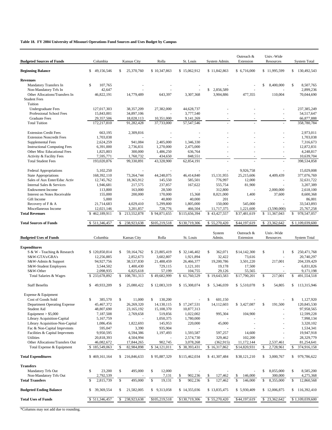### **Table 18. FY 2004 University of Missouri Operations Fund Sources and Uses Budget by Campus**

| <b>Budgeted Sources of Funds</b>                      | Columbia                        | Kansas City                    | Rolla                   | St. Louis                  | System Admin.              | Outreach &<br>Extension    | Univ.-Wide<br>Resources | <b>System Total</b>              |
|-------------------------------------------------------|---------------------------------|--------------------------------|-------------------------|----------------------------|----------------------------|----------------------------|-------------------------|----------------------------------|
| <b>Beginning Balance</b>                              | \$<br>49,156,546                | \$<br>25,370,760               | \$10,347,863            | \$15,062,912               | \$11,842,863               | \$6,716,000                | \$11,995,599            | \$<br>130,492,543                |
| <b>Revenues</b>                                       |                                 |                                |                         |                            |                            |                            |                         |                                  |
| Mandatory Transfers In                                | \$<br>107,765                   |                                |                         |                            |                            |                            | \$<br>8,400,000         | \$<br>8.507.765                  |
| Non-Mandatory Trfs In                                 | 42,647                          |                                |                         |                            | \$<br>2,856,589            |                            |                         | 2,899,236                        |
| Other Allocations/Transfers In                        | 46,822,191                      | 14,779,489                     | 643,397                 | 3,307,368                  | 3,904,886                  | 477,355                    | 110,004                 | 70,044,690                       |
| <b>Student Fees</b>                                   |                                 |                                |                         |                            |                            |                            |                         |                                  |
| Tuition                                               |                                 |                                |                         |                            |                            |                            |                         |                                  |
| Undergraduate Fees<br>Professional School Fees        | 127,017,303                     | 38, 357, 209                   | 27,382,000              | 44,628,737<br>3,777,540    |                            |                            |                         | 237,385,249                      |
| <b>Graduate Fees</b>                                  | 15,843,001<br>29,357,506        | 34,897,106<br>18,028,113       | 10,351,000              | 9,141,269                  |                            |                            |                         | 54,517,647<br>66,877,888         |
| <b>Total Tuition</b>                                  | 172,217,810                     | 91,282,428                     | 37,733,000              | 57,547,546                 |                            |                            |                         | 358,780,784                      |
|                                                       |                                 |                                |                         |                            |                            |                            |                         |                                  |
| <b>Extension Credit Fees</b>                          | 663,195                         | 2,309,816                      |                         |                            |                            |                            |                         | 2,973,011                        |
| <b>Extension Noncredit Fees</b>                       | 1,703,038                       |                                |                         |                            |                            |                            |                         | 1,703,038                        |
| Supplemental Fees                                     | 2,624,259                       | 941,084                        | 2,405,000               | 1,346,330                  |                            |                            |                         | 7,316,673                        |
| <b>Instructional Computing Fees</b>                   | 6,391,000                       | 2,736,831                      | 1,270,000               | 2,475,000                  |                            |                            |                         | 12,872,831                       |
| Other Misc Educational Fees                           | 1,825,803                       | 300,000                        | 1,486,250               | 636,764                    |                            |                            |                         | 4,248,817                        |
| Activity & Facility Fees<br><b>Total Student Fees</b> | 7,595,771<br>193,020,876        | 1,760,732<br>99,330,891        | 434,650<br>43,328,900   | 848,551<br>62,854,191      |                            |                            |                         | 10,639,704<br>398,534,858        |
|                                                       |                                 |                                |                         |                            |                            |                            |                         |                                  |
| <b>Federal Appropriations</b>                         | 5,102,250                       |                                |                         |                            |                            | 9,926,758                  |                         | 15,029,008                       |
| <b>State Appropriations</b>                           | 168,392,110                     | 73,264,744                     | 44,248,075              | 46,414,840                 | 15, 131, 955               | 25,215,606                 | 4,409,439               | 377,076,769                      |
| Sales of Aux Enter/Educ Activ                         | 12,745,762                      | 18,365,912                     | 145,550                 | 585,501                    | 776,997                    | 12,000                     |                         | 32,631,722                       |
| Internal Sales & Services                             | 1,946,681                       | 217,575                        | 237,857                 | 167,622                    | 555,754                    | 81,900                     |                         | 3,207,389                        |
| <b>Endowment Income</b>                               | 113,800                         | 163,000                        | 28,500                  | ä,                         | 312,800                    |                            | 2,000,000               | 2,618,100                        |
| Interest on Notes Receivable                          | 155,000                         | 200,000                        | 170,000                 | 15,368                     | 8,021,000                  | 1,400                      | 37,600                  | 8,600,368                        |
| Gift Income                                           | 5,000                           |                                | 40,800                  | 40,000                     | 201                        |                            |                         | 86,001                           |
| Recovery of F & A                                     | 21,714,683                      | 4,029,410                      | 5,299,800               | 1,805,000                  | 150,000                    | 545,000                    |                         | 33,543,893                       |
| Miscellaneous Income                                  | 12,021,146                      | 3,201,857                      | 728,776                 | 466,504                    | 11,717,375                 | 1,221,600                  | (3,590,000)             | 25,767,258                       |
| <b>Total Revenues</b>                                 | \$462,189,911                   | \$<br>213,552,878              | \$94,871,655            | \$115,656,394              | \$43,427,557               | \$37,481,619               | 11,367,043<br>\$        | 978,547,057<br>\$                |
| <b>Total Sources of Funds</b>                         | \$511,346,457                   | 238,923,638<br>\$.             | \$105,219,518           | \$130,719,306              | \$55,270,420               | \$44,197,619               | 23,362,642<br>\$        | \$1,109,039,600                  |
|                                                       |                                 |                                |                         |                            | System                     | Outreach &                 | Univ.-Wide              |                                  |
| <b>Budgeted Uses of Funds</b>                         | Columbia                        | Kansas City                    | Rolla                   | St. Louis                  | Admin.                     | Extension                  | Resources               | <b>System Total</b>              |
|                                                       |                                 |                                |                         |                            |                            |                            |                         |                                  |
| <b>Expenditures</b>                                   |                                 |                                |                         |                            |                            |                            |                         |                                  |
| S & W - Teaching & Research                           | \$120,850,814                   | 59,164,762<br>\$               | \$23,805,419            | \$ 32,146,402              | \$<br>362,071              | \$14,142,300               | \$<br>-1                | 250,471,768<br>\$                |
| S&W-GTA's/GRA's                                       | 12,256,885                      | 2,852,673                      | 3,602,807               | 1,921,894                  | 32,422                     | 73,616                     |                         | 20,740,297                       |
| S&W-Admin & Support<br>S&W-Student Employees          | 94,927,756<br>3,544,502         | 38,537,830<br>1,400,430        | 21,488,459<br>729,115   | 26,466,377<br>1,121,101    | 19,200,786<br>19,178       | 3,501,220<br>17,500        | 217,001                 | 204,339,429<br>6,831,826         |
| S&W-Other                                             | 2,098,935                       | 6,825,618                      | 57,199                  | 104,755                    | 29,126                     | 55,565                     |                         | 9,171,198                        |
| Total Salaries & Wages                                | \$233,678,892                   | \$<br>108,781,313              | \$49,682,999            | \$61,760,529               | \$19,643,583               | \$17,790,201               | \$<br>217,001           | \$<br>491,554,518                |
|                                                       |                                 |                                |                         |                            |                            |                            |                         |                                  |
| <b>Staff Benefits</b>                                 | \$.<br>49.933.209               | \$<br>25,080,422               | \$12,083,319            | \$15,308,074               | \$<br>5,346,039            | \$5,510,078                | \$<br>54,805            | 113,315,946<br>\$                |
| Expense & Equipment                                   |                                 |                                |                         |                            |                            |                            |                         |                                  |
| Cost of Goods Sold                                    | \$<br>385,570                   | \$<br>11,000                   | \$<br>130,200           |                            | \$<br>601,150              |                            |                         | \$<br>1,127,920                  |
| Department Operating Expense                          | 45,467,372                      | 26,269,320                     | 14,130,115              | \$17,247,531               | 14,112,603                 | \$ 3,427,087               | \$<br>191,500           | 120,845,530                      |
| Student Aid                                           | 48,807,690                      | 23,165,192                     | 15,108,370              | 10,877,313                 |                            |                            |                         | 97,958,565                       |
| Equipment $> $5,000$                                  | 7,187,508                       | 2,769,658                      | 519,856                 | 1,022,002                  | 995,304                    | 104,900                    |                         | 12,599,228                       |
| Library Acquisition-Capital                           | 5,167,759                       |                                | 1,050,375               | 1,780,000                  |                            |                            |                         | 7,998,134                        |
| Library Acquisition-Non-Capital                       | 1,086,456                       | 1,822,693                      | 145,953                 | 220,000                    | 45,000                     |                            |                         | 3,320,102                        |
| Fac & Non-Capital Imprvmnts                           | 595,047                         | 3,390                          | 935,904                 |                            |                            |                            |                         | 1,534,341                        |
| Facilities & Capital Imprvmnts                        | 9,950,595                       | 6,594,386                      | 1,197,493               | 1,593,587                  | 597,257                    | 14,600                     |                         | 19,947,918                       |
| <b>Utilities</b><br>Other Allocations/Transfers Out   | 20,818,393                      | 4,504,994                      |                         | 2,574,730                  | 329,462                    | 102,200                    | 2,537,461               | 28,329,779                       |
| Total Expense & Equipment                             | 46,082,672<br>\$185,549,063     | 17,844,265<br>82,984,898<br>\$ | 902,745<br>\$34,121,011 | 3,078,268<br>\$ 38,393,431 | (362, 915)<br>\$16,317,862 | 11,172,144<br>\$14,820,931 | 2,728,961<br>\$         | 81,254,641<br>374,916,158<br>\$. |
|                                                       |                                 |                                |                         |                            |                            |                            |                         |                                  |
| <b>Total Expenditures</b>                             | \$469,161,164                   | \$216,846,633                  | \$95,887,329            | \$115,462,034              | \$41,307,484               | \$38,121,210               | 3,000,767<br>\$         | 979,786,622<br>\$                |
| <b>Transfers</b>                                      |                                 |                                |                         |                            |                            |                            |                         |                                  |
| <b>Mandatory Trfs Out</b>                             | 23,200<br>\$                    | \$<br>495,000                  | \$<br>12,000            |                            |                            |                            | \$<br>8,055,000         | \$<br>8,585,200                  |
| Non-Mandatory Trfs Out                                | 2,792,539                       |                                | 7,131                   | 902,236<br>\$              | \$<br>127,462              | \$<br>146,000              | 300,000                 | 4,275,368                        |
| <b>Total Transfers</b>                                | $\mathbf{\hat{S}}$<br>2,815,739 | \$<br>495,000                  | 19,131<br>\$            | \$<br>902,236              | \$<br>127,462              | \$<br>146,000              | \$<br>8,355,000         | \$<br>12,860,568                 |
| <b>Budgeted Ending Balance</b>                        | 39,369,554<br>\$                | 21,582,005<br>\$               | \$9,313,058             | \$14,355,036               | \$13,835,475               | \$5,930,409                | \$12,006,875            | 116,392,410<br>\$                |
| <b>Total Uses of Funds</b>                            | \$511,346,457                   | 238,923,638<br>s.              | \$105,219,518           | \$130,719,306              | \$55,270,420               | \$44,197,619               | \$23,362,642            | \$1,109,039,600                  |
|                                                       |                                 |                                |                         |                            |                            |                            |                         |                                  |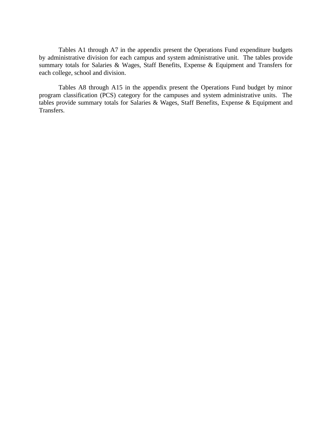Tables A1 through A7 in the appendix present the Operations Fund expenditure budgets by administrative division for each campus and system administrative unit. The tables provide summary totals for Salaries & Wages, Staff Benefits, Expense & Equipment and Transfers for each college, school and division.

Tables A8 through A15 in the appendix present the Operations Fund budget by minor program classification (PCS) category for the campuses and system administrative units. The tables provide summary totals for Salaries & Wages, Staff Benefits, Expense & Equipment and Transfers.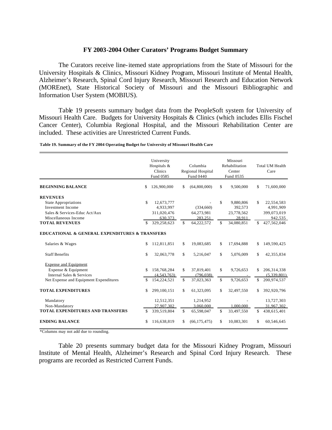### **FY 2003-2004 Other Curators' Programs Budget Summary**

The Curators receive line-itemed state appropriations from the State of Missouri for the University Hospitals & Clinics, Missouri Kidney Program, Missouri Institute of Mental Health, Alzheimer's Research, Spinal Cord Injury Research, Missouri Research and Education Network (MOREnet), State Historical Society of Missouri and the Missouri Bibliographic and Information User System (MOBIUS).

Table 19 presents summary budget data from the PeopleSoft system for University of Missouri Health Care. Budgets for University Hospitals & Clinics (which includes Ellis Fischel Cancer Center), Columbia Regional Hospital, and the Missouri Rehabilitation Center are included. These activities are Unrestricted Current Funds.

|                                                                                          |               | University<br>Hospitals &<br>Clinics<br>Fund 0585 |              | Columbia<br>Regional Hospital<br>Fund 0440 |     | Missouri<br>Rehabilitation<br>Center<br>Fund 0535 |     | <b>Total UM Health</b><br>Care         |
|------------------------------------------------------------------------------------------|---------------|---------------------------------------------------|--------------|--------------------------------------------|-----|---------------------------------------------------|-----|----------------------------------------|
| <b>BEGINNING BALANCE</b>                                                                 | \$            | 126,900,000                                       | \$           | (64,800,000)                               | \$  | 9,500,000                                         | \$  | 71,600,000                             |
| <b>REVENUES</b>                                                                          |               |                                                   |              |                                            |     |                                                   |     |                                        |
| <b>State Appropriations</b><br><b>Investment Income</b><br>Sales & Services-Educ Act/Aux | $\mathcal{S}$ | 12,673,777<br>4,933,997<br>311,020,476            |              | (334,660)<br>64,273,981                    | \$  | 9.880.806<br>392,573<br>23,778,562                | \$  | 22,554,583<br>4,991,909<br>399,073,019 |
| Miscellaneous Income<br><b>TOTAL REVENUES</b>                                            |               | 630.373<br>329,258,623                            | \$.          | 283.251<br>64,222,572                      | \$. | 28.911<br>34,080,851                              | \$. | 942.535<br>427,562,046                 |
| EDUCATIONAL & GENERAL EXPENDITURES & TRANSFERS                                           |               |                                                   |              |                                            |     |                                                   |     |                                        |
| Salaries & Wages                                                                         | \$            | 112,811,851                                       | \$           | 19,083,685                                 | \$  | 17,694,888                                        | \$  | 149,590,425                            |
| <b>Staff Benefits</b>                                                                    | \$            | 32,063,778                                        | $\mathbb{S}$ | 5.216.047                                  | \$  | 5,076,009                                         | \$  | 42,355,834                             |
| <b>Expense and Equipment</b>                                                             |               |                                                   |              |                                            |     |                                                   |     |                                        |
| Expense & Equipment<br>Internal Sales & Services                                         | \$            | 158,768,284<br>(4,543,763)                        | \$.          | 37,819,401<br>(796.038)                    | \$. | 9,726,653                                         | S   | 206, 314, 338<br>(5,339,801)           |
| Net Expense and Equipment Expenditures                                                   | S             | 154,224,521                                       | \$           | 37,023,363                                 | \$  | 9,726,653                                         | \$  | 200,974,537                            |
| <b>TOTAL EXPENDITURES</b>                                                                | \$            | 299,100,151                                       | \$           | 61,323,095                                 | \$  | 32,497,550                                        | \$  | 392,920,796                            |
| Mandatory                                                                                |               | 12,512,351                                        |              | 1,214,952                                  |     |                                                   |     | 13,727,303                             |
| Non-Mandatory<br><b>TOTAL EXPENDITURES AND TRANSFERS</b>                                 | \$            | 27,907,302<br>339,519,804                         | S            | 3,060,000<br>65,598,047                    | \$  | 1.000.000<br>33,497,550                           | \$  | 31,967,302<br>438,615,401              |
| <b>ENDING BALANCE</b>                                                                    | \$            | 116,638,819                                       | \$           | (66, 175, 475)                             | \$  | 10,083,301                                        | \$  | 60,546,645                             |

**Table 19. Summary of the FY 2004 Operating Budget for University of Missouri Health Care**

\*Columns may not add due to rounding.

Table 20 presents summary budget data for the Missouri Kidney Program, Missouri Institute of Mental Health, Alzheimer's Research and Spinal Cord Injury Research. These programs are recorded as Restricted Current Funds.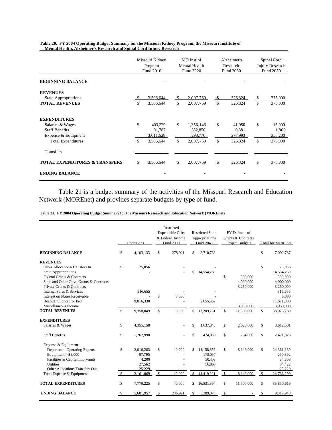|                                                                                         |    | Missouri Kidney<br>Program<br>Fund 2010 |          | MO Inst of<br>Mental Health<br>Fund 2020 |          | Alzheimer's<br>Research<br>Fund 2030 |          | Spinal Cord<br><b>Injury Research</b><br>Fund 2050 |
|-----------------------------------------------------------------------------------------|----|-----------------------------------------|----------|------------------------------------------|----------|--------------------------------------|----------|----------------------------------------------------|
| <b>BEGINNING BALANCE</b>                                                                |    |                                         |          |                                          |          |                                      |          |                                                    |
| <b>REVENUES</b><br><b>State Appropriations</b><br><b>TOTAL REVENUES</b>                 | \$ | 3,506,644<br>3,506,644                  | \$<br>\$ | 2.007.769<br>2,007,769                   | \$<br>\$ | 326,324<br>326,324                   | \$<br>\$ | 375,000<br>375,000                                 |
| <b>EXPENDITURES</b><br>Salaries & Wages<br><b>Staff Benefits</b><br>Expense & Equipment | \$ | 403,229<br>91,787<br>3.011.628          | \$       | 1,356,143<br>352,850<br>298,776          | \$       | 41,950<br>6,381<br>277,993           | \$       | 15,000<br>1,800<br>358,200                         |
| <b>Total Expenditures</b><br>Transfers                                                  | \$ | 3,506,644                               | \$       | 2,007,769                                | \$       | 326,324                              | \$       | 375,000                                            |
| <b>TOTAL EXPENDITURES &amp; TRANSFERS</b>                                               |    | 3,506,644                               | \$       | 2,007,769                                | \$       | 326,324                              | \$       | 375,000                                            |
| <b>ENDING BALANCE</b>                                                                   |    |                                         |          |                                          |          |                                      |          |                                                    |

**Mental Health, Alzheimer's Research and Spinal Cord Injury Research Table 20. FY 2004 Operating Budget Summary for the Missouri Kidney Program, the Missouri Institute of** 

Table 21 is a budget summary of the activities of the Missouri Research and Education Network (MOREnet) and provides separate budgets by type of fund.

**Table 21. FY 2004 Operating Budget Summary for the Missouri Research and Education Network (MOREnet)**

|                                                                                                                                                                                          |                    | Operations                                       |                    | Restricted<br><b>Expendable Gifts</b><br>& Endow. Income<br><b>Fund 2000</b> |               | <b>Restricted State</b><br>Appropriations<br>Fund 2040  |                    | FY Estimate of<br>Grants & Contracts<br><b>Project Budgets</b> |                     | <b>Total for MOREnet</b>                                  |
|------------------------------------------------------------------------------------------------------------------------------------------------------------------------------------------|--------------------|--------------------------------------------------|--------------------|------------------------------------------------------------------------------|---------------|---------------------------------------------------------|--------------------|----------------------------------------------------------------|---------------------|-----------------------------------------------------------|
| <b>BEGINNING BALANCE</b>                                                                                                                                                                 | \$                 | 4,103,133                                        | \$                 | 278,921                                                                      | \$            | 2,710,733                                               |                    |                                                                | \$                  | 7,092,787                                                 |
| <b>REVENUES</b><br>Other Allocations/Transfers In<br><b>State Appropriations</b><br>Federal Grants & Contracts<br>State and Other Govt. Grants & Contracts<br>Private Grants & Contracts | \$                 | 25,056                                           |                    |                                                                              | \$            | 14,554,269                                              | \$                 | 300,000<br>4,000,000<br>3,250,000                              | \$                  | 25,056<br>14,554,269<br>300,000<br>4,000,000<br>3,250,000 |
| Internal Sales & Services<br>Interest on Notes Receivable<br><b>Hospital Support for Prof</b><br>Miscellaneous Income<br><b>TOTAL REVENUES</b>                                           | $\mathbf{s}$       | 316,655<br>9,016,338<br>9,358,049                | \$<br>$\mathbf{s}$ | 8,000<br>8,000                                                               | $\mathcal{S}$ | 2,655,462<br>17,209,731                                 | $\mathsf{\$}$      | 3.950.000<br>11,500,000                                        | $\mathbf{s}$        | 316,655<br>8,000<br>11,671,800<br>3,950,000<br>38,075,780 |
| <b>EXPENDITURES</b>                                                                                                                                                                      |                    |                                                  |                    |                                                                              |               |                                                         |                    |                                                                |                     |                                                           |
| Salaries & Wages                                                                                                                                                                         | \$                 | 4,355,158                                        |                    |                                                                              | \$            | 1,637,343                                               | \$                 | 2,620,000                                                      | \$                  | 8,612,501                                                 |
| <b>Staff Benefits</b>                                                                                                                                                                    | \$                 | 1,262,998                                        |                    |                                                                              | $\mathbb{S}$  | 474,830                                                 | \$                 | 734,000                                                        | $\mathbb{S}$        | 2,471,828                                                 |
| Expense & Equipment<br><b>Department Operating Expense</b><br>Equipment $> $5,000$<br>Facilities & Capital Imprymnts<br><b>Utilities</b><br>Other Allocations/Transfers Out              | \$<br><sup>S</sup> | 2,016,283<br>87,795<br>4,200<br>27,562<br>25,229 | \$<br>\$           | 40,000<br>40,000                                                             | \$.<br>\$     | 14,158,856<br>173,097<br>30,408<br>56,860<br>14,419,221 | \$<br>$\mathbb{S}$ | 8,146,000<br>8,146,000                                         | \$<br>$\mathbb{S}$  | 24,361,139<br>260,892<br>34,608<br>84,422<br>25,229       |
| Total Expense & Equipment<br><b>TOTAL EXPENDITURES</b>                                                                                                                                   |                    | 2,161,069                                        |                    |                                                                              |               |                                                         |                    |                                                                |                     | 24,766,290                                                |
| <b>ENDING BALANCE</b>                                                                                                                                                                    | \$<br>-S           | 7,779,225<br>5,681,957                           | \$<br>-S           | 40,000<br>246,921                                                            | \$<br>\$      | 16,531,394<br>3,389,070                                 | \$<br>-\$          | 11,500,000                                                     | \$<br><sup>\$</sup> | 35,850,619<br>9,317,948                                   |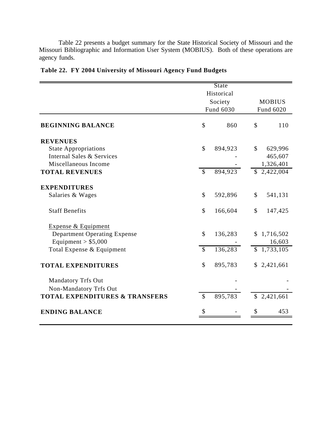Table 22 presents a budget summary for the State Historical Society of Missouri and the Missouri Bibliographic and Information User System (MOBIUS). Both of these operations are agency funds.

|               | State                    |                                               |               |
|---------------|--------------------------|-----------------------------------------------|---------------|
|               |                          |                                               |               |
|               |                          |                                               | <b>MOBIUS</b> |
|               |                          |                                               | Fund 6020     |
| \$            | 860                      | \$                                            | 110           |
|               |                          |                                               |               |
| \$            | 894,923                  | $\mathcal{S}$                                 | 629,996       |
|               |                          |                                               | 465,607       |
|               |                          |                                               | 1,326,401     |
|               |                          |                                               | \$2,422,004   |
|               |                          |                                               |               |
| \$            | 592,896                  | \$                                            | 541,131       |
| \$            | 166,604                  | \$                                            | 147,425       |
|               |                          |                                               |               |
| \$            | 136,283                  | \$                                            | 1,716,502     |
|               |                          |                                               | 16,603        |
| $\mathcal{S}$ | 136,283                  | \$                                            | 1,733,105     |
| \$            | 895,783                  |                                               | \$2,421,661   |
|               |                          |                                               |               |
|               |                          |                                               |               |
| $\mathcal{S}$ | 895,783                  |                                               | \$2,421,661   |
|               |                          |                                               | 453           |
|               | $\overline{\mathcal{S}}$ | Historical<br>Society<br>Fund 6030<br>894,923 |               |

# **Table 22. FY 2004 University of Missouri Agency Fund Budgets**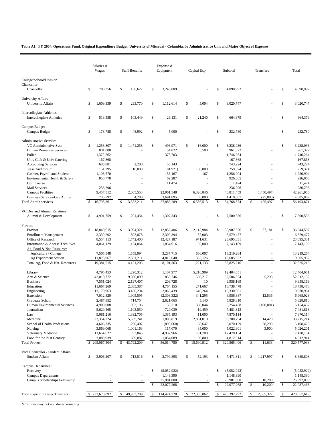**Table A1. FY 2004, Operations Fund, Original Expenditure Budget, University of Missouri - Columbia, by Administrative Unit and Major Object of Expense** 

|                                                             | Salaries &<br>Wages        |             | <b>Staff Benefits</b> |              | Expense &<br>Equipment |              | Capital Exp         |               | Subtotal      |              | Transfers |              | Total       |
|-------------------------------------------------------------|----------------------------|-------------|-----------------------|--------------|------------------------|--------------|---------------------|---------------|---------------|--------------|-----------|--------------|-------------|
|                                                             |                            |             |                       |              |                        |              |                     |               |               |              |           |              |             |
| College/School/Division                                     |                            |             |                       |              |                        |              |                     |               |               |              |           |              |             |
| Chancellor                                                  |                            |             |                       |              |                        |              |                     |               |               |              |           |              |             |
| Chancellor                                                  | \$<br>708,356              | \$          | 136,627               | \$           | 3,246,009              |              |                     | \$            | 4,090,992     |              |           | $\mathbb S$  | 4,090,992   |
| University Affairs                                          |                            |             |                       |              |                        |              |                     |               |               |              |           |              |             |
| University Affairs                                          | \$<br>1,609,359            | \$          | 293,770               | \$           | 1,112,614              | \$           | 5,004               | \$            | 3,020,747     |              |           | \$           | 3,020,747   |
|                                                             |                            |             |                       |              |                        |              |                     |               |               |              |           |              |             |
| <b>Intercollegiate Athletics</b>                            |                            |             |                       |              |                        |              |                     |               |               |              |           |              |             |
| <b>Intercollegiate Athletics</b>                            | \$<br>513,558              | \$          | 103,449               | \$           | 26,131                 | \$           | 21,240              | \$            | 664,379       |              |           | $\mathbb{S}$ | 664,379     |
|                                                             |                            |             |                       |              |                        |              |                     |               |               |              |           |              |             |
| Campus Budget                                               | \$                         | $\mathbb S$ |                       | \$           |                        |              |                     | \$            |               |              |           | \$           |             |
| Campus Budget                                               | 178,788                    |             | 48,992                |              | 5,000                  |              |                     |               | 232,780       |              |           |              | 232,780     |
| <b>Administrative Services</b>                              |                            |             |                       |              |                        |              |                     |               |               |              |           |              |             |
| VC Administrative Svcs                                      | \$<br>1,253,807            | \$          | 1,471,258             | \$           | 496,971                | \$           | 16,000              | \$            | 3,238,036     |              |           | $\mathbb{S}$ | 3,238,036   |
| Human Resources Services                                    | 801,000                    |             |                       |              | 154,822                |              | 5,500               |               | 961,322       |              |           |              | 961,322     |
| Police                                                      | 1,372,562                  |             |                       |              | 373,703                |              |                     |               | 1,746,264     |              |           |              | 1,746,264   |
| Univ Club & Univ Catering                                   | 167,868                    |             |                       |              |                        |              |                     |               | 167,868       |              |           |              | 167,868     |
| <b>Accounting Services</b>                                  | 685,881                    |             | 2,200                 |              | 55,143                 |              |                     |               | 743,224       |              |           |              | 743,224     |
| Jesse Auditorium                                            | 151,295                    |             | 10,000                |              | (81,921)               |              | 180,000             |               | 259,374       |              |           |              | 259,374     |
| Cashier, Payroll and Student                                | 1,103,570                  |             |                       |              | 153,167                |              | 167                 |               | 1,256,904     |              |           |              | 1,256,904   |
| Environmental Health & Safety                               | 856,778                    |             | ä,                    |              | 69,287                 |              |                     |               | 926,065       |              |           |              | 926,065     |
| Golf Course                                                 |                            |             |                       |              | 11,474                 |              |                     |               | 11,474        |              |           |              | 11,474      |
| Mail Services                                               | 236,296                    |             |                       |              |                        |              |                     |               | 236,296       |              |           |              | 236,296     |
| <b>Campus Facilities</b>                                    | 9,457,512                  |             | 2,065,553             |              | 22,961,548             |              | 6,326,846           |               | 40,811,459    |              | 1,450,497 |              | 42,261,956  |
| Business Services-Gen Admin                                 | 706,792                    |             | 4,200                 |              | 3,691,095              |              | 8,000               |               | 4,410,087     |              | (25,000)  |              | 4,385,087   |
| <b>Total Admin services</b>                                 | 16,793,361<br>$\mathbb{S}$ | S           | 3,553,211             | $\mathbb{S}$ | 27,885,289             | $\mathbb{S}$ | 6,536,513           | $\mathsf{\$}$ | 54,768,374    | $\mathbb{S}$ | 1,425,497 | $\mathbb{S}$ | 56,193,871  |
|                                                             |                            |             |                       |              |                        |              |                     |               |               |              |           |              |             |
| VC Dev and Alumni Relations                                 |                            |             |                       |              |                        |              |                     |               |               |              |           |              |             |
| Alumni & Development                                        | \$<br>4,901,759            | \$          | 1,291,434             | \$           | 1,307,343              |              |                     | \$            | 7,500,536     |              |           | $\mathbb{S}$ | 7,500,536   |
|                                                             |                            |             |                       |              |                        |              |                     |               |               |              |           |              |             |
| Provost                                                     | \$                         | \$          |                       | \$           |                        | \$           |                     | \$            |               | \$           | 37,181    | $\mathbb S$  |             |
| Provost                                                     | 18,840,615                 |             | 3,094,321             |              | 12,856,406             |              | 2,115,984<br>37,003 |               | 36,907,326    |              |           |              | 36,944,507  |
| <b>Enrollment Management</b>                                | 3,339,202                  |             | 893,878               |              | 2,309,394              |              |                     |               | 6,579,477     |              |           |              | 6,579,477   |
| Office of Research                                          | 8,554,113                  |             | 1,742,400             |              | 12,427,187             |              | 971,631             |               | 23,695,331    |              |           |              | 23,695,331  |
| Information & Access Tech Svcs<br>Ag, Food & Nat. Resources | 4,061,129                  |             | 1,154,064             |              | 1,834,916              |              | 93,000              |               | 7,143,109     |              | ÷         |              | 7,143,109   |
| Agriculture - College                                       | 7,505,548                  |             | 1,559,994             |              | 3,287,715              |              | 866,007             |               | 13,219,264    |              | ä,        |              | 13,219,264  |
| Ag Experiment Station                                       | 11,875,967                 |             | 2,561,211             |              | 4,813,648              |              | 355,126             |               | 19,605,952    |              |           |              | 19,605,952  |
| Total Ag, Food & Nat. Resources                             | 19,381,515                 |             | 4,121,205             |              | 8,101,363              |              | 1,221,133           |               | 32,825,216    |              |           |              | 32,825,216  |
|                                                             |                            |             |                       |              |                        |              |                     |               |               |              |           |              |             |
| Library                                                     | 4,795,453                  |             | 1,290,312             |              | 1,107,977              |              | 5.210.909           |               | 12,404,651    |              |           |              | 12,404,651  |
| Arts & Science                                              | 42,010,772                 |             | 9,080,099             |              | 855,746                |              | 560,217             |               | 52,506,834    |              | 5,298     |              | 52,512,132  |
| <b>Business</b>                                             | 7,551,024                  |             | 2,197,407             |              | 209,728                |              | 10                  |               | 9,958,169     |              |           |              | 9,958,169   |
| Education                                                   | 11,667,269                 |             | 2,035,387             |              | 4,764,155              |              | 271,667             |               | 18,738,478    |              |           |              | 18,738,478  |
| Engineering                                                 | 13,170,963                 |             | 3,450,294             |              | 2,063,439              |              | 646,264             |               | 19,330,961    |              |           |              | 19,330,961  |
| Extension                                                   | 7,012,820                  |             | 1,905,595             |              | (2,303,322)            |              | 341,295             |               | 6,956,387     |              | 12,536    |              | 6,968,923   |
| Graduate School                                             | 2,487,852                  |             | 714,754               |              | 2,621,065              |              | 5,140               |               | 5,828,810     |              |           |              | 5,828,810   |
| Human Environmental Sciences                                | 4,909,008                  |             | 962,196               |              | 33,210                 |              | 350,044             |               | 6,254,458     |              | (100,001) |              | 6,154,457   |
| Journalism                                                  | 5,629,465                  |             | 1,103,850             |              | 729,039                |              | 19,459              |               | 7,481,813     |              |           |              | 7,481,813   |
| Law                                                         | 5,081,216                  |             | 1,392,705             |              | 1,385,193              |              | 11,000              |               | 7,870,114     |              |           |              | 7,870,114   |
| Medicine                                                    | 23,354,724                 |             | 5,659,241             |              | 1,805,819              |              | 2,881,010           |               | 33,700,794    |              | 14,420    |              | 33,715,214  |
| School of Health Professions                                | 4,606,735                  |             | 1,290,407             |              | (895, 660)             |              | 68,647              |               | 5,070,129     |              | 38,299    |              | 5,108,428   |
| Nursing                                                     | 3,869,068                  |             | 1,001,163             |              | 117,070                |              | 35,000              |               | 5,022,301     |              | 3,900     |              | 5,026,201   |
| Veterinary Medicine                                         | 11,654,622                 |             | 93,845                |              | 4,937,966              |              | 791,700             |               | 17,478,134    |              |           |              | 17,478,134  |
| Food for the 21st Century                                   | 3,089,939                  |             | 609,087               |              | 1,054,089              |              | 59,800              |               | 4,812,914     |              |           |              | 4,812,914   |
| <b>Total Provost</b>                                        | 205,067,504<br>S           | \$          | 43,792,209            | \$           | 56,014,780             |              | \$15,690,912        | \$            | 320, 565, 406 | \$           | 11,633    | S            | 320,577,038 |
|                                                             |                            |             |                       |              |                        |              |                     |               |               |              |           |              |             |
| Vice Chancellor - Student Affairs                           |                            |             |                       |              |                        |              |                     |               |               |              |           |              |             |
| <b>Student Affairs</b>                                      | \$<br>3,906,207            | \$          | 713,516               | \$           | 2,799,895              | \$           | 52,193              | \$            | 7,471,811     | \$           | 1,217,997 | \$           | 8,689,808   |
|                                                             |                            |             |                       |              |                        |              |                     |               |               |              |           |              |             |
| Campus Department<br>Recovery                               |                            |             |                       | \$           | (5,052,922)            |              |                     | S             | (5,052,922)   |              |           | \$           | (5,052,922) |
| <b>Campus Departments</b>                                   |                            |             |                       |              | 1,148,390              |              |                     |               | 1,148,390     |              |           |              | 1,148,390   |
| Campus Scholarships Fellowship                              |                            |             |                       |              | 25,981,800             |              |                     |               | 25,981,800    |              | 10,200    |              | 25,992,000  |
|                                                             |                            |             |                       |              | 22,077,268             |              |                     | S             | 22,077,268    | \$           | 10,200    | \$           | 22,087,468  |
|                                                             |                            |             |                       |              |                        |              |                     |               |               |              |           |              |             |
| Total Expenditures & Transfers                              | 233,678,892<br>\$          |             | 49,933,209            |              | 114,474,328            | \$           | 22,305,862          | S             | 420,392,292   | \$           | 2,665,327 | \$           | 423,057,619 |
|                                                             |                            |             |                       |              |                        |              |                     |               |               |              |           |              |             |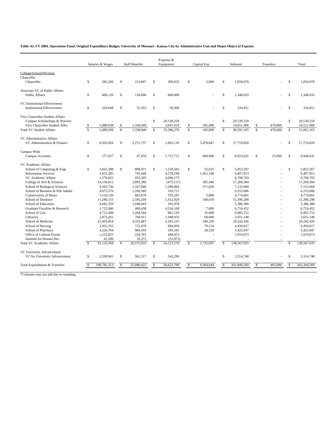**Table A2. FY 2004, Operations Fund, Original Expenditure Budget, University of Missouri - Kansas City by Administrative Unit and Major Object of Expense**

|                                                                      | Salaries & Wages<br><b>Staff Benefits</b> |             |                    |            | Expense &<br>Equipment |            | Capital Exp             |           | Subtotal           |             | Transfers               | Total   |                    |             |
|----------------------------------------------------------------------|-------------------------------------------|-------------|--------------------|------------|------------------------|------------|-------------------------|-----------|--------------------|-------------|-------------------------|---------|--------------------|-------------|
|                                                                      |                                           |             |                    |            |                        |            |                         |           |                    |             |                         |         |                    |             |
| College/School/Division                                              |                                           |             |                    |            |                        |            |                         |           |                    |             |                         |         |                    |             |
| Chancellor                                                           |                                           |             |                    |            |                        |            |                         |           |                    |             |                         |         |                    |             |
| Chancellor                                                           | \$                                        | 582,206     | \$                 | 153,847    | \$                     | 309,025    | \$                      | 5,000     | \$                 | 1,050,078   |                         |         | \$                 | 1,050,078   |
| Associate VC of Public Affairs<br><b>Public Affairs</b>              | \$                                        | 606,139     | \$                 | 134,000    | \$                     | 608,496    |                         |           | \$                 | 1,348,635   |                         |         | \$                 | 1,348,635   |
| VC Institutional Effectiveness<br><b>Institutional Effectiveness</b> | $\mathbb{S}$                              | 228,648     | \$                 | 55,503     | \$                     | 50,300     |                         |           | \$                 | 334,451     |                         |         | $\mathbf{s}$       | 334,451     |
| Vice Chancellor Student Affairs<br>Campus Scholarships & Waivers     |                                           |             |                    |            | \$                     | 20.539.259 |                         |           | \$                 | 20.539.259  |                         |         | $\mathsf{\$}$      | 20.539.259  |
| Vice Chancellor Student Affrs                                        | \$                                        | 5,480,938   | \$                 | 1,338,949  |                        | 3,047,019  | \$                      | 185,000   |                    | 10,051,906  | \$                      | 470,000 |                    | 10,521,906  |
| <b>Total VC Student Affairs</b>                                      | $\overline{\mathbf{s}}$                   | 5.480.938   | $\mathbb{S}$       | 1.338.949  | $\mathcal{S}$          | 23,586,278 | $\overline{\mathbf{s}}$ | 185,000   | $\mathbf{\hat{s}}$ | 30.591.165  | $\overline{\mathbf{s}}$ | 470,000 | $\mathbf{\hat{S}}$ |             |
|                                                                      |                                           |             |                    |            |                        |            |                         |           |                    |             |                         |         |                    | 31,061,165  |
| VC Administrative Affairs                                            |                                           |             |                    |            |                        |            |                         |           |                    |             |                         |         |                    |             |
| VC Administration & Finance                                          | $\mathbb{S}$                              | 8,303,926   | $\mathbb{S}$       | 2,272,737  | $\mathbf S$            | 1.665.116  | \$                      | 5.478.047 | \$                 | 17.719.826  |                         |         | \$                 | 17.719.826  |
| Campus Wide                                                          |                                           |             |                    |            |                        |            |                         |           |                    |             |                         |         |                    |             |
| <b>Campus Accounts</b>                                               | $\mathbb{S}$                              | 177,057     | $\mathbb{S}$       | 47.959     | $\mathcal{S}$          | 7.737.715  | \$                      | 960,900   | \$                 | 8.923.631   | \$                      | 25,000  | $\mathsf{\$}$      | 8.948.631   |
| VC Academic Affairs                                                  |                                           |             |                    |            |                        |            |                         |           |                    |             |                         |         |                    |             |
| School of Computing & Engr                                           | \$                                        | 3,841,588   | \$                 | 808,471    | \$                     | 1,150,583  | \$                      | 52,625    | \$                 | 5,853,267   |                         |         | \$                 | 5,853,267   |
| <b>Information Services</b>                                          |                                           | 3,023,385   |                    | 745,040    |                        | 4,278,198  |                         | 1,451,190 |                    | 9,497,813   |                         |         |                    | 9.497.813   |
| VC Academic Affairs                                                  |                                           | 1,579,025   |                    | 433.505    |                        | 4,696,173  |                         |           |                    | 6.708.703   |                         |         |                    | 6,708,703   |
| College of Arts & Sciences                                           |                                           | 14,536,615  |                    | 2,893,386  |                        | (475, 137) |                         | 305,440   |                    | 17,260,304  |                         |         |                    | 17,260,304  |
| School of Biological Sciences                                        |                                           | 4,365,736   |                    | 1,107,046  |                        | 1,289,866  |                         | 371,020   |                    | 7,133,668   |                         |         |                    | 7,133,668   |
| School of Business & Pub Admin                                       |                                           | 4.673.576   |                    | 1.269.389  |                        | 310.721    |                         |           |                    | 6.253.686   |                         |         |                    | 6.253.686   |
| Conservatory of Music                                                |                                           | 3,510,136   |                    | 882,678    |                        | 376,187    |                         | 5,000     |                    | 4,774,001   |                         |         |                    | 4,774,001   |
| School of Dentistry                                                  |                                           | 11,280,155  |                    | 2.595.204  |                        | 1,412,929  |                         | 108,010   |                    | 15,396,298  |                         |         |                    | 15,396,298  |
| School of Education                                                  |                                           | 4,042,359   |                    | 1,048,043  |                        | 295,978    |                         |           |                    | 5,386,380   |                         |         |                    | 5,386,380   |
| Graduate Faculties & Research                                        |                                           | 1,722,846   |                    | 468,438    |                        | 4.516.168  |                         | 7.000     |                    | 6,714,452   |                         |         |                    | 6,714,452   |
| School of Law                                                        |                                           | 4,723,448   |                    | 1.284.184  |                        | 861.120    |                         | 35,000    |                    | 6.903.752   |                         |         |                    | 6,903,752   |
| Libraries                                                            |                                           | 2,873,261   |                    | 768,911    |                        | 1,948,976  |                         | 60,000    |                    | 5,651,148   |                         |         |                    | 5.651.148   |
| School of Medicine                                                   |                                           | 22,403,854  |                    | 4,333,087  |                        | 2,265,235  |                         | 240,250   |                    | 29,242,426  |                         |         |                    | 29.242.426  |
| School of Nursing                                                    |                                           | 2,952,355   |                    | 723,978    |                        | 694,450    |                         | 79,234    |                    | 4,450,017   |                         |         |                    | 4,450,017   |
| School of Pharmacy                                                   |                                           | 4,326,764   |                    | 969,410    |                        | 105,545    |                         | 20,328    |                    | 5,422,047   |                         |         |                    | 5,422,047   |
| Office of Cultural Events                                            |                                           | 1,235,855   |                    | 234,765    |                        | 448,453    |                         |           |                    | 1,919,073   |                         |         |                    | 1.919.073   |
| <b>Institute for Human Dev</b>                                       |                                           | 41,500      |                    | 10,375     |                        | (51, 875)  |                         |           |                    |             |                         |         |                    |             |
| <b>Total VC Academic Affairs</b>                                     | $\mathcal{S}$                             | 91,132,458  | $\mathbb{S}$       | 20,575,910 | $\mathcal{S}$          | 24,123,570 | $\mathcal{S}$           | 2.735.097 | $\mathbf{s}$       | 138,567,035 |                         |         | $\mathbf S$        | 138,567,035 |
| VC University Advancement                                            |                                           |             |                    |            |                        |            |                         |           |                    |             |                         |         |                    |             |
| VC for University Advancement                                        | $\mathbb{S}$                              | 2,269,941   | $\mathbb{S}$       | 501.517    | $\mathcal{S}$          | 543,290    |                         |           | \$                 | 3.314.748   |                         |         | \$                 | 3.314.748   |
| Total Expenditures & Transfers                                       | $\mathcal{S}$                             | 108.781.313 | $\mathbf{\hat{s}}$ | 25.080.422 | \$.                    | 58,623,790 | $\mathcal{S}$           | 9.364.044 | \$                 | 201,849,569 | $\mathbf{\hat{S}}$      | 495.000 |                    | 202,344,569 |
|                                                                      |                                           |             |                    |            |                        |            |                         |           |                    |             |                         |         |                    |             |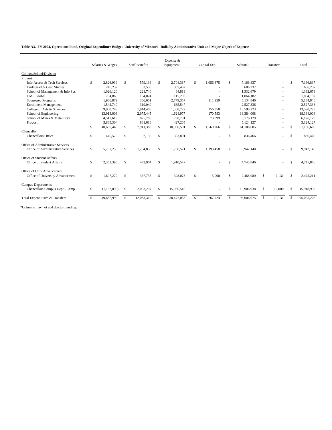### **Table A3. FY 2004, Operations Fund, Original Expenditure Budget, University of Missouri - Rolla by Administrative Unit and Major Object of Expense**

|                                   |     |                  |               |                       |     | Expense &  |              |             |               |            |               |                  |               |            |
|-----------------------------------|-----|------------------|---------------|-----------------------|-----|------------|--------------|-------------|---------------|------------|---------------|------------------|---------------|------------|
|                                   |     | Salaries & Wages |               | <b>Staff Benefits</b> |     | Equipment  |              | Capital Exp |               | Subtotal   |               | <b>Transfers</b> |               | Total      |
| College/School/Division           |     |                  |               |                       |     |            |              |             |               |            |               |                  |               |            |
| Provost                           |     |                  |               |                       |     |            |              |             |               |            |               |                  |               |            |
| Info Access & Tech Services       | \$. | 2.826.939        | \$.           | 579.136               | \$  | 2,704,387  | \$           | 1,056,375   | -S            | 7.166.837  |               |                  | \$.           | 7.166.837  |
| Undergrad & Grad Studies          |     | 245,237          |               | 53.538                |     | 307,462    |              |             |               | 606.237    |               |                  |               | 606,237    |
| School of Management & Info Sys   |     | 1,026,120        |               | 221,740               |     | 84.819     |              |             |               | 1.332.679  |               |                  |               | 1,332,679  |
| <b>UMR</b> Global                 |     | 784,865          |               | 164,024               |     | 115.293    |              |             |               | 1,064,182  |               |                  |               | 1,064,182  |
| <b>Sponsored Programs</b>         |     | 1,936,879        |               | 306,651               |     | 2,779,357  |              | 111,959     |               | 5,134,846  |               |                  |               | 5,134,846  |
| <b>Enrollment Management</b>      |     | 1,542,740        |               | 319,049               |     | 665.547    |              |             |               | 2,527,336  |               |                  |               | 2,527,336  |
| College of Arts & Sciences        |     | 9,950,743        |               | 1,914,408             |     | 1.568.722  |              | 156,350     |               | 13.590.223 |               |                  |               | 13.590.223 |
| School of Engineering             |     | 13,913,003       |               | 2,675,445             |     | 1,624,977  |              | 170,583     |               | 18,384,008 |               |                  |               | 18,384,008 |
| School of Mines & Metallurgy      |     | 4,517,619        |               | 875,780               |     | 708.731    |              | 73,999      |               | 6,176,129  |               |                  |               | 6,176,129  |
| Provost                           |     | 3,865,304        |               | 831.618               |     | 427,205    |              |             |               | 5,124,127  |               |                  |               | 5,124,127  |
|                                   | \$. | 40,609,449       | \$            | 7,941,389             | \$. | 10,986,501 | $\mathbb{S}$ | 1,569,266   | -S            | 61,106,605 |               | $\sim$           | \$            | 61,106,605 |
| Chancellor                        |     |                  |               |                       |     |            |              |             |               |            |               |                  |               |            |
| <b>Chancellors Office</b>         | \$  | 440,529          | \$            | 92,136                | \$. | 303,801    |              |             | S.            | 836,466    |               |                  | $\mathcal{S}$ | 836,466    |
| Office of Administrative Services |     |                  |               |                       |     |            |              |             |               |            |               |                  |               |            |
| Office of Administrative Services | \$  | 5,757,253        | \$.           | 1.204.858             | \$  | 1,786,571  | \$           | 1,193,458   | $\mathcal{S}$ | 9,942,140  |               |                  | \$            | 9,942,140  |
| Office of Student Affairs         |     |                  |               |                       |     |            |              |             |               |            |               |                  |               |            |
| Office of Student Affairs         | \$  | 2,361,395        | <sup>\$</sup> | 473.904               | \$  | 1.910.547  |              |             | -S            | 4,745,846  |               |                  | \$            | 4,745,846  |
| Office of Univ Advancement        |     |                  |               |                       |     |            |              |             |               |            |               |                  |               |            |
| Office of University Advancement  | \$  | 1,697,272        | $\mathbf S$   | 367,735               | \$. | 398,073    | \$           | 5,000       | \$.           | 2,468,080  | $\mathcal{S}$ | 7,131            | $\mathbb{S}$  | 2,475,211  |
| <b>Campus Departments</b>         |     |                  |               |                       |     |            |              |             |               |            |               |                  |               |            |
| Chancellors Campus Dept - Camp    | \$  | (1,182,899)      | \$            | 2,003,297             |     | 15,086,540 |              |             | S.            | 15,906,938 | \$            | 12,000           | \$            | 15.918.938 |
| Total Expenditures & Transfers    |     | 49,682,999       | $\mathbf{s}$  | 12,083,319            | \$. | 30,472,033 | $\mathbb{S}$ | 2,767,724   | -S            | 95,006,075 | s.            | 19,131           | \$            | 95,025,206 |
|                                   |     |                  |               |                       |     |            |              |             |               |            |               |                  |               |            |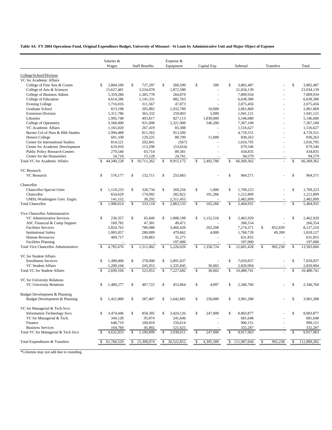|                                                         |               | Salaries &<br>Wages     |                    | <b>Staff Benefits</b>  |               | Expense &<br>Equipment |               | Capital Exp    |               | Subtotal                |              | Transfers                |               | Total                   |
|---------------------------------------------------------|---------------|-------------------------|--------------------|------------------------|---------------|------------------------|---------------|----------------|---------------|-------------------------|--------------|--------------------------|---------------|-------------------------|
|                                                         |               |                         |                    |                        |               |                        |               |                |               |                         |              |                          |               |                         |
| College/School/Division                                 |               |                         |                    |                        |               |                        |               |                |               |                         |              |                          |               |                         |
| VC for Academic Affairs                                 |               |                         |                    |                        |               |                        |               |                |               |                         |              |                          |               |                         |
| College of Fine Arts & Comm                             | \$            | 2,804,100               | \$                 | 737,297                | S.            | 260,590                | \$            | 500<br>÷.      | \$            | 3,802,487               |              |                          | \$            | 3,802,487<br>21,034,139 |
| College of Arts & Sciences<br>College of Business Admin |               | 15,627,481<br>5,359,286 |                    | 3,534,078<br>1,385,778 |               | 1,872,580<br>264,870   |               | $\overline{a}$ |               | 21,034,139<br>7,009,934 |              |                          |               | 7,009,934               |
| College of Education                                    |               | 4,614,286               |                    | 1,141,331              |               | 882,763                |               |                |               | 6,638,380               |              |                          |               | 6,638,380               |
| <b>Evening College</b>                                  |               | 1,716,016               |                    | 311,567                |               | 47,873                 |               |                |               | 2,075,456               |              |                          |               | 2,075,456               |
| Graduate School                                         |               | 813,198                 |                    | 205,882                |               | 1,032,789              |               | 10,000         |               | 2,061,869               |              |                          |               | 2,061,869               |
| <b>Extension Division</b>                               |               | 1,311,786               |                    | 365,332                |               | 259,003                |               | 5,000          |               | 1,941,121               |              |                          |               | 1,941,121               |
| Libraries                                               |               | 1,995,748               |                    | 493,817                |               | 827,115                |               | 1,830,000      |               | 5,146,680               |              |                          |               | 5,146,680               |
| College of Optometry                                    |               | 3,568,000               |                    | 931,000                |               | 2,321,900              |               | 546,200        |               | 7,367,100               |              |                          |               | 7,367,100               |
| VC Academic Affairs                                     |               | 1,165,820               |                    | 267,419                |               | 83,388                 |               |                |               | 1,516,627               |              |                          |               | 1,516,627               |
| Barnes Col of Nurs & Hlth Studies                       |               | 2,994,488               |                    | 811,563                |               | 913,500                |               | ä,             |               | 4,719,551               |              |                          |               | 4,719,551               |
| <b>Honors College</b>                                   |               | 601,338                 |                    | 129,225                |               | 88,700                 |               | 11,000         |               | 830,263                 |              |                          |               | 830,263                 |
| Center for International Studies                        |               | 814,521                 |                    | 202,841                |               | (567)                  |               |                |               | 1,016,795               |              | $\overline{\phantom{a}}$ |               | 1,016,795               |
| Center for Academic Development                         |               | 619,910                 |                    | 113,290                |               | (53, 654)              |               | ÷.             |               | 679,546                 |              | $\overline{a}$           |               | 679,546                 |
| <b>Public Policy Research Centers</b>                   |               | 279,540                 |                    | 65,714                 |               | 89,581                 |               |                |               | 434,835                 |              |                          |               | 434,835                 |
| Center for the Humanities                               |               | 54,710                  |                    | 15,128                 |               | 24,741                 |               |                |               | 94,579                  |              |                          |               | 94,579                  |
| Total VC for Academic Affairs                           | <b>S</b>      | 44,340,228              | $\mathbb{S}$       | 10,711,262             | $\mathbb{S}$  | 8.915.172              | $\mathsf{\$}$ | 2,402,700      | $\mathbf{s}$  | 66,369,362              |              |                          | $\mathsf{\$}$ | 66,369,362              |
| VC Research                                             |               |                         |                    |                        |               |                        |               |                |               |                         |              |                          |               |                         |
| VC Research                                             | \$            | 576,177                 | \$                 | 132,711                | \$            | 255,683                |               |                | \$            | 964,571                 |              |                          | \$            | 964,571                 |
| Chancellor                                              |               |                         |                    |                        |               |                        |               |                |               |                         |              |                          |               |                         |
| Chancellor-Special Units                                | $\mathbb{S}$  | 1,110,233               | \$                 | 328,734                | \$            | 269,256                | $\mathbb{S}$  | 1,000          | \$            | 1,709,223               |              |                          | \$            | 1,709,223               |
| Chancellor                                              |               | 654,629                 |                    | 174,092                |               | 282.822                |               | 101,266        |               | 1,212,809               |              |                          |               | 1,212,809               |
| UMSL/Washington Univ. Engin.                            |               | 141,152                 |                    | 30,292                 |               | 2,311,455              |               |                |               | 2,482,899               |              |                          |               | 2,482,899               |
| <b>Total Chancellor</b>                                 | -S            | 1,906,014               | $\mathbb{S}$       | 533,118                | $\mathbb{S}$  | 2,863,533              | $\mathbb{S}$  | 102,266        | $\mathbb{S}$  | 5,404,931               |              |                          | $\mathbb{S}$  | 5,404,931               |
| Vice Chancellor Administrative                          |               |                         |                    |                        |               |                        |               |                |               |                         |              |                          |               |                         |
| VC Administrative Services                              | $\mathbb{S}$  | 236,357                 | \$                 | 65,849                 | \$            | 1,008,198              | \$            | 1,152,516      | \$            | 2,462,920               |              |                          | \$            | 2,462,920               |
| ASC Financial & Comp Support                            |               | 169,782                 |                    | 47,301                 |               | 49,471                 |               |                |               | 266,554                 |              |                          |               | 266,554                 |
| <b>Facilities Services</b>                              |               | 2,824,763               |                    | 786,980                |               | 3,460,420              |               | 202,208        |               | 7,274,371               | \$           | 852,839                  |               | 8,127,210               |
| <b>Institutional Safety</b>                             |               | 1,005,057               |                    | 280,009                |               | 479,662                |               | 4,000          |               | 1,768,728               |              | 49,399                   |               | 1,818,127               |
| <b>Human Resources</b>                                  |               | 469,717                 |                    | 130,863                |               | 31,275                 |               |                |               | 631,855                 |              |                          |               | 631,855                 |
| <b>Facilities Planning</b>                              |               |                         |                    |                        |               | 197,000                |               |                |               | 197,000                 |              |                          |               | 197,000                 |
| <b>Total Vice Chancellor Administrative</b>             | <sup>\$</sup> | 4,705,676               | $\mathbf{\hat{S}}$ | 1,311,002              | $\mathbb{S}$  | 5,226,026              | \$            | 1,358,724      |               | 12,601,428              | $\mathbb{S}$ | 902,238                  |               | 13,503,666              |
| VC for Student Affairs                                  |               |                         |                    |                        |               |                        |               |                |               |                         |              |                          |               |                         |
| <b>Enrollment Services</b>                              | S             | 1,490,000               | \$                 | 278,000                | \$            | 5,891,837              |               |                | \$            | 7,659,837               |              |                          | \$            | 7,659,837               |
| <b>VC Student Affairs</b>                               |               | 1,209,104               |                    | 245,953                |               | 1,335,845              |               | 30,002         |               | 2,820,904               |              |                          |               | 2,820,904               |
| <b>Total VC for Student Affairs</b>                     |               | 2.699.104               | $\mathbf{\hat{S}}$ | 523,953                | <sup>\$</sup> | 7,227,682              | \$            | 30,002         | \$.           | 10,480,741              |              |                          |               | 10,480,741              |
| VC for University Relations                             |               |                         |                    |                        |               |                        |               |                |               |                         |              |                          |               |                         |
| <b>VC University Relations</b>                          | S             | 1,480,277               | \$                 | 407,722                | <sup>\$</sup> | 453.864                | \$            | 4,897          | \$            | 2,346,760               |              |                          | <sup>\$</sup> | 2,346,760               |
| Budget Development & Planning                           |               |                         |                    |                        |               |                        |               |                |               |                         |              |                          |               |                         |
| Budget Development & Planning                           | \$            | 1,421,000               | \$                 | 587,407                | \$            | 1,642,881              | \$            | 250,000        | \$            | 3,901,288               |              |                          | \$            | 3,901,288               |
| VC for Managerial & Tech Svcs                           |               |                         |                    |                        |               |                        |               |                |               |                         |              |                          |               |                         |
| <b>Information Technology Svcs</b>                      | \$            | 3,474,446               | \$                 | 858,305                | \$            | 3,424,126              | \$            | 247,000        | \$            | 8,003,877               |              |                          | \$            | 8,003,877               |
| VC for Managerial & Tech.                               |               | 344,128                 |                    | 95,874                 |               | 241,646                |               |                |               | 681,648                 |              |                          |               | 681,648                 |
| Finance                                                 |               | 648,719                 |                    | 100,818                |               | 150,614                |               |                |               | 900,151                 |              |                          |               | 900,151                 |
| <b>Business Services</b>                                |               | 164,760                 |                    | 45,902                 |               | 121,625                |               |                |               | 332,287                 |              |                          |               | 332,287                 |
| Total VC for Managerial & Tech Svcs                     | £.            | 4,632,053               | \$                 | 1,100,899              | \$            | 3,938,011              | $\mathbb{S}$  | 247,000        | \$            | 9,917,963               |              |                          | \$            | 9,917,963               |
| Total Expenditures & Transfers                          |               | 61,760,529              | \$                 | 15,308,074             | \$            | 30,522,852             | \$            | 4,395,589      | $\mathcal{S}$ | 111,987,044             | \$           | 902,238                  | \$            | 112,889,282             |
|                                                         |               |                         |                    |                        |               |                        |               |                |               |                         |              |                          |               |                         |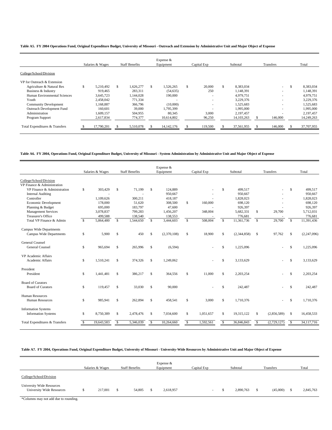#### **Table A5. FY 2004 Operations Fund, Original Expenditure Budget, University of Missouri - Outreach and Extension by Administrative Unit and Major Object of Expense**

|                                |                  |     |                       |  | Expense $&$  |   |                          |          |              |           |                          |            |
|--------------------------------|------------------|-----|-----------------------|--|--------------|---|--------------------------|----------|--------------|-----------|--------------------------|------------|
|                                | Salaries & Wages |     | <b>Staff Benefits</b> |  | Equipment    |   | Capital Exp              | Subtotal |              | Transfers |                          | Total      |
| College/School/Division        |                  |     |                       |  |              |   |                          |          |              |           |                          |            |
| VP for Outreach & Extension    |                  |     |                       |  |              |   |                          |          |              |           |                          |            |
| Agriculture & Natural Res      | 5.210.492        | \$. | .626.277              |  | 1,526,265    | S | 20,000                   | \$.      | 8,383,034    |           | $\sim$                   | 8,383,034  |
| Business & Industry            | 919,465          |     | 283,311               |  | (54, 635)    |   | 250                      |          | 1,148,391    |           | ۰                        | 1,148,391  |
| Human Environmental Sciences   | 3,645,723        |     | 1.144.028             |  | 190,000      |   | $\overline{\phantom{a}}$ |          | 4,979,751    |           | ۰                        | 4,979,751  |
| Youth                          | 2,458,042        |     | 771.334               |  |              |   | $\sim$                   |          | 3,229,376    |           | ۰                        | 3,229,376  |
| <b>Community Development</b>   | 1.168.887        |     | 366,796               |  | (10,000)     |   | $\overline{\phantom{a}}$ |          | 1,525,683    |           | ۰                        | 1,525,683  |
| Outreach Development Fund      | 160,601          |     | 39,000                |  | 1,795,399    |   | $\overline{\phantom{a}}$ |          | 1,995,000    |           | ۰                        | 1,995,000  |
| Administration                 | 1.609.157        |     | 504.955               |  | 80,345       |   | 3,000                    |          | 2.197.457    |           | $\overline{\phantom{a}}$ | 2,197,457  |
| Program Support                | 2,617,834        |     | 774,377               |  | 10,614,802   |   | 96,250                   |          | 14, 103, 263 |           | 146,000                  | 14,249,263 |
| Total Expenditures & Transfers | 17,790,201       |     | 5.510.078             |  | 14, 142, 176 |   | 119,500                  |          | 37,561,955   |           | 146,000                  | 37,707,955 |

**Table A6. FY 2004, Operations Fund, Original Expenditure Budget, University of Missouri - System Administration by Administrative Unit and Major Object of Expense**

|                                                        |               |                  |              |                       |    | Expense &   |    |             |               |             |              |             |              |             |
|--------------------------------------------------------|---------------|------------------|--------------|-----------------------|----|-------------|----|-------------|---------------|-------------|--------------|-------------|--------------|-------------|
|                                                        |               | Salaries & Wages |              | <b>Staff Benefits</b> |    | Equipment   |    | Capital Exp |               | Subtotal    |              | Transfers   |              | Total       |
| College/School/Division<br>VP Finance & Administration |               |                  |              |                       |    |             |    |             |               |             |              |             |              |             |
| VP Finance & Administration                            | \$            | 303,429          | S            | 71,199                | S  | 124,889     |    |             | \$            | 499.517     |              |             | \$           | 499,517     |
| <b>Internal Auditing</b>                               |               |                  |              |                       |    | 950,667     |    |             |               | 950,667     |              |             |              | 950,667     |
| Controller                                             |               | 1,109,626        |              | 300,211               |    | 418,187     |    |             |               | 1,828,023   |              |             |              | 1,828,023   |
| Economic Development                                   |               | 178,000          |              | 51,620                |    | 308,500     | \$ | 160,000     |               | 698,120     |              |             |              | 698,120     |
| Planning & Budget                                      |               | 695,000          |              | 183,797               |    | 47,600      |    | ä,          |               | 926,397     |              |             |              | 926,397     |
| <b>Management Services</b>                             |               | 3,078,837        |              | 799,283               |    | 1,456,207   |    | 348,004     |               | 5,682,331   | \$           | 29,700      |              | 5,712,031   |
| Treasurer's Office                                     |               | 499,588          |              | 138,540               |    | 138,553     |    |             |               | 776,681     |              |             |              | 776,681     |
| Total VP Finance & Admin                               | <sup>\$</sup> | 5,864,480        | $\mathbb{S}$ | 1,544,650             | s. | 3,444,603   | s. | 508,004     | s.            | 11,361,736  | $\mathbb{S}$ | 29,700      | $\mathbf{s}$ | 11,391,436  |
| Campus Wide Departments                                |               |                  |              |                       |    |             |    |             |               |             |              |             |              |             |
| Campus Wide Departments                                | \$            | 5,900            | \$           | 450                   | \$ | (2,370,108) | S  | 18,900      | <sup>\$</sup> | (2,344,858) | \$           | 97,762      | S.           | (2,247,096) |
| <b>General Counsel</b>                                 |               |                  |              |                       |    |             |    |             |               |             |              |             |              |             |
| <b>General Counsel</b>                                 | \$            | 965,694          | \$           | 265,996               | \$ | (6, 594)    |    |             | <sup>\$</sup> | 1,225,096   |              |             | \$           | 1,225,096   |
| VP Academic Affairs                                    |               |                  |              |                       |    |             |    |             |               |             |              |             |              |             |
| Academic Affairs                                       | \$            | 1,510,241        | \$           | 374,326               | \$ | 1,249,062   |    |             | <sup>\$</sup> | 3,133,629   |              |             | \$           | 3,133,629   |
| President                                              |               |                  |              |                       |    |             |    |             |               |             |              |             |              |             |
| President                                              | \$            | 1,441,481        | \$           | 386,217               | \$ | 364,556     | S  | 11,000      | <sup>\$</sup> | 2,203,254   |              |             | \$           | 2,203,254   |
| <b>Board of Curators</b>                               |               |                  |              |                       |    |             |    |             |               |             |              |             |              |             |
| <b>Board of Curators</b>                               | \$            | 119,457          | \$           | 33,030                | \$ | 90,000      |    |             | \$            | 242,487     |              |             | \$           | 242,487     |
|                                                        |               |                  |              |                       |    |             |    |             |               |             |              |             |              |             |
| Human Resources<br>Human Resources                     | \$            | 985,941          | \$           | 262,894               | S  | 458,541     | S  | 3,000       | \$            | 1,710,376   |              |             | \$           | 1,710,376   |
|                                                        |               |                  |              |                       |    |             |    |             |               |             |              |             |              |             |
| <b>Information Systems</b>                             |               |                  |              |                       |    |             |    |             |               |             |              |             |              |             |
| <b>Information Systems</b>                             | \$            | 8,750,389        | \$           | 2,478,476             | S  | 7,034,600   | S  | 1,051,657   | \$            | 19,315,122  | \$           | (2,856,589) | $\mathbb{S}$ | 16,458,533  |
| Total Expenditures & Transfers                         |               | 19,643,583       | \$           | 5,346,039             | \$ | 10,264,660  | S  | 1,592,561   | £.            | 36,846,843  | -S           | (2,729,127) | $\mathbb{S}$ | 34,117,716  |
|                                                        |               |                  |              |                       |    |             |    |             |               |             |              |             |              |             |

### **Table A7. FY 2004, Operations Fund, Original Expenditure Budget, University of Missouri - University-Wide Resources by Administrative Unit and Major Object of Expense**

|                                                                      | Salaries & Wages |    | <b>Staff Benefits</b> | Expense &<br>Equipment | Capital Exp | Subtotal  | Transfers | Total     |
|----------------------------------------------------------------------|------------------|----|-----------------------|------------------------|-------------|-----------|-----------|-----------|
| College/School/Division                                              |                  |    |                       |                        |             |           |           |           |
| <b>University Wide Resources</b><br><b>University Wide Resources</b> | 217,001          | -S | 54,805                | 2,618,957              |             | 2,890,763 | (45,000)  | 2,845,763 |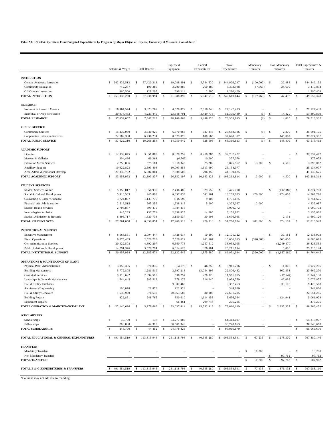### **Table A8. FY 2004 Operations Fund Budgeted Expenditures by Program by Major Object of Expense, University of Missouri - Consolidated**

|                                                          | Salaries & Wages |               |               | <b>Staff Benefits</b> |              | Expense &<br>Equipment |              | Capital<br>Expenditures  |               | Total<br>Expenditures |              | Mandatory<br>Transfers   |               | Non-Mandatory<br>Transfers |               | Total Expenditures &<br>Transfers |
|----------------------------------------------------------|------------------|---------------|---------------|-----------------------|--------------|------------------------|--------------|--------------------------|---------------|-----------------------|--------------|--------------------------|---------------|----------------------------|---------------|-----------------------------------|
| <b>INSTRUCTION</b>                                       |                  |               |               |                       |              |                        |              |                          |               |                       |              |                          |               |                            |               |                                   |
| General Academic Instruction                             |                  | \$262,632,513 | \$            | 57,420,313            | \$           | 19,088,891             | \$           | 5,784,530                |               | \$ 344,926,247        | \$           | $(100,000)$ \$           |               | 22,888                     | \$            | 344,849,135                       |
| <b>Community Education</b>                               |                  | 742,237       |               | 190,386               |              | 2,200,885              |              | 260,480                  |               | 3.393.988             |              | (7, 763)                 |               | 24,609                     |               | 3,410,834                         |
| Off Campus Instruction                                   |                  | 460,500       |               | 128,295               |              | 699,114                |              | 2,500                    |               | 1,290,409             |              |                          |               |                            |               | 1,290,409                         |
| <b>TOTAL INSTRUCTION</b>                                 | -S               | 263,835,250   | <sup>\$</sup> | 57,738,994            | \$           | 21,988,890             | \$           | 6,047,510                | \$            | 349,610,644           | \$           | (107, 763)               | $\mathbf{s}$  | 47,497                     | -S            | 349,550,378                       |
| <b>RESEARCH</b>                                          |                  |               |               |                       |              |                        |              |                          |               |                       |              |                          |               |                            |               |                                   |
| Institutes & Research Centers                            | \$               | 16,964,544    | \$            | 3,623,769             | \$           | 4,520,872              | \$           | 2,018,248                | \$            | 27,127,433            |              |                          |               | ÷,                         | \$            | 27,127,433                        |
| Individual or Project Research                           |                  | 20,074,463    |               | 4,223,449             |              | 23,648,791             |              | 3,429,778                |               | 51,376,480            | \$           | (1)                      | -\$           | 14,420                     |               | 51,390,899                        |
| <b>TOTAL RESEARCH</b>                                    | <sup>\$</sup>    | 37,039,007    | $\mathbb{S}$  | 7,847,218             | $\mathbb{S}$ | 28,169,663             | \$           | 5,448,026                | $\mathbb{S}$  | 78,503,913            | $\mathbf{s}$ | (1)                      | $\mathbf{s}$  | 14,420                     | $\mathcal{S}$ | 78,518,332                        |
| <b>PUBLIC SERVICE</b>                                    |                  |               |               |                       |              |                        |              |                          |               |                       |              |                          |               |                            |               |                                   |
| <b>Community Services</b>                                | \$               | 15,439,980    | <sup>\$</sup> | 3,530,020             | \$           | 6,370,963              | \$           | 347,343                  | \$            | 25,688,306            | \$           |                          | $(1)$ \$      | 2,800                      | \$            | 25.691.105                        |
| Cooperative Extension Services                           |                  | 22,182,330    |               | 6,736,234             |              | 8,579,078              |              | 180,665                  |               | 37,678,307            |              |                          |               | 146,000                    |               | 37,824,307                        |
| <b>TOTAL PUBLIC SERVICE</b>                              |                  | 37,622,310    | $\mathbf{s}$  | 10,266,254            | $\mathbf{s}$ | 14,950,042             | $\mathbb{S}$ | 528,008                  | $\mathbb{S}$  | 63,366,613            | $\mathbf{s}$ | (1)                      | $\mathcal{S}$ | 148,800                    | $\mathcal{S}$ | 63,515,412                        |
| <b>ACADEMIC SUPPORT</b>                                  |                  |               |               |                       |              |                        |              |                          |               |                       |              |                          |               |                            |               |                                   |
| Libraries                                                | \$               | 12,839,045    | $\mathbb{S}$  | 3,351,883             | -S           | 8,328,259              | \$           | 8,218,285                | \$            | 32,737,472            |              |                          |               | $\overline{\phantom{a}}$   | \$            | 32,737,472                        |
| Museum & Galleries                                       |                  | 304,486       |               | 69,361                |              | (6, 769)               |              | 10,000                   |               | 377,078               |              |                          |               |                            |               | 377,078                           |
| <b>Education Media Services</b>                          |                  | 2,256,836     |               | 575,181               |              | 1,018,345              |              | 25,200                   |               | 3,875,562             | \$           | 13,000                   | -\$           | 4,500                      |               | 3,893,062                         |
| <b>Ancillary Support</b>                                 |                  | 10,922,823    |               | 2,593,408             |              | 10,003,856             |              | 1,613,990                |               | 25,134,077            |              |                          |               |                            |               | 25,134,077                        |
| Acad Admin & Personnel Develop                           |                  | 27,030,762    |               | 6,304,004             |              | 7,508,505              |              | 296,353                  |               | 41,139,625            |              |                          |               |                            |               | 41,139,625                        |
| TOTAL ACADEMIC SUPPORT                                   | $\mathcal{S}$    | 53,353,952    | $\mathcal{S}$ | 12,893,837            | $\mathbf{s}$ | 26,852,197             | $\mathbf{s}$ | 10,163,828               | $\mathbb{S}$  | 103,263,814           | -\$          | 13,000                   | $\mathcal{S}$ | 4,500                      | $\mathsf{\$}$ | 103,281,314                       |
| <b>STUDENT SERVICES</b>                                  |                  |               |               |                       |              |                        |              |                          |               |                       |              |                          |               |                            |               |                                   |
| Student Services Admin                                   | \$               | 5,353,817     | \$            | 1,356,935             | -S           | 2,436,486              | $\mathbb{S}$ | 329,552                  | \$            | 9,476,790             |              | $\sim$                   | $\mathbb{S}$  | (602, 087)                 | - \$          | 8,874,703                         |
| Social & Cultural Development                            |                  | 5,418,563     |               | 945,893               |              | 6,357,035              |              | 542,161                  |               | 13,263,653            | \$           | 470,000                  |               | 1,174,065                  |               | 14,907,718                        |
| Counseling & Career Guidance                             |                  | 3,724,897     |               | 1,133,776             |              | (116,098)              |              | 9,100                    |               | 4,751,675             |              |                          |               |                            |               | 4,751,675                         |
| Financial Aid Administration                             |                  | 2,516,515     |               | 565,256               |              | 1,238,316              |              | 5,000                    |               | 4,325,087             |              | 12,000                   |               |                            |               | 4,337,087                         |
| <b>Student Health Services</b>                           |                  | 2,706,877     |               | 599,479               |              | 1,784,416              |              |                          |               | 5,090,772             |              |                          |               |                            |               | 5,090,772                         |
| <b>Intercollegiate Athletics</b>                         |                  | 645,263       |               | 137,774               |              | 2,358,825              |              | 14,000                   |               | 3,155,862             |              |                          |               |                            |               | 3,155,862                         |
| Student Admission & Records                              |                  | 6,895,717     |               | 1,620,738             |              | 3,150,537              |              | 30,003                   |               | 11,696,995            |              |                          |               | 2,131                      |               | 11,699,126                        |
| <b>TOTAL STUDENT SVCS</b>                                | \$               | 27,261,650    | $\mathbf{s}$  | 6,359,851             | $\mathbf{s}$ | 17,209,518             | $\mathbb{S}$ | 929,816                  | $\mathsf{\$}$ | 51,760,834            | \$           | 482,000                  | $\mathbf{s}$  | 574,109                    | $\mathbf{s}$  | 52,816,943                        |
| <b>INSTITUTIONAL SUPPORT</b>                             |                  |               |               |                       |              |                        |              |                          |               |                       |              |                          |               |                            |               |                                   |
| <b>Executive Management</b>                              | \$               | 8,568,561     | \$            | 2,094,447             | \$           | 1,428,614              | \$           | 10,100                   | \$            | 12,101,722            |              | $\overline{\phantom{a}}$ | $\mathbb{S}$  | 37,181                     | \$            | 12,138,903                        |
| <b>Fiscal Operations</b>                                 |                  | 6,275,489     |               | 2,520,728             |              | 7,528,629              |              | 281,167                  |               | 16,606,013            | \$           | (320,000)                |               | 300,000                    |               | 16,586,013                        |
| Gen Administrative Services                              |                  | 20,422,508    |               | 4,692,207             |              | 6,660,778              |              | 1,257,512                |               | 33,033,005            |              |                          |               | (2,209,470)                |               | 30,823,535                        |
| Public Relations & Development                           |                  | 14,791,376    |               | 3,578,291             |              | 6,514,625              |              | 326,901                  |               | 25, 211, 194          |              |                          |               | 5,000                      |               | 25,216,194                        |
| TOTAL INSTITUTIONAL SUPPORT                              | $\mathcal{S}$    | 50,057,934    | $\mathbb{S}$  | 12,885,674            | $\mathbb{S}$ | 22,132,646             | $\mathbb{S}$ | 1,875,680                | $\mathbb{S}$  | 86,951,934            | \$           | (320,000)                | \$            | (1, 867, 289)              | - \$          | 84,764,645                        |
| OPERATIONS & MAINTENANCE OF PLANT                        |                  |               |               |                       |              |                        |              |                          |               |                       |              |                          |               |                            |               |                                   |
| Physical Plant Administration                            | \$               | 3,058,395     | \$            | 870,836               | \$           | (64, 778)              | \$           | 46,753                   | \$            | 3,911,206             |              |                          | \$            | 11,000                     | \$            | 3,922,206                         |
| <b>Building Maintenance</b>                              |                  | 5,772,805     |               | 1,281,519             |              | 2,697,213              |              | 13,054,895               |               | 22,806,432            |              |                          |               | 862,838                    |               | 23,669,270                        |
| <b>Custodial Services</b>                                |                  | 9,110,692     |               | 2,094,513             |              | 536,257                |              | 220,323                  |               | 11,961,785            |              |                          |               | (17, 647)                  |               | 11,944,138                        |
| Landscape & Grounds Maintenance                          |                  | 1,644,845     |               | 385,518               |              | 678,176                |              | 326,240                  |               | 3,034,779             |              |                          |               | 42,098                     |               | 3,076,877                         |
| Fuel & Utility Purchases                                 |                  |               |               |                       |              | 9,387,463              |              | $\overline{\phantom{a}}$ |               | 9,387,463             |              |                          |               | 33,100                     |               | 9,420,563                         |
| Architecture/Engineering                                 |                  | 100,078       |               | 21,878                |              | 222,924                |              |                          |               | 344,880               |              |                          |               |                            |               | 344,880                           |
| Fuel & Utility Generated                                 |                  | 1,530,960     |               | 376,637               |              | 20,663,688             |              | 80,000                   |               | 22,651,285            |              |                          |               |                            |               | 22,651,285                        |
| <b>Building Repairs</b>                                  |                  | 922,851       |               | 248,765               |              | 850,010                |              | 1,614,458                |               | 3,636,084             |              |                          |               | 1,424,944                  |               | 5,061,028                         |
|                                                          |                  |               |               |                       |              | 66.461                 |              | 209,744                  |               | 276.205               |              |                          |               |                            |               | 276,205                           |
| Equipment Repairs<br>TOTAL OPERATION & MAINTENANCE-PLANT | <sup>\$</sup>    | 22,140,626    | -S            | 5,279,666             | $\mathbb{S}$ | 35,037,414             | \$           | 15,552,413               | \$            | 78,010,119            |              |                          | \$            | 2,356,333                  | -S            | 80,366,452                        |
| <b>SCHOLARSHIPS</b>                                      |                  |               |               |                       |              |                        |              |                          |               |                       |              |                          |               |                            |               |                                   |
| Scholarships                                             | \$               | 40,790        | -S            | 137                   | \$           | 64,277,080             |              |                          |               | 64,318,007            |              |                          |               |                            | \$            | 64,318,007                        |
| Fellowships                                              |                  | 203,000       |               | 44,315                |              | 30,501,348             |              |                          |               | 30,748,663            |              |                          |               |                            |               | 30,748,663                        |
| <b>TOTAL SCHOLARSHIPS</b>                                | \$               | 243,790       | -\$           | 44,452                | -S           | 94,778,428             |              |                          | -S            | 95,066,670            |              |                          |               |                            | -S            | 95,066,670                        |
| TOTAL EDUCATIONAL & GENERAL EXPENDITURES                 | \$               | 491,554,519   | $\mathbb{S}$  | 113,315,946           | $\mathbb{S}$ | 261,118,798            | \$           | 40,545,280               | $\mathbb{S}$  | 906,534,541           | - \$         | 67,235                   | -S            | 1,278,370                  | - \$          | 907,880,146                       |
| <b>TRANSFERS</b>                                         |                  |               |               |                       |              |                        |              |                          |               |                       |              |                          |               |                            |               |                                   |
| <b>Mandatory Transfers</b>                               |                  |               |               |                       |              |                        |              |                          |               |                       | -\$          | 10,200                   |               | $\sim$                     | \$            | 10,200                            |
| Non-Mandatory Transfers                                  |                  |               |               |                       |              |                        |              |                          |               |                       |              |                          |               | 97,762                     |               | 97,762                            |
| <b>TOTAL TRANSFERS</b>                                   |                  |               |               |                       |              |                        |              |                          |               |                       |              | 10,200                   | <sup>\$</sup> | 97,762                     | \$            | 107,962                           |
| TOTAL E & G EXPENDITURES & TRANSFERS                     |                  | 491,554,519   | \$            | 113,315,946           | \$           | 261,118,798            |              | 40,545,280               | \$            | 906,534,541           |              | 77,435                   | \$            | 1,376,132                  | \$            | 907,988,110                       |
|                                                          |                  |               |               |                       |              |                        |              |                          |               |                       |              |                          |               |                            |               |                                   |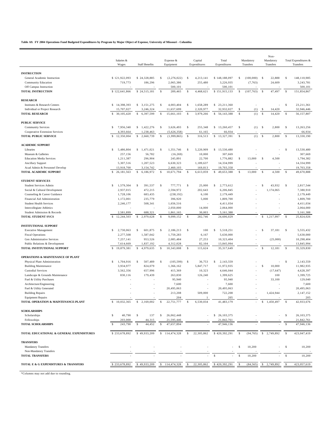**Table A9. FY 2004 Operations Fund Budgeted Expenditures by Program by Major Object of Expense, University of Missouri - Columbia**

| <b>INSTRUCTION</b><br>\$121,922,093<br>\$24,328,885<br>\$<br>(2, 276, 022)<br>\$<br>4,213,141<br>\$148,188,097<br>\$<br>$(100,000)$ \$<br>22,888<br>\$<br>148,110,985<br>General Academic Instruction<br><b>Community Education</b><br>719,773<br>186,296<br>2,065,386<br>255,480<br>3.226.935<br>(7, 763)<br>24,609<br>3,243,781<br>Off Campus Instruction<br>500,101<br>500,101<br>500,101<br>$\mathbb{S}$<br>\$151,915,133<br><b>TOTAL INSTRUCTION</b><br>\$122,641,866<br>\$24,515,181<br>289,465<br>$\mathbf{s}$<br>4,468,621<br>\$<br>(107, 763)<br>$\mathbf{s}$<br>47,497<br>$\mathbf{s}$<br>151,854,867<br><b>RESEARCH</b><br>\$14,398,393<br>1,658,289<br>$\mathbb{S}$<br>23,211,361<br>Institutes & Research Centers<br>\$3,151,275<br>\$<br>4.003.404<br>\$<br>\$23,211,360<br>Individual or Project Research<br>15,707,027<br>3,246,324<br>11,657,699<br>2,320,977<br>32,932,027<br>(1)<br>14,420<br>32,946,446<br>\$<br><sup>\$</sup><br>$\mathbb{S}$<br>$\mathcal{S}$<br><b>TOTAL RESEARCH</b><br>$\mathbb{S}$<br>30,105,420<br>$\mathbb{S}$<br>6,397,599<br>$\mathbf{s}$<br>15,661,103<br>$\mathbf{s}$<br>3,979,266<br>\$ 56,143,388<br>(1)<br>14,420<br>$\mathbf{s}$<br>56,157,807<br><b>PUBLIC SERVICE</b><br>\$<br>7,956,340<br>\$1,422,276<br>\$<br>3,626,493<br>\$<br>255,348<br>\$13,260,457<br>\$<br>$(1)$ \$<br>2,800<br>-S<br>13,263,256<br><b>Community Services</b><br>61,165<br>66,934<br>Cooperative Extension Services<br>4,393,664<br>1,238,463<br>(5,626,358)<br>66,934<br>$\mathsf{\$}$<br>$\mathbb{S}$<br>$\mathbb{S}$<br>\$<br>$\mathbb{S}$<br>$\mathbf{s}$<br>$\mathbf{s}$<br><b>TOTAL PUBLIC SERVICE</b><br>12,350,004<br>2,660,739<br>\$<br>(1,999,865)<br>316,513<br>13,327,391<br>(1)<br>2,800<br>13,330,190<br><b>ACADEMIC SUPPORT</b><br>\$1,471,021<br>\$<br>\$<br>5,486,804<br>\$<br>1,351,746<br>\$<br>5,220,909<br>\$13,530,480<br>13,530,480<br>Libraries<br>Museum & Galleries<br>257,156<br>56,782<br>(16, 269)<br>10,000<br>307,669<br>307,669<br>296,904<br>1,211,387<br>245,891<br>22,700<br>1,776,882<br>13,000<br>$\mathsf{\$}$<br>4,500<br>1,794,382<br><b>Education Media Services</b><br>\$<br><b>Ancillary Support</b><br>5,307,516<br>1,207,523<br>6,630,323<br>1,189,637<br>14,334,999<br>14,334,999<br>13,918,700<br>2,460,103<br>169,813<br>19,703,358<br>Acad Admin & Personnel Develop<br>3,154,742<br>19,703,358<br>$\mathbb{S}$<br>$\mathbf{s}$<br>$\mathbf{s}$<br>\$<br>$\mathbf{s}$<br>$\mathbf{s}$<br>TOTAL ACADEMIC SUPPORT<br>\$<br>26,181,563<br>6,186,972<br>10,671,794<br>6,613,059<br>49,653,388<br>\$<br>13,000<br>4,500<br>49,670,888<br><b>STUDENT SERVICES</b><br>$\mathbb{S}$<br>$\mathsf{\$}$<br>$\mathbb{S}$<br>$\mathbb{S}$<br>\$<br>43,932<br>\$<br>\$<br>1,579,304<br>391,537<br>777,771<br>25,000<br>2,773,612<br>2,817,544<br><b>Student Services Admin</b><br>Social & Cultural Development<br>2,937,015<br>472,215<br>2,594,972<br>202.643<br>6,206,845<br>1,174,065<br>7,380,910<br>2,179,449<br>Counseling & Career Guidance<br>1,728,106<br>683,435<br>(238, 192)<br>6,100<br>2,179,449<br>235,779<br>Financial Aid Administration<br>1,172,001<br>396,920<br>5,000<br>1,809,700<br>1,809,700<br><b>Student Health Services</b><br>2,246,177<br>508,341<br>1,656,516<br>4,411,034<br>4,411,034<br>Intercollegiate Athletics<br>2,050,000<br>14,000<br>2,064,000<br>2,064,000<br>2,581,899<br>688,321<br>30,003<br>5,161,388<br>5,161,388<br>Student Admission & Records<br>1,861,165<br>\$<br>12,244,503<br>$\mathbf{s}$<br>9,099,152<br>$\mathbf{s}$<br>$\mathbb{S}$<br>$\mathbf{s}$<br><b>TOTAL STUDENT SVCS</b><br>2,979,628<br><sup>\$</sup><br>282,746<br>24,606,029<br>1,217,997<br>25,824,026<br><b>INSTITUTIONAL SUPPORT</b><br>\$<br>100<br>$\mathbb{S}$<br>$\mathbb{S}$<br>5,555,432<br>\$<br>2,730,063<br>601,875<br>\$<br>2,186,213<br>$\mathbb{S}$<br>5,518,251<br>37,181<br>-S<br><b>Executive Management</b><br><b>Fiscal Operations</b><br>2,277,508<br>1,587,042<br>1,759,283<br>6,167<br>5,630,000<br>5,630,000<br>953,526<br>2,085,484<br>27,253<br>10,323,404<br>10,298,404<br>7,257,141<br>(25,000)<br>Gen Administrative Services<br>÷,<br>Public Relations & Development<br>7,614,669<br>1,837,192<br>4,312,028<br>82,104<br>13,845,994<br>13,845,994<br>$\mathbb{S}$<br>$\mathcal{S}$<br>TOTAL INSTITUTIONAL SUPPORT<br>$\mathbb{S}$<br>19,879,381<br>4,979,635<br>$\mathbb{S}$<br>10,343,008<br>115,624<br>35, 317, 649<br>$\mathbf{s}$<br>12,181<br>- \$<br>35,329,830<br>×.<br>OPERATIONS & MAINTENANCE OF PLANT<br>$\mathbf{s}$<br>Physical Plant Administration<br>\$<br>1,704,916<br>\$<br>507,489<br>\$<br>(105, 599)<br>-S<br>36,753<br>\$<br>2,143,559<br>2.143.559<br>3,934,977<br>824,079<br>11,972,935<br>\$<br>10,000<br>11,982,935<br><b>Building Maintenance</b><br>1,366,162<br>5,847,717<br><b>Custodial Services</b><br>3,562,356<br>657,996<br>415,369<br>10,323<br>4,646,044<br>(17, 647)<br>4,628,397<br>830,116<br>179,439<br>1,399,725<br>Landscape & Grounds Maintenance<br>263,830<br>126,240<br>1,399,625<br>100<br>Fuel & Utility Purchases<br>95,940<br>95,940<br>33,100<br>129,040<br>7,600<br>7,600<br>7,600<br>Architecture/Engineering<br>Fuel & Utility Generated<br>20,495,063<br>20,495,063<br>20,495,063<br>509,000<br>722,208<br>2,147,152<br><b>Building Repairs</b><br>213,208<br>1,424,944<br><b>Equipment Repairs</b><br>205<br>205<br>204<br>TOTAL OPERATION & MAINTENANCE-PLANT<br>22,751,777<br>41,483,179<br>42,933,676<br>\$10,032,365<br>2,169,002<br>\$<br>$\mathbf{s}$<br>6,530,034<br>- \$<br>-S<br>\$<br>1,450,497<br><b>SCHOLARSHIPS</b><br>40,790<br>26,062,448<br>\$ 26,103,375<br>-S<br>26, 103, 375<br>Scholarships<br>\$<br>-\$<br>137<br>\$<br>Fellowships<br>21,595,446<br>21,842,761<br>21,842,761<br>203,000<br>44,315<br><b>TOTAL SCHOLARSHIPS</b><br>243.790<br>44,452<br>47,657,894<br>47,946,136<br>47,946,136<br>-\$<br>-S<br>TOTAL EDUCATIONAL & GENERAL EXPENDITURES<br>\$49,933,209<br>\$114,474,328<br>$\mathsf{\$}$<br>22,305,862<br>\$420,392,291<br>$\mathsf{\$}$<br>(94, 765)<br>- \$<br>423,047,419<br>\$233,678,892<br>\$ 2,749,892<br><b>TRANSFERS</b><br>10,200<br>\$<br>10,200<br><b>Mandatory Transfers</b><br>\$<br>Non-Mandatory Transfers<br>$\hat{\mathbf{x}}$<br>10,200<br>$\mathbb{S}$<br>10,200<br><b>TOTAL TRANSFERS</b><br>TOTAL E & G EXPENDITURES & TRANSFERS<br>\$233,678,892<br>\$420,392,291<br>2,749,892<br>423,057,619<br>\$49,933,209<br>114,474,328<br>22,305,862<br>(84, 565)<br>\$ | Salaries &<br>Wages | <b>Staff Benefits</b> | Expense &<br>Equipment | Capital<br>Expenditures | Total<br>Expenditures | Mandatory<br>Transfers | Non-<br>Mandatory<br>Transfers | Total Expenditures &<br>Transfers |
|-----------------------------------------------------------------------------------------------------------------------------------------------------------------------------------------------------------------------------------------------------------------------------------------------------------------------------------------------------------------------------------------------------------------------------------------------------------------------------------------------------------------------------------------------------------------------------------------------------------------------------------------------------------------------------------------------------------------------------------------------------------------------------------------------------------------------------------------------------------------------------------------------------------------------------------------------------------------------------------------------------------------------------------------------------------------------------------------------------------------------------------------------------------------------------------------------------------------------------------------------------------------------------------------------------------------------------------------------------------------------------------------------------------------------------------------------------------------------------------------------------------------------------------------------------------------------------------------------------------------------------------------------------------------------------------------------------------------------------------------------------------------------------------------------------------------------------------------------------------------------------------------------------------------------------------------------------------------------------------------------------------------------------------------------------------------------------------------------------------------------------------------------------------------------------------------------------------------------------------------------------------------------------------------------------------------------------------------------------------------------------------------------------------------------------------------------------------------------------------------------------------------------------------------------------------------------------------------------------------------------------------------------------------------------------------------------------------------------------------------------------------------------------------------------------------------------------------------------------------------------------------------------------------------------------------------------------------------------------------------------------------------------------------------------------------------------------------------------------------------------------------------------------------------------------------------------------------------------------------------------------------------------------------------------------------------------------------------------------------------------------------------------------------------------------------------------------------------------------------------------------------------------------------------------------------------------------------------------------------------------------------------------------------------------------------------------------------------------------------------------------------------------------------------------------------------------------------------------------------------------------------------------------------------------------------------------------------------------------------------------------------------------------------------------------------------------------------------------------------------------------------------------------------------------------------------------------------------------------------------------------------------------------------------------------------------------------------------------------------------------------------------------------------------------------------------------------------------------------------------------------------------------------------------------------------------------------------------------------------------------------------------------------------------------------------------------------------------------------------------------------------------------------------------------------------------------------------------------------------------------------------------------------------------------------------------------------------------------------------------------------------------------------------------------------------------------------------------------------------------------------------------------------------------------------------------------------------------------------------------------------------------------------------------------------------------------------------------------------------------------------------------------------------------------------------------------------------------------------------------------------------------------------------------------------------------------------------------------------------------------------------------------------------------------------------------------------------------------------------------------------------------------------------------------------------------------------------------------------------------------------------------------------------------------------------------------------------------------------------------------------------------------------------------------------------------------------------------------------------------------------------------------------------------------------------------------------------------------------------------------------------------------------------------------------------------------------------------------------------------------------------------------------------------------------------------------------------------------------------------------------------|---------------------|-----------------------|------------------------|-------------------------|-----------------------|------------------------|--------------------------------|-----------------------------------|
|                                                                                                                                                                                                                                                                                                                                                                                                                                                                                                                                                                                                                                                                                                                                                                                                                                                                                                                                                                                                                                                                                                                                                                                                                                                                                                                                                                                                                                                                                                                                                                                                                                                                                                                                                                                                                                                                                                                                                                                                                                                                                                                                                                                                                                                                                                                                                                                                                                                                                                                                                                                                                                                                                                                                                                                                                                                                                                                                                                                                                                                                                                                                                                                                                                                                                                                                                                                                                                                                                                                                                                                                                                                                                                                                                                                                                                                                                                                                                                                                                                                                                                                                                                                                                                                                                                                                                                                                                                                                                                                                                                                                                                                                                                                                                                                                                                                                                                                                                                                                                                                                                                                                                                                                                                                                                                                                                                                                                                                                                                                                                                                                                                                                                                                                                                                                                                                                                                                                                                                                                                                                                                                                                                                                                                                                                                                                                                                                                                                                                                           |                     |                       |                        |                         |                       |                        |                                |                                   |
|                                                                                                                                                                                                                                                                                                                                                                                                                                                                                                                                                                                                                                                                                                                                                                                                                                                                                                                                                                                                                                                                                                                                                                                                                                                                                                                                                                                                                                                                                                                                                                                                                                                                                                                                                                                                                                                                                                                                                                                                                                                                                                                                                                                                                                                                                                                                                                                                                                                                                                                                                                                                                                                                                                                                                                                                                                                                                                                                                                                                                                                                                                                                                                                                                                                                                                                                                                                                                                                                                                                                                                                                                                                                                                                                                                                                                                                                                                                                                                                                                                                                                                                                                                                                                                                                                                                                                                                                                                                                                                                                                                                                                                                                                                                                                                                                                                                                                                                                                                                                                                                                                                                                                                                                                                                                                                                                                                                                                                                                                                                                                                                                                                                                                                                                                                                                                                                                                                                                                                                                                                                                                                                                                                                                                                                                                                                                                                                                                                                                                                           |                     |                       |                        |                         |                       |                        |                                |                                   |
|                                                                                                                                                                                                                                                                                                                                                                                                                                                                                                                                                                                                                                                                                                                                                                                                                                                                                                                                                                                                                                                                                                                                                                                                                                                                                                                                                                                                                                                                                                                                                                                                                                                                                                                                                                                                                                                                                                                                                                                                                                                                                                                                                                                                                                                                                                                                                                                                                                                                                                                                                                                                                                                                                                                                                                                                                                                                                                                                                                                                                                                                                                                                                                                                                                                                                                                                                                                                                                                                                                                                                                                                                                                                                                                                                                                                                                                                                                                                                                                                                                                                                                                                                                                                                                                                                                                                                                                                                                                                                                                                                                                                                                                                                                                                                                                                                                                                                                                                                                                                                                                                                                                                                                                                                                                                                                                                                                                                                                                                                                                                                                                                                                                                                                                                                                                                                                                                                                                                                                                                                                                                                                                                                                                                                                                                                                                                                                                                                                                                                                           |                     |                       |                        |                         |                       |                        |                                |                                   |
|                                                                                                                                                                                                                                                                                                                                                                                                                                                                                                                                                                                                                                                                                                                                                                                                                                                                                                                                                                                                                                                                                                                                                                                                                                                                                                                                                                                                                                                                                                                                                                                                                                                                                                                                                                                                                                                                                                                                                                                                                                                                                                                                                                                                                                                                                                                                                                                                                                                                                                                                                                                                                                                                                                                                                                                                                                                                                                                                                                                                                                                                                                                                                                                                                                                                                                                                                                                                                                                                                                                                                                                                                                                                                                                                                                                                                                                                                                                                                                                                                                                                                                                                                                                                                                                                                                                                                                                                                                                                                                                                                                                                                                                                                                                                                                                                                                                                                                                                                                                                                                                                                                                                                                                                                                                                                                                                                                                                                                                                                                                                                                                                                                                                                                                                                                                                                                                                                                                                                                                                                                                                                                                                                                                                                                                                                                                                                                                                                                                                                                           |                     |                       |                        |                         |                       |                        |                                |                                   |
|                                                                                                                                                                                                                                                                                                                                                                                                                                                                                                                                                                                                                                                                                                                                                                                                                                                                                                                                                                                                                                                                                                                                                                                                                                                                                                                                                                                                                                                                                                                                                                                                                                                                                                                                                                                                                                                                                                                                                                                                                                                                                                                                                                                                                                                                                                                                                                                                                                                                                                                                                                                                                                                                                                                                                                                                                                                                                                                                                                                                                                                                                                                                                                                                                                                                                                                                                                                                                                                                                                                                                                                                                                                                                                                                                                                                                                                                                                                                                                                                                                                                                                                                                                                                                                                                                                                                                                                                                                                                                                                                                                                                                                                                                                                                                                                                                                                                                                                                                                                                                                                                                                                                                                                                                                                                                                                                                                                                                                                                                                                                                                                                                                                                                                                                                                                                                                                                                                                                                                                                                                                                                                                                                                                                                                                                                                                                                                                                                                                                                                           |                     |                       |                        |                         |                       |                        |                                |                                   |
|                                                                                                                                                                                                                                                                                                                                                                                                                                                                                                                                                                                                                                                                                                                                                                                                                                                                                                                                                                                                                                                                                                                                                                                                                                                                                                                                                                                                                                                                                                                                                                                                                                                                                                                                                                                                                                                                                                                                                                                                                                                                                                                                                                                                                                                                                                                                                                                                                                                                                                                                                                                                                                                                                                                                                                                                                                                                                                                                                                                                                                                                                                                                                                                                                                                                                                                                                                                                                                                                                                                                                                                                                                                                                                                                                                                                                                                                                                                                                                                                                                                                                                                                                                                                                                                                                                                                                                                                                                                                                                                                                                                                                                                                                                                                                                                                                                                                                                                                                                                                                                                                                                                                                                                                                                                                                                                                                                                                                                                                                                                                                                                                                                                                                                                                                                                                                                                                                                                                                                                                                                                                                                                                                                                                                                                                                                                                                                                                                                                                                                           |                     |                       |                        |                         |                       |                        |                                |                                   |
|                                                                                                                                                                                                                                                                                                                                                                                                                                                                                                                                                                                                                                                                                                                                                                                                                                                                                                                                                                                                                                                                                                                                                                                                                                                                                                                                                                                                                                                                                                                                                                                                                                                                                                                                                                                                                                                                                                                                                                                                                                                                                                                                                                                                                                                                                                                                                                                                                                                                                                                                                                                                                                                                                                                                                                                                                                                                                                                                                                                                                                                                                                                                                                                                                                                                                                                                                                                                                                                                                                                                                                                                                                                                                                                                                                                                                                                                                                                                                                                                                                                                                                                                                                                                                                                                                                                                                                                                                                                                                                                                                                                                                                                                                                                                                                                                                                                                                                                                                                                                                                                                                                                                                                                                                                                                                                                                                                                                                                                                                                                                                                                                                                                                                                                                                                                                                                                                                                                                                                                                                                                                                                                                                                                                                                                                                                                                                                                                                                                                                                           |                     |                       |                        |                         |                       |                        |                                |                                   |
|                                                                                                                                                                                                                                                                                                                                                                                                                                                                                                                                                                                                                                                                                                                                                                                                                                                                                                                                                                                                                                                                                                                                                                                                                                                                                                                                                                                                                                                                                                                                                                                                                                                                                                                                                                                                                                                                                                                                                                                                                                                                                                                                                                                                                                                                                                                                                                                                                                                                                                                                                                                                                                                                                                                                                                                                                                                                                                                                                                                                                                                                                                                                                                                                                                                                                                                                                                                                                                                                                                                                                                                                                                                                                                                                                                                                                                                                                                                                                                                                                                                                                                                                                                                                                                                                                                                                                                                                                                                                                                                                                                                                                                                                                                                                                                                                                                                                                                                                                                                                                                                                                                                                                                                                                                                                                                                                                                                                                                                                                                                                                                                                                                                                                                                                                                                                                                                                                                                                                                                                                                                                                                                                                                                                                                                                                                                                                                                                                                                                                                           |                     |                       |                        |                         |                       |                        |                                |                                   |
|                                                                                                                                                                                                                                                                                                                                                                                                                                                                                                                                                                                                                                                                                                                                                                                                                                                                                                                                                                                                                                                                                                                                                                                                                                                                                                                                                                                                                                                                                                                                                                                                                                                                                                                                                                                                                                                                                                                                                                                                                                                                                                                                                                                                                                                                                                                                                                                                                                                                                                                                                                                                                                                                                                                                                                                                                                                                                                                                                                                                                                                                                                                                                                                                                                                                                                                                                                                                                                                                                                                                                                                                                                                                                                                                                                                                                                                                                                                                                                                                                                                                                                                                                                                                                                                                                                                                                                                                                                                                                                                                                                                                                                                                                                                                                                                                                                                                                                                                                                                                                                                                                                                                                                                                                                                                                                                                                                                                                                                                                                                                                                                                                                                                                                                                                                                                                                                                                                                                                                                                                                                                                                                                                                                                                                                                                                                                                                                                                                                                                                           |                     |                       |                        |                         |                       |                        |                                |                                   |
|                                                                                                                                                                                                                                                                                                                                                                                                                                                                                                                                                                                                                                                                                                                                                                                                                                                                                                                                                                                                                                                                                                                                                                                                                                                                                                                                                                                                                                                                                                                                                                                                                                                                                                                                                                                                                                                                                                                                                                                                                                                                                                                                                                                                                                                                                                                                                                                                                                                                                                                                                                                                                                                                                                                                                                                                                                                                                                                                                                                                                                                                                                                                                                                                                                                                                                                                                                                                                                                                                                                                                                                                                                                                                                                                                                                                                                                                                                                                                                                                                                                                                                                                                                                                                                                                                                                                                                                                                                                                                                                                                                                                                                                                                                                                                                                                                                                                                                                                                                                                                                                                                                                                                                                                                                                                                                                                                                                                                                                                                                                                                                                                                                                                                                                                                                                                                                                                                                                                                                                                                                                                                                                                                                                                                                                                                                                                                                                                                                                                                                           |                     |                       |                        |                         |                       |                        |                                |                                   |
|                                                                                                                                                                                                                                                                                                                                                                                                                                                                                                                                                                                                                                                                                                                                                                                                                                                                                                                                                                                                                                                                                                                                                                                                                                                                                                                                                                                                                                                                                                                                                                                                                                                                                                                                                                                                                                                                                                                                                                                                                                                                                                                                                                                                                                                                                                                                                                                                                                                                                                                                                                                                                                                                                                                                                                                                                                                                                                                                                                                                                                                                                                                                                                                                                                                                                                                                                                                                                                                                                                                                                                                                                                                                                                                                                                                                                                                                                                                                                                                                                                                                                                                                                                                                                                                                                                                                                                                                                                                                                                                                                                                                                                                                                                                                                                                                                                                                                                                                                                                                                                                                                                                                                                                                                                                                                                                                                                                                                                                                                                                                                                                                                                                                                                                                                                                                                                                                                                                                                                                                                                                                                                                                                                                                                                                                                                                                                                                                                                                                                                           |                     |                       |                        |                         |                       |                        |                                |                                   |
|                                                                                                                                                                                                                                                                                                                                                                                                                                                                                                                                                                                                                                                                                                                                                                                                                                                                                                                                                                                                                                                                                                                                                                                                                                                                                                                                                                                                                                                                                                                                                                                                                                                                                                                                                                                                                                                                                                                                                                                                                                                                                                                                                                                                                                                                                                                                                                                                                                                                                                                                                                                                                                                                                                                                                                                                                                                                                                                                                                                                                                                                                                                                                                                                                                                                                                                                                                                                                                                                                                                                                                                                                                                                                                                                                                                                                                                                                                                                                                                                                                                                                                                                                                                                                                                                                                                                                                                                                                                                                                                                                                                                                                                                                                                                                                                                                                                                                                                                                                                                                                                                                                                                                                                                                                                                                                                                                                                                                                                                                                                                                                                                                                                                                                                                                                                                                                                                                                                                                                                                                                                                                                                                                                                                                                                                                                                                                                                                                                                                                                           |                     |                       |                        |                         |                       |                        |                                |                                   |
|                                                                                                                                                                                                                                                                                                                                                                                                                                                                                                                                                                                                                                                                                                                                                                                                                                                                                                                                                                                                                                                                                                                                                                                                                                                                                                                                                                                                                                                                                                                                                                                                                                                                                                                                                                                                                                                                                                                                                                                                                                                                                                                                                                                                                                                                                                                                                                                                                                                                                                                                                                                                                                                                                                                                                                                                                                                                                                                                                                                                                                                                                                                                                                                                                                                                                                                                                                                                                                                                                                                                                                                                                                                                                                                                                                                                                                                                                                                                                                                                                                                                                                                                                                                                                                                                                                                                                                                                                                                                                                                                                                                                                                                                                                                                                                                                                                                                                                                                                                                                                                                                                                                                                                                                                                                                                                                                                                                                                                                                                                                                                                                                                                                                                                                                                                                                                                                                                                                                                                                                                                                                                                                                                                                                                                                                                                                                                                                                                                                                                                           |                     |                       |                        |                         |                       |                        |                                |                                   |
|                                                                                                                                                                                                                                                                                                                                                                                                                                                                                                                                                                                                                                                                                                                                                                                                                                                                                                                                                                                                                                                                                                                                                                                                                                                                                                                                                                                                                                                                                                                                                                                                                                                                                                                                                                                                                                                                                                                                                                                                                                                                                                                                                                                                                                                                                                                                                                                                                                                                                                                                                                                                                                                                                                                                                                                                                                                                                                                                                                                                                                                                                                                                                                                                                                                                                                                                                                                                                                                                                                                                                                                                                                                                                                                                                                                                                                                                                                                                                                                                                                                                                                                                                                                                                                                                                                                                                                                                                                                                                                                                                                                                                                                                                                                                                                                                                                                                                                                                                                                                                                                                                                                                                                                                                                                                                                                                                                                                                                                                                                                                                                                                                                                                                                                                                                                                                                                                                                                                                                                                                                                                                                                                                                                                                                                                                                                                                                                                                                                                                                           |                     |                       |                        |                         |                       |                        |                                |                                   |
|                                                                                                                                                                                                                                                                                                                                                                                                                                                                                                                                                                                                                                                                                                                                                                                                                                                                                                                                                                                                                                                                                                                                                                                                                                                                                                                                                                                                                                                                                                                                                                                                                                                                                                                                                                                                                                                                                                                                                                                                                                                                                                                                                                                                                                                                                                                                                                                                                                                                                                                                                                                                                                                                                                                                                                                                                                                                                                                                                                                                                                                                                                                                                                                                                                                                                                                                                                                                                                                                                                                                                                                                                                                                                                                                                                                                                                                                                                                                                                                                                                                                                                                                                                                                                                                                                                                                                                                                                                                                                                                                                                                                                                                                                                                                                                                                                                                                                                                                                                                                                                                                                                                                                                                                                                                                                                                                                                                                                                                                                                                                                                                                                                                                                                                                                                                                                                                                                                                                                                                                                                                                                                                                                                                                                                                                                                                                                                                                                                                                                                           |                     |                       |                        |                         |                       |                        |                                |                                   |
|                                                                                                                                                                                                                                                                                                                                                                                                                                                                                                                                                                                                                                                                                                                                                                                                                                                                                                                                                                                                                                                                                                                                                                                                                                                                                                                                                                                                                                                                                                                                                                                                                                                                                                                                                                                                                                                                                                                                                                                                                                                                                                                                                                                                                                                                                                                                                                                                                                                                                                                                                                                                                                                                                                                                                                                                                                                                                                                                                                                                                                                                                                                                                                                                                                                                                                                                                                                                                                                                                                                                                                                                                                                                                                                                                                                                                                                                                                                                                                                                                                                                                                                                                                                                                                                                                                                                                                                                                                                                                                                                                                                                                                                                                                                                                                                                                                                                                                                                                                                                                                                                                                                                                                                                                                                                                                                                                                                                                                                                                                                                                                                                                                                                                                                                                                                                                                                                                                                                                                                                                                                                                                                                                                                                                                                                                                                                                                                                                                                                                                           |                     |                       |                        |                         |                       |                        |                                |                                   |
|                                                                                                                                                                                                                                                                                                                                                                                                                                                                                                                                                                                                                                                                                                                                                                                                                                                                                                                                                                                                                                                                                                                                                                                                                                                                                                                                                                                                                                                                                                                                                                                                                                                                                                                                                                                                                                                                                                                                                                                                                                                                                                                                                                                                                                                                                                                                                                                                                                                                                                                                                                                                                                                                                                                                                                                                                                                                                                                                                                                                                                                                                                                                                                                                                                                                                                                                                                                                                                                                                                                                                                                                                                                                                                                                                                                                                                                                                                                                                                                                                                                                                                                                                                                                                                                                                                                                                                                                                                                                                                                                                                                                                                                                                                                                                                                                                                                                                                                                                                                                                                                                                                                                                                                                                                                                                                                                                                                                                                                                                                                                                                                                                                                                                                                                                                                                                                                                                                                                                                                                                                                                                                                                                                                                                                                                                                                                                                                                                                                                                                           |                     |                       |                        |                         |                       |                        |                                |                                   |
|                                                                                                                                                                                                                                                                                                                                                                                                                                                                                                                                                                                                                                                                                                                                                                                                                                                                                                                                                                                                                                                                                                                                                                                                                                                                                                                                                                                                                                                                                                                                                                                                                                                                                                                                                                                                                                                                                                                                                                                                                                                                                                                                                                                                                                                                                                                                                                                                                                                                                                                                                                                                                                                                                                                                                                                                                                                                                                                                                                                                                                                                                                                                                                                                                                                                                                                                                                                                                                                                                                                                                                                                                                                                                                                                                                                                                                                                                                                                                                                                                                                                                                                                                                                                                                                                                                                                                                                                                                                                                                                                                                                                                                                                                                                                                                                                                                                                                                                                                                                                                                                                                                                                                                                                                                                                                                                                                                                                                                                                                                                                                                                                                                                                                                                                                                                                                                                                                                                                                                                                                                                                                                                                                                                                                                                                                                                                                                                                                                                                                                           |                     |                       |                        |                         |                       |                        |                                |                                   |
|                                                                                                                                                                                                                                                                                                                                                                                                                                                                                                                                                                                                                                                                                                                                                                                                                                                                                                                                                                                                                                                                                                                                                                                                                                                                                                                                                                                                                                                                                                                                                                                                                                                                                                                                                                                                                                                                                                                                                                                                                                                                                                                                                                                                                                                                                                                                                                                                                                                                                                                                                                                                                                                                                                                                                                                                                                                                                                                                                                                                                                                                                                                                                                                                                                                                                                                                                                                                                                                                                                                                                                                                                                                                                                                                                                                                                                                                                                                                                                                                                                                                                                                                                                                                                                                                                                                                                                                                                                                                                                                                                                                                                                                                                                                                                                                                                                                                                                                                                                                                                                                                                                                                                                                                                                                                                                                                                                                                                                                                                                                                                                                                                                                                                                                                                                                                                                                                                                                                                                                                                                                                                                                                                                                                                                                                                                                                                                                                                                                                                                           |                     |                       |                        |                         |                       |                        |                                |                                   |
|                                                                                                                                                                                                                                                                                                                                                                                                                                                                                                                                                                                                                                                                                                                                                                                                                                                                                                                                                                                                                                                                                                                                                                                                                                                                                                                                                                                                                                                                                                                                                                                                                                                                                                                                                                                                                                                                                                                                                                                                                                                                                                                                                                                                                                                                                                                                                                                                                                                                                                                                                                                                                                                                                                                                                                                                                                                                                                                                                                                                                                                                                                                                                                                                                                                                                                                                                                                                                                                                                                                                                                                                                                                                                                                                                                                                                                                                                                                                                                                                                                                                                                                                                                                                                                                                                                                                                                                                                                                                                                                                                                                                                                                                                                                                                                                                                                                                                                                                                                                                                                                                                                                                                                                                                                                                                                                                                                                                                                                                                                                                                                                                                                                                                                                                                                                                                                                                                                                                                                                                                                                                                                                                                                                                                                                                                                                                                                                                                                                                                                           |                     |                       |                        |                         |                       |                        |                                |                                   |
|                                                                                                                                                                                                                                                                                                                                                                                                                                                                                                                                                                                                                                                                                                                                                                                                                                                                                                                                                                                                                                                                                                                                                                                                                                                                                                                                                                                                                                                                                                                                                                                                                                                                                                                                                                                                                                                                                                                                                                                                                                                                                                                                                                                                                                                                                                                                                                                                                                                                                                                                                                                                                                                                                                                                                                                                                                                                                                                                                                                                                                                                                                                                                                                                                                                                                                                                                                                                                                                                                                                                                                                                                                                                                                                                                                                                                                                                                                                                                                                                                                                                                                                                                                                                                                                                                                                                                                                                                                                                                                                                                                                                                                                                                                                                                                                                                                                                                                                                                                                                                                                                                                                                                                                                                                                                                                                                                                                                                                                                                                                                                                                                                                                                                                                                                                                                                                                                                                                                                                                                                                                                                                                                                                                                                                                                                                                                                                                                                                                                                                           |                     |                       |                        |                         |                       |                        |                                |                                   |
|                                                                                                                                                                                                                                                                                                                                                                                                                                                                                                                                                                                                                                                                                                                                                                                                                                                                                                                                                                                                                                                                                                                                                                                                                                                                                                                                                                                                                                                                                                                                                                                                                                                                                                                                                                                                                                                                                                                                                                                                                                                                                                                                                                                                                                                                                                                                                                                                                                                                                                                                                                                                                                                                                                                                                                                                                                                                                                                                                                                                                                                                                                                                                                                                                                                                                                                                                                                                                                                                                                                                                                                                                                                                                                                                                                                                                                                                                                                                                                                                                                                                                                                                                                                                                                                                                                                                                                                                                                                                                                                                                                                                                                                                                                                                                                                                                                                                                                                                                                                                                                                                                                                                                                                                                                                                                                                                                                                                                                                                                                                                                                                                                                                                                                                                                                                                                                                                                                                                                                                                                                                                                                                                                                                                                                                                                                                                                                                                                                                                                                           |                     |                       |                        |                         |                       |                        |                                |                                   |
|                                                                                                                                                                                                                                                                                                                                                                                                                                                                                                                                                                                                                                                                                                                                                                                                                                                                                                                                                                                                                                                                                                                                                                                                                                                                                                                                                                                                                                                                                                                                                                                                                                                                                                                                                                                                                                                                                                                                                                                                                                                                                                                                                                                                                                                                                                                                                                                                                                                                                                                                                                                                                                                                                                                                                                                                                                                                                                                                                                                                                                                                                                                                                                                                                                                                                                                                                                                                                                                                                                                                                                                                                                                                                                                                                                                                                                                                                                                                                                                                                                                                                                                                                                                                                                                                                                                                                                                                                                                                                                                                                                                                                                                                                                                                                                                                                                                                                                                                                                                                                                                                                                                                                                                                                                                                                                                                                                                                                                                                                                                                                                                                                                                                                                                                                                                                                                                                                                                                                                                                                                                                                                                                                                                                                                                                                                                                                                                                                                                                                                           |                     |                       |                        |                         |                       |                        |                                |                                   |
|                                                                                                                                                                                                                                                                                                                                                                                                                                                                                                                                                                                                                                                                                                                                                                                                                                                                                                                                                                                                                                                                                                                                                                                                                                                                                                                                                                                                                                                                                                                                                                                                                                                                                                                                                                                                                                                                                                                                                                                                                                                                                                                                                                                                                                                                                                                                                                                                                                                                                                                                                                                                                                                                                                                                                                                                                                                                                                                                                                                                                                                                                                                                                                                                                                                                                                                                                                                                                                                                                                                                                                                                                                                                                                                                                                                                                                                                                                                                                                                                                                                                                                                                                                                                                                                                                                                                                                                                                                                                                                                                                                                                                                                                                                                                                                                                                                                                                                                                                                                                                                                                                                                                                                                                                                                                                                                                                                                                                                                                                                                                                                                                                                                                                                                                                                                                                                                                                                                                                                                                                                                                                                                                                                                                                                                                                                                                                                                                                                                                                                           |                     |                       |                        |                         |                       |                        |                                |                                   |
|                                                                                                                                                                                                                                                                                                                                                                                                                                                                                                                                                                                                                                                                                                                                                                                                                                                                                                                                                                                                                                                                                                                                                                                                                                                                                                                                                                                                                                                                                                                                                                                                                                                                                                                                                                                                                                                                                                                                                                                                                                                                                                                                                                                                                                                                                                                                                                                                                                                                                                                                                                                                                                                                                                                                                                                                                                                                                                                                                                                                                                                                                                                                                                                                                                                                                                                                                                                                                                                                                                                                                                                                                                                                                                                                                                                                                                                                                                                                                                                                                                                                                                                                                                                                                                                                                                                                                                                                                                                                                                                                                                                                                                                                                                                                                                                                                                                                                                                                                                                                                                                                                                                                                                                                                                                                                                                                                                                                                                                                                                                                                                                                                                                                                                                                                                                                                                                                                                                                                                                                                                                                                                                                                                                                                                                                                                                                                                                                                                                                                                           |                     |                       |                        |                         |                       |                        |                                |                                   |
|                                                                                                                                                                                                                                                                                                                                                                                                                                                                                                                                                                                                                                                                                                                                                                                                                                                                                                                                                                                                                                                                                                                                                                                                                                                                                                                                                                                                                                                                                                                                                                                                                                                                                                                                                                                                                                                                                                                                                                                                                                                                                                                                                                                                                                                                                                                                                                                                                                                                                                                                                                                                                                                                                                                                                                                                                                                                                                                                                                                                                                                                                                                                                                                                                                                                                                                                                                                                                                                                                                                                                                                                                                                                                                                                                                                                                                                                                                                                                                                                                                                                                                                                                                                                                                                                                                                                                                                                                                                                                                                                                                                                                                                                                                                                                                                                                                                                                                                                                                                                                                                                                                                                                                                                                                                                                                                                                                                                                                                                                                                                                                                                                                                                                                                                                                                                                                                                                                                                                                                                                                                                                                                                                                                                                                                                                                                                                                                                                                                                                                           |                     |                       |                        |                         |                       |                        |                                |                                   |
|                                                                                                                                                                                                                                                                                                                                                                                                                                                                                                                                                                                                                                                                                                                                                                                                                                                                                                                                                                                                                                                                                                                                                                                                                                                                                                                                                                                                                                                                                                                                                                                                                                                                                                                                                                                                                                                                                                                                                                                                                                                                                                                                                                                                                                                                                                                                                                                                                                                                                                                                                                                                                                                                                                                                                                                                                                                                                                                                                                                                                                                                                                                                                                                                                                                                                                                                                                                                                                                                                                                                                                                                                                                                                                                                                                                                                                                                                                                                                                                                                                                                                                                                                                                                                                                                                                                                                                                                                                                                                                                                                                                                                                                                                                                                                                                                                                                                                                                                                                                                                                                                                                                                                                                                                                                                                                                                                                                                                                                                                                                                                                                                                                                                                                                                                                                                                                                                                                                                                                                                                                                                                                                                                                                                                                                                                                                                                                                                                                                                                                           |                     |                       |                        |                         |                       |                        |                                |                                   |
|                                                                                                                                                                                                                                                                                                                                                                                                                                                                                                                                                                                                                                                                                                                                                                                                                                                                                                                                                                                                                                                                                                                                                                                                                                                                                                                                                                                                                                                                                                                                                                                                                                                                                                                                                                                                                                                                                                                                                                                                                                                                                                                                                                                                                                                                                                                                                                                                                                                                                                                                                                                                                                                                                                                                                                                                                                                                                                                                                                                                                                                                                                                                                                                                                                                                                                                                                                                                                                                                                                                                                                                                                                                                                                                                                                                                                                                                                                                                                                                                                                                                                                                                                                                                                                                                                                                                                                                                                                                                                                                                                                                                                                                                                                                                                                                                                                                                                                                                                                                                                                                                                                                                                                                                                                                                                                                                                                                                                                                                                                                                                                                                                                                                                                                                                                                                                                                                                                                                                                                                                                                                                                                                                                                                                                                                                                                                                                                                                                                                                                           |                     |                       |                        |                         |                       |                        |                                |                                   |
|                                                                                                                                                                                                                                                                                                                                                                                                                                                                                                                                                                                                                                                                                                                                                                                                                                                                                                                                                                                                                                                                                                                                                                                                                                                                                                                                                                                                                                                                                                                                                                                                                                                                                                                                                                                                                                                                                                                                                                                                                                                                                                                                                                                                                                                                                                                                                                                                                                                                                                                                                                                                                                                                                                                                                                                                                                                                                                                                                                                                                                                                                                                                                                                                                                                                                                                                                                                                                                                                                                                                                                                                                                                                                                                                                                                                                                                                                                                                                                                                                                                                                                                                                                                                                                                                                                                                                                                                                                                                                                                                                                                                                                                                                                                                                                                                                                                                                                                                                                                                                                                                                                                                                                                                                                                                                                                                                                                                                                                                                                                                                                                                                                                                                                                                                                                                                                                                                                                                                                                                                                                                                                                                                                                                                                                                                                                                                                                                                                                                                                           |                     |                       |                        |                         |                       |                        |                                |                                   |
|                                                                                                                                                                                                                                                                                                                                                                                                                                                                                                                                                                                                                                                                                                                                                                                                                                                                                                                                                                                                                                                                                                                                                                                                                                                                                                                                                                                                                                                                                                                                                                                                                                                                                                                                                                                                                                                                                                                                                                                                                                                                                                                                                                                                                                                                                                                                                                                                                                                                                                                                                                                                                                                                                                                                                                                                                                                                                                                                                                                                                                                                                                                                                                                                                                                                                                                                                                                                                                                                                                                                                                                                                                                                                                                                                                                                                                                                                                                                                                                                                                                                                                                                                                                                                                                                                                                                                                                                                                                                                                                                                                                                                                                                                                                                                                                                                                                                                                                                                                                                                                                                                                                                                                                                                                                                                                                                                                                                                                                                                                                                                                                                                                                                                                                                                                                                                                                                                                                                                                                                                                                                                                                                                                                                                                                                                                                                                                                                                                                                                                           |                     |                       |                        |                         |                       |                        |                                |                                   |
|                                                                                                                                                                                                                                                                                                                                                                                                                                                                                                                                                                                                                                                                                                                                                                                                                                                                                                                                                                                                                                                                                                                                                                                                                                                                                                                                                                                                                                                                                                                                                                                                                                                                                                                                                                                                                                                                                                                                                                                                                                                                                                                                                                                                                                                                                                                                                                                                                                                                                                                                                                                                                                                                                                                                                                                                                                                                                                                                                                                                                                                                                                                                                                                                                                                                                                                                                                                                                                                                                                                                                                                                                                                                                                                                                                                                                                                                                                                                                                                                                                                                                                                                                                                                                                                                                                                                                                                                                                                                                                                                                                                                                                                                                                                                                                                                                                                                                                                                                                                                                                                                                                                                                                                                                                                                                                                                                                                                                                                                                                                                                                                                                                                                                                                                                                                                                                                                                                                                                                                                                                                                                                                                                                                                                                                                                                                                                                                                                                                                                                           |                     |                       |                        |                         |                       |                        |                                |                                   |
|                                                                                                                                                                                                                                                                                                                                                                                                                                                                                                                                                                                                                                                                                                                                                                                                                                                                                                                                                                                                                                                                                                                                                                                                                                                                                                                                                                                                                                                                                                                                                                                                                                                                                                                                                                                                                                                                                                                                                                                                                                                                                                                                                                                                                                                                                                                                                                                                                                                                                                                                                                                                                                                                                                                                                                                                                                                                                                                                                                                                                                                                                                                                                                                                                                                                                                                                                                                                                                                                                                                                                                                                                                                                                                                                                                                                                                                                                                                                                                                                                                                                                                                                                                                                                                                                                                                                                                                                                                                                                                                                                                                                                                                                                                                                                                                                                                                                                                                                                                                                                                                                                                                                                                                                                                                                                                                                                                                                                                                                                                                                                                                                                                                                                                                                                                                                                                                                                                                                                                                                                                                                                                                                                                                                                                                                                                                                                                                                                                                                                                           |                     |                       |                        |                         |                       |                        |                                |                                   |
|                                                                                                                                                                                                                                                                                                                                                                                                                                                                                                                                                                                                                                                                                                                                                                                                                                                                                                                                                                                                                                                                                                                                                                                                                                                                                                                                                                                                                                                                                                                                                                                                                                                                                                                                                                                                                                                                                                                                                                                                                                                                                                                                                                                                                                                                                                                                                                                                                                                                                                                                                                                                                                                                                                                                                                                                                                                                                                                                                                                                                                                                                                                                                                                                                                                                                                                                                                                                                                                                                                                                                                                                                                                                                                                                                                                                                                                                                                                                                                                                                                                                                                                                                                                                                                                                                                                                                                                                                                                                                                                                                                                                                                                                                                                                                                                                                                                                                                                                                                                                                                                                                                                                                                                                                                                                                                                                                                                                                                                                                                                                                                                                                                                                                                                                                                                                                                                                                                                                                                                                                                                                                                                                                                                                                                                                                                                                                                                                                                                                                                           |                     |                       |                        |                         |                       |                        |                                |                                   |
|                                                                                                                                                                                                                                                                                                                                                                                                                                                                                                                                                                                                                                                                                                                                                                                                                                                                                                                                                                                                                                                                                                                                                                                                                                                                                                                                                                                                                                                                                                                                                                                                                                                                                                                                                                                                                                                                                                                                                                                                                                                                                                                                                                                                                                                                                                                                                                                                                                                                                                                                                                                                                                                                                                                                                                                                                                                                                                                                                                                                                                                                                                                                                                                                                                                                                                                                                                                                                                                                                                                                                                                                                                                                                                                                                                                                                                                                                                                                                                                                                                                                                                                                                                                                                                                                                                                                                                                                                                                                                                                                                                                                                                                                                                                                                                                                                                                                                                                                                                                                                                                                                                                                                                                                                                                                                                                                                                                                                                                                                                                                                                                                                                                                                                                                                                                                                                                                                                                                                                                                                                                                                                                                                                                                                                                                                                                                                                                                                                                                                                           |                     |                       |                        |                         |                       |                        |                                |                                   |
|                                                                                                                                                                                                                                                                                                                                                                                                                                                                                                                                                                                                                                                                                                                                                                                                                                                                                                                                                                                                                                                                                                                                                                                                                                                                                                                                                                                                                                                                                                                                                                                                                                                                                                                                                                                                                                                                                                                                                                                                                                                                                                                                                                                                                                                                                                                                                                                                                                                                                                                                                                                                                                                                                                                                                                                                                                                                                                                                                                                                                                                                                                                                                                                                                                                                                                                                                                                                                                                                                                                                                                                                                                                                                                                                                                                                                                                                                                                                                                                                                                                                                                                                                                                                                                                                                                                                                                                                                                                                                                                                                                                                                                                                                                                                                                                                                                                                                                                                                                                                                                                                                                                                                                                                                                                                                                                                                                                                                                                                                                                                                                                                                                                                                                                                                                                                                                                                                                                                                                                                                                                                                                                                                                                                                                                                                                                                                                                                                                                                                                           |                     |                       |                        |                         |                       |                        |                                |                                   |
|                                                                                                                                                                                                                                                                                                                                                                                                                                                                                                                                                                                                                                                                                                                                                                                                                                                                                                                                                                                                                                                                                                                                                                                                                                                                                                                                                                                                                                                                                                                                                                                                                                                                                                                                                                                                                                                                                                                                                                                                                                                                                                                                                                                                                                                                                                                                                                                                                                                                                                                                                                                                                                                                                                                                                                                                                                                                                                                                                                                                                                                                                                                                                                                                                                                                                                                                                                                                                                                                                                                                                                                                                                                                                                                                                                                                                                                                                                                                                                                                                                                                                                                                                                                                                                                                                                                                                                                                                                                                                                                                                                                                                                                                                                                                                                                                                                                                                                                                                                                                                                                                                                                                                                                                                                                                                                                                                                                                                                                                                                                                                                                                                                                                                                                                                                                                                                                                                                                                                                                                                                                                                                                                                                                                                                                                                                                                                                                                                                                                                                           |                     |                       |                        |                         |                       |                        |                                |                                   |
|                                                                                                                                                                                                                                                                                                                                                                                                                                                                                                                                                                                                                                                                                                                                                                                                                                                                                                                                                                                                                                                                                                                                                                                                                                                                                                                                                                                                                                                                                                                                                                                                                                                                                                                                                                                                                                                                                                                                                                                                                                                                                                                                                                                                                                                                                                                                                                                                                                                                                                                                                                                                                                                                                                                                                                                                                                                                                                                                                                                                                                                                                                                                                                                                                                                                                                                                                                                                                                                                                                                                                                                                                                                                                                                                                                                                                                                                                                                                                                                                                                                                                                                                                                                                                                                                                                                                                                                                                                                                                                                                                                                                                                                                                                                                                                                                                                                                                                                                                                                                                                                                                                                                                                                                                                                                                                                                                                                                                                                                                                                                                                                                                                                                                                                                                                                                                                                                                                                                                                                                                                                                                                                                                                                                                                                                                                                                                                                                                                                                                                           |                     |                       |                        |                         |                       |                        |                                |                                   |
|                                                                                                                                                                                                                                                                                                                                                                                                                                                                                                                                                                                                                                                                                                                                                                                                                                                                                                                                                                                                                                                                                                                                                                                                                                                                                                                                                                                                                                                                                                                                                                                                                                                                                                                                                                                                                                                                                                                                                                                                                                                                                                                                                                                                                                                                                                                                                                                                                                                                                                                                                                                                                                                                                                                                                                                                                                                                                                                                                                                                                                                                                                                                                                                                                                                                                                                                                                                                                                                                                                                                                                                                                                                                                                                                                                                                                                                                                                                                                                                                                                                                                                                                                                                                                                                                                                                                                                                                                                                                                                                                                                                                                                                                                                                                                                                                                                                                                                                                                                                                                                                                                                                                                                                                                                                                                                                                                                                                                                                                                                                                                                                                                                                                                                                                                                                                                                                                                                                                                                                                                                                                                                                                                                                                                                                                                                                                                                                                                                                                                                           |                     |                       |                        |                         |                       |                        |                                |                                   |
|                                                                                                                                                                                                                                                                                                                                                                                                                                                                                                                                                                                                                                                                                                                                                                                                                                                                                                                                                                                                                                                                                                                                                                                                                                                                                                                                                                                                                                                                                                                                                                                                                                                                                                                                                                                                                                                                                                                                                                                                                                                                                                                                                                                                                                                                                                                                                                                                                                                                                                                                                                                                                                                                                                                                                                                                                                                                                                                                                                                                                                                                                                                                                                                                                                                                                                                                                                                                                                                                                                                                                                                                                                                                                                                                                                                                                                                                                                                                                                                                                                                                                                                                                                                                                                                                                                                                                                                                                                                                                                                                                                                                                                                                                                                                                                                                                                                                                                                                                                                                                                                                                                                                                                                                                                                                                                                                                                                                                                                                                                                                                                                                                                                                                                                                                                                                                                                                                                                                                                                                                                                                                                                                                                                                                                                                                                                                                                                                                                                                                                           |                     |                       |                        |                         |                       |                        |                                |                                   |
|                                                                                                                                                                                                                                                                                                                                                                                                                                                                                                                                                                                                                                                                                                                                                                                                                                                                                                                                                                                                                                                                                                                                                                                                                                                                                                                                                                                                                                                                                                                                                                                                                                                                                                                                                                                                                                                                                                                                                                                                                                                                                                                                                                                                                                                                                                                                                                                                                                                                                                                                                                                                                                                                                                                                                                                                                                                                                                                                                                                                                                                                                                                                                                                                                                                                                                                                                                                                                                                                                                                                                                                                                                                                                                                                                                                                                                                                                                                                                                                                                                                                                                                                                                                                                                                                                                                                                                                                                                                                                                                                                                                                                                                                                                                                                                                                                                                                                                                                                                                                                                                                                                                                                                                                                                                                                                                                                                                                                                                                                                                                                                                                                                                                                                                                                                                                                                                                                                                                                                                                                                                                                                                                                                                                                                                                                                                                                                                                                                                                                                           |                     |                       |                        |                         |                       |                        |                                |                                   |
|                                                                                                                                                                                                                                                                                                                                                                                                                                                                                                                                                                                                                                                                                                                                                                                                                                                                                                                                                                                                                                                                                                                                                                                                                                                                                                                                                                                                                                                                                                                                                                                                                                                                                                                                                                                                                                                                                                                                                                                                                                                                                                                                                                                                                                                                                                                                                                                                                                                                                                                                                                                                                                                                                                                                                                                                                                                                                                                                                                                                                                                                                                                                                                                                                                                                                                                                                                                                                                                                                                                                                                                                                                                                                                                                                                                                                                                                                                                                                                                                                                                                                                                                                                                                                                                                                                                                                                                                                                                                                                                                                                                                                                                                                                                                                                                                                                                                                                                                                                                                                                                                                                                                                                                                                                                                                                                                                                                                                                                                                                                                                                                                                                                                                                                                                                                                                                                                                                                                                                                                                                                                                                                                                                                                                                                                                                                                                                                                                                                                                                           |                     |                       |                        |                         |                       |                        |                                |                                   |
|                                                                                                                                                                                                                                                                                                                                                                                                                                                                                                                                                                                                                                                                                                                                                                                                                                                                                                                                                                                                                                                                                                                                                                                                                                                                                                                                                                                                                                                                                                                                                                                                                                                                                                                                                                                                                                                                                                                                                                                                                                                                                                                                                                                                                                                                                                                                                                                                                                                                                                                                                                                                                                                                                                                                                                                                                                                                                                                                                                                                                                                                                                                                                                                                                                                                                                                                                                                                                                                                                                                                                                                                                                                                                                                                                                                                                                                                                                                                                                                                                                                                                                                                                                                                                                                                                                                                                                                                                                                                                                                                                                                                                                                                                                                                                                                                                                                                                                                                                                                                                                                                                                                                                                                                                                                                                                                                                                                                                                                                                                                                                                                                                                                                                                                                                                                                                                                                                                                                                                                                                                                                                                                                                                                                                                                                                                                                                                                                                                                                                                           |                     |                       |                        |                         |                       |                        |                                |                                   |
|                                                                                                                                                                                                                                                                                                                                                                                                                                                                                                                                                                                                                                                                                                                                                                                                                                                                                                                                                                                                                                                                                                                                                                                                                                                                                                                                                                                                                                                                                                                                                                                                                                                                                                                                                                                                                                                                                                                                                                                                                                                                                                                                                                                                                                                                                                                                                                                                                                                                                                                                                                                                                                                                                                                                                                                                                                                                                                                                                                                                                                                                                                                                                                                                                                                                                                                                                                                                                                                                                                                                                                                                                                                                                                                                                                                                                                                                                                                                                                                                                                                                                                                                                                                                                                                                                                                                                                                                                                                                                                                                                                                                                                                                                                                                                                                                                                                                                                                                                                                                                                                                                                                                                                                                                                                                                                                                                                                                                                                                                                                                                                                                                                                                                                                                                                                                                                                                                                                                                                                                                                                                                                                                                                                                                                                                                                                                                                                                                                                                                                           |                     |                       |                        |                         |                       |                        |                                |                                   |
|                                                                                                                                                                                                                                                                                                                                                                                                                                                                                                                                                                                                                                                                                                                                                                                                                                                                                                                                                                                                                                                                                                                                                                                                                                                                                                                                                                                                                                                                                                                                                                                                                                                                                                                                                                                                                                                                                                                                                                                                                                                                                                                                                                                                                                                                                                                                                                                                                                                                                                                                                                                                                                                                                                                                                                                                                                                                                                                                                                                                                                                                                                                                                                                                                                                                                                                                                                                                                                                                                                                                                                                                                                                                                                                                                                                                                                                                                                                                                                                                                                                                                                                                                                                                                                                                                                                                                                                                                                                                                                                                                                                                                                                                                                                                                                                                                                                                                                                                                                                                                                                                                                                                                                                                                                                                                                                                                                                                                                                                                                                                                                                                                                                                                                                                                                                                                                                                                                                                                                                                                                                                                                                                                                                                                                                                                                                                                                                                                                                                                                           |                     |                       |                        |                         |                       |                        |                                |                                   |
|                                                                                                                                                                                                                                                                                                                                                                                                                                                                                                                                                                                                                                                                                                                                                                                                                                                                                                                                                                                                                                                                                                                                                                                                                                                                                                                                                                                                                                                                                                                                                                                                                                                                                                                                                                                                                                                                                                                                                                                                                                                                                                                                                                                                                                                                                                                                                                                                                                                                                                                                                                                                                                                                                                                                                                                                                                                                                                                                                                                                                                                                                                                                                                                                                                                                                                                                                                                                                                                                                                                                                                                                                                                                                                                                                                                                                                                                                                                                                                                                                                                                                                                                                                                                                                                                                                                                                                                                                                                                                                                                                                                                                                                                                                                                                                                                                                                                                                                                                                                                                                                                                                                                                                                                                                                                                                                                                                                                                                                                                                                                                                                                                                                                                                                                                                                                                                                                                                                                                                                                                                                                                                                                                                                                                                                                                                                                                                                                                                                                                                           |                     |                       |                        |                         |                       |                        |                                |                                   |
|                                                                                                                                                                                                                                                                                                                                                                                                                                                                                                                                                                                                                                                                                                                                                                                                                                                                                                                                                                                                                                                                                                                                                                                                                                                                                                                                                                                                                                                                                                                                                                                                                                                                                                                                                                                                                                                                                                                                                                                                                                                                                                                                                                                                                                                                                                                                                                                                                                                                                                                                                                                                                                                                                                                                                                                                                                                                                                                                                                                                                                                                                                                                                                                                                                                                                                                                                                                                                                                                                                                                                                                                                                                                                                                                                                                                                                                                                                                                                                                                                                                                                                                                                                                                                                                                                                                                                                                                                                                                                                                                                                                                                                                                                                                                                                                                                                                                                                                                                                                                                                                                                                                                                                                                                                                                                                                                                                                                                                                                                                                                                                                                                                                                                                                                                                                                                                                                                                                                                                                                                                                                                                                                                                                                                                                                                                                                                                                                                                                                                                           |                     |                       |                        |                         |                       |                        |                                |                                   |
|                                                                                                                                                                                                                                                                                                                                                                                                                                                                                                                                                                                                                                                                                                                                                                                                                                                                                                                                                                                                                                                                                                                                                                                                                                                                                                                                                                                                                                                                                                                                                                                                                                                                                                                                                                                                                                                                                                                                                                                                                                                                                                                                                                                                                                                                                                                                                                                                                                                                                                                                                                                                                                                                                                                                                                                                                                                                                                                                                                                                                                                                                                                                                                                                                                                                                                                                                                                                                                                                                                                                                                                                                                                                                                                                                                                                                                                                                                                                                                                                                                                                                                                                                                                                                                                                                                                                                                                                                                                                                                                                                                                                                                                                                                                                                                                                                                                                                                                                                                                                                                                                                                                                                                                                                                                                                                                                                                                                                                                                                                                                                                                                                                                                                                                                                                                                                                                                                                                                                                                                                                                                                                                                                                                                                                                                                                                                                                                                                                                                                                           |                     |                       |                        |                         |                       |                        |                                |                                   |
|                                                                                                                                                                                                                                                                                                                                                                                                                                                                                                                                                                                                                                                                                                                                                                                                                                                                                                                                                                                                                                                                                                                                                                                                                                                                                                                                                                                                                                                                                                                                                                                                                                                                                                                                                                                                                                                                                                                                                                                                                                                                                                                                                                                                                                                                                                                                                                                                                                                                                                                                                                                                                                                                                                                                                                                                                                                                                                                                                                                                                                                                                                                                                                                                                                                                                                                                                                                                                                                                                                                                                                                                                                                                                                                                                                                                                                                                                                                                                                                                                                                                                                                                                                                                                                                                                                                                                                                                                                                                                                                                                                                                                                                                                                                                                                                                                                                                                                                                                                                                                                                                                                                                                                                                                                                                                                                                                                                                                                                                                                                                                                                                                                                                                                                                                                                                                                                                                                                                                                                                                                                                                                                                                                                                                                                                                                                                                                                                                                                                                                           |                     |                       |                        |                         |                       |                        |                                |                                   |
|                                                                                                                                                                                                                                                                                                                                                                                                                                                                                                                                                                                                                                                                                                                                                                                                                                                                                                                                                                                                                                                                                                                                                                                                                                                                                                                                                                                                                                                                                                                                                                                                                                                                                                                                                                                                                                                                                                                                                                                                                                                                                                                                                                                                                                                                                                                                                                                                                                                                                                                                                                                                                                                                                                                                                                                                                                                                                                                                                                                                                                                                                                                                                                                                                                                                                                                                                                                                                                                                                                                                                                                                                                                                                                                                                                                                                                                                                                                                                                                                                                                                                                                                                                                                                                                                                                                                                                                                                                                                                                                                                                                                                                                                                                                                                                                                                                                                                                                                                                                                                                                                                                                                                                                                                                                                                                                                                                                                                                                                                                                                                                                                                                                                                                                                                                                                                                                                                                                                                                                                                                                                                                                                                                                                                                                                                                                                                                                                                                                                                                           |                     |                       |                        |                         |                       |                        |                                |                                   |
|                                                                                                                                                                                                                                                                                                                                                                                                                                                                                                                                                                                                                                                                                                                                                                                                                                                                                                                                                                                                                                                                                                                                                                                                                                                                                                                                                                                                                                                                                                                                                                                                                                                                                                                                                                                                                                                                                                                                                                                                                                                                                                                                                                                                                                                                                                                                                                                                                                                                                                                                                                                                                                                                                                                                                                                                                                                                                                                                                                                                                                                                                                                                                                                                                                                                                                                                                                                                                                                                                                                                                                                                                                                                                                                                                                                                                                                                                                                                                                                                                                                                                                                                                                                                                                                                                                                                                                                                                                                                                                                                                                                                                                                                                                                                                                                                                                                                                                                                                                                                                                                                                                                                                                                                                                                                                                                                                                                                                                                                                                                                                                                                                                                                                                                                                                                                                                                                                                                                                                                                                                                                                                                                                                                                                                                                                                                                                                                                                                                                                                           |                     |                       |                        |                         |                       |                        |                                |                                   |
|                                                                                                                                                                                                                                                                                                                                                                                                                                                                                                                                                                                                                                                                                                                                                                                                                                                                                                                                                                                                                                                                                                                                                                                                                                                                                                                                                                                                                                                                                                                                                                                                                                                                                                                                                                                                                                                                                                                                                                                                                                                                                                                                                                                                                                                                                                                                                                                                                                                                                                                                                                                                                                                                                                                                                                                                                                                                                                                                                                                                                                                                                                                                                                                                                                                                                                                                                                                                                                                                                                                                                                                                                                                                                                                                                                                                                                                                                                                                                                                                                                                                                                                                                                                                                                                                                                                                                                                                                                                                                                                                                                                                                                                                                                                                                                                                                                                                                                                                                                                                                                                                                                                                                                                                                                                                                                                                                                                                                                                                                                                                                                                                                                                                                                                                                                                                                                                                                                                                                                                                                                                                                                                                                                                                                                                                                                                                                                                                                                                                                                           |                     |                       |                        |                         |                       |                        |                                |                                   |
|                                                                                                                                                                                                                                                                                                                                                                                                                                                                                                                                                                                                                                                                                                                                                                                                                                                                                                                                                                                                                                                                                                                                                                                                                                                                                                                                                                                                                                                                                                                                                                                                                                                                                                                                                                                                                                                                                                                                                                                                                                                                                                                                                                                                                                                                                                                                                                                                                                                                                                                                                                                                                                                                                                                                                                                                                                                                                                                                                                                                                                                                                                                                                                                                                                                                                                                                                                                                                                                                                                                                                                                                                                                                                                                                                                                                                                                                                                                                                                                                                                                                                                                                                                                                                                                                                                                                                                                                                                                                                                                                                                                                                                                                                                                                                                                                                                                                                                                                                                                                                                                                                                                                                                                                                                                                                                                                                                                                                                                                                                                                                                                                                                                                                                                                                                                                                                                                                                                                                                                                                                                                                                                                                                                                                                                                                                                                                                                                                                                                                                           |                     |                       |                        |                         |                       |                        |                                |                                   |
|                                                                                                                                                                                                                                                                                                                                                                                                                                                                                                                                                                                                                                                                                                                                                                                                                                                                                                                                                                                                                                                                                                                                                                                                                                                                                                                                                                                                                                                                                                                                                                                                                                                                                                                                                                                                                                                                                                                                                                                                                                                                                                                                                                                                                                                                                                                                                                                                                                                                                                                                                                                                                                                                                                                                                                                                                                                                                                                                                                                                                                                                                                                                                                                                                                                                                                                                                                                                                                                                                                                                                                                                                                                                                                                                                                                                                                                                                                                                                                                                                                                                                                                                                                                                                                                                                                                                                                                                                                                                                                                                                                                                                                                                                                                                                                                                                                                                                                                                                                                                                                                                                                                                                                                                                                                                                                                                                                                                                                                                                                                                                                                                                                                                                                                                                                                                                                                                                                                                                                                                                                                                                                                                                                                                                                                                                                                                                                                                                                                                                                           |                     |                       |                        |                         |                       |                        |                                |                                   |
|                                                                                                                                                                                                                                                                                                                                                                                                                                                                                                                                                                                                                                                                                                                                                                                                                                                                                                                                                                                                                                                                                                                                                                                                                                                                                                                                                                                                                                                                                                                                                                                                                                                                                                                                                                                                                                                                                                                                                                                                                                                                                                                                                                                                                                                                                                                                                                                                                                                                                                                                                                                                                                                                                                                                                                                                                                                                                                                                                                                                                                                                                                                                                                                                                                                                                                                                                                                                                                                                                                                                                                                                                                                                                                                                                                                                                                                                                                                                                                                                                                                                                                                                                                                                                                                                                                                                                                                                                                                                                                                                                                                                                                                                                                                                                                                                                                                                                                                                                                                                                                                                                                                                                                                                                                                                                                                                                                                                                                                                                                                                                                                                                                                                                                                                                                                                                                                                                                                                                                                                                                                                                                                                                                                                                                                                                                                                                                                                                                                                                                           |                     |                       |                        |                         |                       |                        |                                |                                   |
|                                                                                                                                                                                                                                                                                                                                                                                                                                                                                                                                                                                                                                                                                                                                                                                                                                                                                                                                                                                                                                                                                                                                                                                                                                                                                                                                                                                                                                                                                                                                                                                                                                                                                                                                                                                                                                                                                                                                                                                                                                                                                                                                                                                                                                                                                                                                                                                                                                                                                                                                                                                                                                                                                                                                                                                                                                                                                                                                                                                                                                                                                                                                                                                                                                                                                                                                                                                                                                                                                                                                                                                                                                                                                                                                                                                                                                                                                                                                                                                                                                                                                                                                                                                                                                                                                                                                                                                                                                                                                                                                                                                                                                                                                                                                                                                                                                                                                                                                                                                                                                                                                                                                                                                                                                                                                                                                                                                                                                                                                                                                                                                                                                                                                                                                                                                                                                                                                                                                                                                                                                                                                                                                                                                                                                                                                                                                                                                                                                                                                                           |                     |                       |                        |                         |                       |                        |                                |                                   |
|                                                                                                                                                                                                                                                                                                                                                                                                                                                                                                                                                                                                                                                                                                                                                                                                                                                                                                                                                                                                                                                                                                                                                                                                                                                                                                                                                                                                                                                                                                                                                                                                                                                                                                                                                                                                                                                                                                                                                                                                                                                                                                                                                                                                                                                                                                                                                                                                                                                                                                                                                                                                                                                                                                                                                                                                                                                                                                                                                                                                                                                                                                                                                                                                                                                                                                                                                                                                                                                                                                                                                                                                                                                                                                                                                                                                                                                                                                                                                                                                                                                                                                                                                                                                                                                                                                                                                                                                                                                                                                                                                                                                                                                                                                                                                                                                                                                                                                                                                                                                                                                                                                                                                                                                                                                                                                                                                                                                                                                                                                                                                                                                                                                                                                                                                                                                                                                                                                                                                                                                                                                                                                                                                                                                                                                                                                                                                                                                                                                                                                           |                     |                       |                        |                         |                       |                        |                                |                                   |
|                                                                                                                                                                                                                                                                                                                                                                                                                                                                                                                                                                                                                                                                                                                                                                                                                                                                                                                                                                                                                                                                                                                                                                                                                                                                                                                                                                                                                                                                                                                                                                                                                                                                                                                                                                                                                                                                                                                                                                                                                                                                                                                                                                                                                                                                                                                                                                                                                                                                                                                                                                                                                                                                                                                                                                                                                                                                                                                                                                                                                                                                                                                                                                                                                                                                                                                                                                                                                                                                                                                                                                                                                                                                                                                                                                                                                                                                                                                                                                                                                                                                                                                                                                                                                                                                                                                                                                                                                                                                                                                                                                                                                                                                                                                                                                                                                                                                                                                                                                                                                                                                                                                                                                                                                                                                                                                                                                                                                                                                                                                                                                                                                                                                                                                                                                                                                                                                                                                                                                                                                                                                                                                                                                                                                                                                                                                                                                                                                                                                                                           |                     |                       |                        |                         |                       |                        |                                |                                   |
|                                                                                                                                                                                                                                                                                                                                                                                                                                                                                                                                                                                                                                                                                                                                                                                                                                                                                                                                                                                                                                                                                                                                                                                                                                                                                                                                                                                                                                                                                                                                                                                                                                                                                                                                                                                                                                                                                                                                                                                                                                                                                                                                                                                                                                                                                                                                                                                                                                                                                                                                                                                                                                                                                                                                                                                                                                                                                                                                                                                                                                                                                                                                                                                                                                                                                                                                                                                                                                                                                                                                                                                                                                                                                                                                                                                                                                                                                                                                                                                                                                                                                                                                                                                                                                                                                                                                                                                                                                                                                                                                                                                                                                                                                                                                                                                                                                                                                                                                                                                                                                                                                                                                                                                                                                                                                                                                                                                                                                                                                                                                                                                                                                                                                                                                                                                                                                                                                                                                                                                                                                                                                                                                                                                                                                                                                                                                                                                                                                                                                                           |                     |                       |                        |                         |                       |                        |                                |                                   |
|                                                                                                                                                                                                                                                                                                                                                                                                                                                                                                                                                                                                                                                                                                                                                                                                                                                                                                                                                                                                                                                                                                                                                                                                                                                                                                                                                                                                                                                                                                                                                                                                                                                                                                                                                                                                                                                                                                                                                                                                                                                                                                                                                                                                                                                                                                                                                                                                                                                                                                                                                                                                                                                                                                                                                                                                                                                                                                                                                                                                                                                                                                                                                                                                                                                                                                                                                                                                                                                                                                                                                                                                                                                                                                                                                                                                                                                                                                                                                                                                                                                                                                                                                                                                                                                                                                                                                                                                                                                                                                                                                                                                                                                                                                                                                                                                                                                                                                                                                                                                                                                                                                                                                                                                                                                                                                                                                                                                                                                                                                                                                                                                                                                                                                                                                                                                                                                                                                                                                                                                                                                                                                                                                                                                                                                                                                                                                                                                                                                                                                           |                     |                       |                        |                         |                       |                        |                                |                                   |
|                                                                                                                                                                                                                                                                                                                                                                                                                                                                                                                                                                                                                                                                                                                                                                                                                                                                                                                                                                                                                                                                                                                                                                                                                                                                                                                                                                                                                                                                                                                                                                                                                                                                                                                                                                                                                                                                                                                                                                                                                                                                                                                                                                                                                                                                                                                                                                                                                                                                                                                                                                                                                                                                                                                                                                                                                                                                                                                                                                                                                                                                                                                                                                                                                                                                                                                                                                                                                                                                                                                                                                                                                                                                                                                                                                                                                                                                                                                                                                                                                                                                                                                                                                                                                                                                                                                                                                                                                                                                                                                                                                                                                                                                                                                                                                                                                                                                                                                                                                                                                                                                                                                                                                                                                                                                                                                                                                                                                                                                                                                                                                                                                                                                                                                                                                                                                                                                                                                                                                                                                                                                                                                                                                                                                                                                                                                                                                                                                                                                                                           |                     |                       |                        |                         |                       |                        |                                |                                   |
|                                                                                                                                                                                                                                                                                                                                                                                                                                                                                                                                                                                                                                                                                                                                                                                                                                                                                                                                                                                                                                                                                                                                                                                                                                                                                                                                                                                                                                                                                                                                                                                                                                                                                                                                                                                                                                                                                                                                                                                                                                                                                                                                                                                                                                                                                                                                                                                                                                                                                                                                                                                                                                                                                                                                                                                                                                                                                                                                                                                                                                                                                                                                                                                                                                                                                                                                                                                                                                                                                                                                                                                                                                                                                                                                                                                                                                                                                                                                                                                                                                                                                                                                                                                                                                                                                                                                                                                                                                                                                                                                                                                                                                                                                                                                                                                                                                                                                                                                                                                                                                                                                                                                                                                                                                                                                                                                                                                                                                                                                                                                                                                                                                                                                                                                                                                                                                                                                                                                                                                                                                                                                                                                                                                                                                                                                                                                                                                                                                                                                                           |                     |                       |                        |                         |                       |                        |                                |                                   |
|                                                                                                                                                                                                                                                                                                                                                                                                                                                                                                                                                                                                                                                                                                                                                                                                                                                                                                                                                                                                                                                                                                                                                                                                                                                                                                                                                                                                                                                                                                                                                                                                                                                                                                                                                                                                                                                                                                                                                                                                                                                                                                                                                                                                                                                                                                                                                                                                                                                                                                                                                                                                                                                                                                                                                                                                                                                                                                                                                                                                                                                                                                                                                                                                                                                                                                                                                                                                                                                                                                                                                                                                                                                                                                                                                                                                                                                                                                                                                                                                                                                                                                                                                                                                                                                                                                                                                                                                                                                                                                                                                                                                                                                                                                                                                                                                                                                                                                                                                                                                                                                                                                                                                                                                                                                                                                                                                                                                                                                                                                                                                                                                                                                                                                                                                                                                                                                                                                                                                                                                                                                                                                                                                                                                                                                                                                                                                                                                                                                                                                           |                     |                       |                        |                         |                       |                        |                                |                                   |
|                                                                                                                                                                                                                                                                                                                                                                                                                                                                                                                                                                                                                                                                                                                                                                                                                                                                                                                                                                                                                                                                                                                                                                                                                                                                                                                                                                                                                                                                                                                                                                                                                                                                                                                                                                                                                                                                                                                                                                                                                                                                                                                                                                                                                                                                                                                                                                                                                                                                                                                                                                                                                                                                                                                                                                                                                                                                                                                                                                                                                                                                                                                                                                                                                                                                                                                                                                                                                                                                                                                                                                                                                                                                                                                                                                                                                                                                                                                                                                                                                                                                                                                                                                                                                                                                                                                                                                                                                                                                                                                                                                                                                                                                                                                                                                                                                                                                                                                                                                                                                                                                                                                                                                                                                                                                                                                                                                                                                                                                                                                                                                                                                                                                                                                                                                                                                                                                                                                                                                                                                                                                                                                                                                                                                                                                                                                                                                                                                                                                                                           |                     |                       |                        |                         |                       |                        |                                |                                   |
|                                                                                                                                                                                                                                                                                                                                                                                                                                                                                                                                                                                                                                                                                                                                                                                                                                                                                                                                                                                                                                                                                                                                                                                                                                                                                                                                                                                                                                                                                                                                                                                                                                                                                                                                                                                                                                                                                                                                                                                                                                                                                                                                                                                                                                                                                                                                                                                                                                                                                                                                                                                                                                                                                                                                                                                                                                                                                                                                                                                                                                                                                                                                                                                                                                                                                                                                                                                                                                                                                                                                                                                                                                                                                                                                                                                                                                                                                                                                                                                                                                                                                                                                                                                                                                                                                                                                                                                                                                                                                                                                                                                                                                                                                                                                                                                                                                                                                                                                                                                                                                                                                                                                                                                                                                                                                                                                                                                                                                                                                                                                                                                                                                                                                                                                                                                                                                                                                                                                                                                                                                                                                                                                                                                                                                                                                                                                                                                                                                                                                                           |                     |                       |                        |                         |                       |                        |                                |                                   |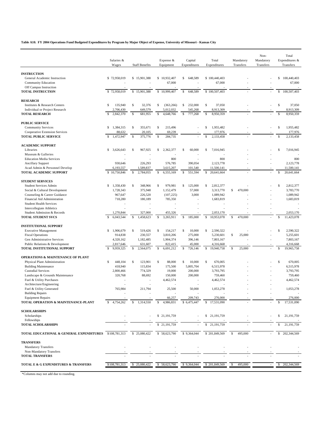**Table A10. FY 2004 Operations Fund Budgeted Expenditures by Program by Major Object of Expense, University of Missouri - Kansas City**

|                                                                 |                          |                               |                                     |                          |                            |                         | Non-                   | Total                       |
|-----------------------------------------------------------------|--------------------------|-------------------------------|-------------------------------------|--------------------------|----------------------------|-------------------------|------------------------|-----------------------------|
|                                                                 | Salaries &<br>Wages      | <b>Staff Benefits</b>         | Expense &<br>Equipment              | Capital<br>Expenditures  | Total<br>Expenditures      | Mandatory<br>Transfers  | Mandatory<br>Transfers | Expenditures &<br>Transfers |
|                                                                 |                          |                               |                                     |                          |                            |                         |                        |                             |
| <b>INSTRUCTION</b><br>General Academic Instruction              | \$72,958,019             | \$15,901,388                  | \$10,932,407                        | 648,589<br>S             | \$100,440,403              |                         |                        | $\mathbb{S}$<br>100,440,403 |
| <b>Community Education</b>                                      |                          |                               | 67,000                              |                          | 67,000                     |                         |                        | 67,000                      |
| Off Campus Instruction                                          |                          |                               |                                     |                          |                            |                         |                        |                             |
| <b>TOTAL INSTRUCTION</b>                                        | \$72,958,019             | 15,901,388<br>S               | \$10,999,407                        | $\mathbb S$<br>648,589   | \$100,507,403              |                         |                        | $\mathbb S$<br>100,507,403  |
| <b>RESEARCH</b>                                                 |                          |                               |                                     |                          |                            |                         |                        |                             |
| Institutes & Research Centers                                   | $\mathbb S$<br>135,940   | $\mathbb S$<br>32,376         | s<br>(363, 266)                     | S<br>232,000             | \$<br>37,050               |                         |                        | $\mathbb S$<br>37,050       |
| Individual or Project Research                                  | 2,706,430                | 649,579                       | 5,012,032                           | 545,268                  | 8,913,309                  |                         |                        | 8,913,309                   |
| <b>TOTAL RESEARCH</b>                                           | 2,842,370<br>S           | \$<br>681,955                 | $\mathbb S$<br>4,648,766            | 777,268<br>$\mathbb S$   | $\mathbb{S}$<br>8,950,359  |                         |                        | \$<br>8,950,359             |
| <b>PUBLIC SERVICE</b>                                           |                          |                               |                                     |                          |                            |                         |                        |                             |
| <b>Community Services</b>                                       | S<br>1,384,315           | \$<br>355.671                 | \$<br>215,496                       |                          | \$<br>1,955,482            |                         |                        | \$<br>1,955,482             |
| <b>Cooperative Extension Services</b>                           | 88,632                   | 20,105                        | 69,239                              |                          | 177,976                    |                         |                        | 177,976                     |
| <b>TOTAL PUBLIC SERVICE</b>                                     | 1,472,947<br>S           | $\mathbf{\hat{s}}$<br>375,776 | $\mathbb{S}$<br>284,735             |                          | 2,133,458<br>Ŝ             |                         |                        | Ŝ<br>2,133,458              |
| <b>ACADEMIC SUPPORT</b>                                         |                          |                               |                                     |                          |                            |                         |                        |                             |
| Libraries                                                       | S<br>3,626,643           | s<br>967,925                  | s<br>2,362,377                      | 60,000<br>s              | \$<br>7,016,945            |                         |                        | $\mathbb S$<br>7,016,945    |
| Museum & Galleries                                              |                          |                               |                                     |                          |                            |                         |                        |                             |
| <b>Education Media Services</b>                                 |                          |                               | 800                                 | $\overline{\phantom{a}}$ | 800                        |                         |                        | 800                         |
| <b>Ancillary Support</b><br>Acad Admin & Personnel Develop      | 930,646<br>6,193,557     | 226,293<br>1,589,837          | 576,785<br>3,615,207                | 390,054<br>101,540       | 2,123,778<br>11,500,141    |                         |                        | 2,123,778<br>11,500,141     |
| <b>TOTAL ACADEMIC SUPPORT</b>                                   | 10,750,846               | $\mathbb{S}$<br>2,784,055     | $\mathbb S$<br>6,555,169            | $\mathbb{S}$<br>551,594  | $\mathbb{S}$<br>20,641,664 |                         |                        | $\mathbb S$<br>20,641,664   |
|                                                                 |                          |                               |                                     |                          |                            |                         |                        |                             |
| <b>STUDENT SERVICES</b>                                         |                          |                               |                                     |                          |                            |                         |                        |                             |
| <b>Student Services Admin</b>                                   | S<br>1,358,430           | $\mathbb S$<br>348,966        | $\mathbb S$<br>979,981              | S<br>125,000             | $\mathbb S$<br>2,812,377   |                         |                        | $\mathbb S$<br>2,812,377    |
| Social & Cultural Development                                   | 1,728,343<br>967,647     | 375,948<br>226,520            | 1,152,479<br>(107, 225)             | 57,000<br>3,000          | 3,313,770<br>1,089,942     | S<br>470,000            |                        | 3,783,770<br>1,089,942      |
| Counseling & Career Guidance<br>Financial Aid Administration    | 718,280                  | 180,189                       | 785,350                             | ÷,                       | 1,683,819                  |                         |                        | 1,683,819                   |
| <b>Student Health Services</b>                                  |                          |                               |                                     | ÷                        |                            |                         |                        |                             |
| Intercollegiate Athletics                                       |                          |                               |                                     |                          |                            |                         |                        |                             |
| Student Admission & Records                                     | 1,270,844                | 327,000                       | 455,326                             |                          | 2,053,170                  |                         |                        | 2,053,170                   |
| <b>TOTAL STUDENT SVCS</b>                                       | $\mathbb S$<br>6,043,544 | $\mathbb S$<br>1,458,623      | 3,265,911<br>Ŝ                      | $\mathbb S$<br>185,000   | $\mathbb{S}$<br>10,953,078 | $\mathbb{S}$<br>470,000 |                        | $\mathbb S$<br>11,423,078   |
| <b>INSTITUTIONAL SUPPORT</b>                                    |                          |                               |                                     |                          |                            |                         |                        |                             |
| <b>Executive Management</b>                                     | 1,906,679<br>S           | $\mathbb S$<br>519,426        | $\mathbb S$<br>154,217              | $\mathbb S$<br>10,000    | \$<br>2,590,322            |                         |                        | $\mathbb S$<br>2,590,322    |
| <b>Fiscal Operations</b>                                        | 914,838                  | 230,557                       | 3,810,206                           | 275,000                  | 5,230,601                  | \$<br>25,000            |                        | 5,255,601                   |
| Gen Administrative Services                                     | 4,320,162                | 1,182,485                     | 1,904,374                           | 396,146                  | 7,803,167                  |                         | ÷                      | 7,803,167                   |
| Public Relations & Development                                  | 2,817,646                | 631,607                       | 822,415                             | 45,000                   | 4,316,668                  |                         |                        | 4,316,668                   |
| TOTAL INSTITUTIONAL SUPPORT                                     | s<br>9,959,325           | S<br>2,564,075                | S<br>6,691,212                      | S<br>726,146             | S<br>19,940,758            | S<br>25,000             |                        | $\mathbb S$<br>19,965,758   |
| <b>OPERATIONS &amp; MAINTENANCE OF PLANT</b>                    |                          |                               |                                     |                          |                            |                         |                        |                             |
| Physical Plant Administration                                   | s<br>448,104             | $\mathbb S$<br>123,901        | S<br>88,000                         | $\mathbb S$<br>10,000    | \$<br>670,005              |                         |                        | $\mathbb{S}$<br>670,005     |
| <b>Building Maintenance</b>                                     | 418,940                  | 115,834                       | 175,500                             | 5,805,704                | 6,515,978                  |                         |                        | 6,515,978                   |
| <b>Custodial Services</b>                                       | 2,800,466                | 774,329                       | 19,000                              | 200,000                  | 3,793,795                  |                         |                        | 3,793,795                   |
| Landscape & Grounds Maintenance<br>Fuel & Utility Purchases     | 320,768                  | 88,692                        | 150,000<br>4,462,574                | 200,000<br>÷,            | 759,460<br>4,462,574       |                         |                        | 759,460<br>4,462,574        |
| Architecture/Engineering                                        |                          |                               |                                     |                          |                            |                         |                        |                             |
| Fuel & Utility Generated                                        | 765,984                  | 211,794                       | 25,500                              | 50,000                   | 1,053,278                  |                         |                        | 1,053,278                   |
| <b>Building Repairs</b>                                         |                          |                               |                                     |                          |                            |                         |                        |                             |
| <b>Equipment Repairs</b><br>TOTAL OPERATION & MAINTENANCE-PLANT | 4,754,262                | S<br>1.314.550                | 66,257<br>$\mathbb{S}$<br>4,986,831 | 209,743<br>\$6,475,447   | 276,000<br>\$17,531,090    |                         |                        | 276,000<br>17,531,090<br>S  |
|                                                                 |                          |                               |                                     |                          |                            |                         |                        |                             |
| <b>SCHOLARSHIPS</b>                                             |                          |                               | \$21,191,759                        |                          | \$ 21,191,759              |                         |                        |                             |
| Scholarships<br>Fellowships                                     |                          |                               |                                     |                          |                            |                         |                        | 21,191,759<br>S.            |
| <b>TOTAL SCHOLARSHIPS</b>                                       |                          |                               | \$21,191,759                        |                          | 21, 191, 759<br>S          |                         |                        | S<br>21, 191, 759           |
| TOTAL EDUCATIONAL & GENERAL EXPENDITURES \$108,781,313          |                          | \$25,080,422                  | \$58,623,790                        | \$9,364,044              | \$201,849,569              | 495,000<br>\$           |                        | $\mathbb{S}$<br>202,344,569 |
| <b>TRANSFERS</b>                                                |                          |                               |                                     |                          |                            |                         |                        |                             |
| <b>Mandatory Transfers</b>                                      |                          |                               |                                     |                          |                            |                         |                        |                             |
| Non-Mandatory Transfers                                         |                          |                               |                                     |                          |                            |                         |                        |                             |
| <b>TOTAL TRANSFERS</b>                                          |                          |                               |                                     |                          |                            |                         |                        |                             |
| TOTAL E & G EXPENDITURES & TRANSFERS                            | \$108,781,313            | 25,080,422<br>S               | \$58,623,790                        | \$9,364,044              | \$201,849,569              | 495,000<br>-S           |                        | 202,344,569<br>s            |
|                                                                 |                          |                               |                                     |                          |                            |                         |                        |                             |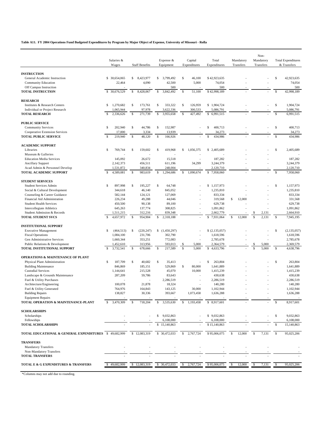**Table A11. FY 2004 Operations Fund Budgeted Expenditures by Program by Major Object of Expense, University of Missouri - Rolla**

|                                                                |     |                    |              |                       |               |                     |              |              |                          |    |           |    | Non-      |               |                           |
|----------------------------------------------------------------|-----|--------------------|--------------|-----------------------|---------------|---------------------|--------------|--------------|--------------------------|----|-----------|----|-----------|---------------|---------------------------|
|                                                                |     | Salaries &         |              |                       |               | Expense &           |              | Capital      | Total                    |    | Mandatory |    | Mandatory |               | <b>Total Expenditures</b> |
|                                                                |     | Wages              |              | <b>Staff Benefits</b> |               | Equipment           |              | Expenditures | Expenditures             |    | Transfers |    | Transfers |               | & Transfers               |
| <b>INSTRUCTION</b>                                             |     |                    |              |                       |               |                     |              |              |                          |    |           |    |           |               |                           |
| General Academic Instruction                                   |     | \$ 30,654,065      | S.           | 8,423,977             | \$            | 3,799,492           | $\mathbb S$  | 46,100       | \$42,923,635             |    |           |    |           | $\mathsf S$   | 42.923.635                |
| <b>Community Education</b>                                     |     | 22,464             |              | 4,090                 |               | 42,500              |              | 5,000        | 74,054                   |    |           |    |           |               | 74,054                    |
| Off Campus Instruction                                         |     |                    |              |                       |               | 500                 |              |              | 500                      |    |           |    |           |               | 500                       |
| <b>TOTAL INSTRUCTION</b>                                       |     | \$ 30,676,529      | $\mathbb S$  | 8,428,067             | $\mathbb S$   | 3,842,492           | $\mathbb S$  | 51,100       | \$42,998,189             |    |           |    |           | $\mathsf{\$}$ | 42,998,189                |
| <b>RESEARCH</b>                                                |     |                    |              |                       |               |                     |              |              |                          |    |           |    |           |               |                           |
| Institutes & Research Centers                                  | s   | 1,270,682          | $\mathbb{S}$ | 173.761               | $\mathbb S$   | 333.322             | $\mathbb S$  | 126,959      | \$1,904,724              |    |           |    |           | \$            | 1,904,724                 |
| Individual or Project Research                                 |     | 1,065,944          |              | 97,978                |               | 3,622,336           |              | 300,533      | 5,086,791                |    |           |    |           |               | 5,086,791                 |
| <b>TOTAL RESEARCH</b>                                          | Ŝ   | 2,336,626          | S            | 271,739               | \$            | 3,955,658           | $\mathbb{S}$ | 427,492      | S<br>6,991,515           |    |           |    |           | Ŝ             | 6,991,515                 |
|                                                                |     |                    |              |                       |               |                     |              |              |                          |    |           |    |           |               |                           |
| <b>PUBLIC SERVICE</b><br><b>Community Services</b>             | \$  | 202,940            | \$           | 44,786                | \$            | 152,987             |              |              | \$<br>400,713            |    |           |    |           | \$            | 400,713                   |
| Cooperative Extension Services                                 |     | 17,000             |              | 3,334                 |               | 13,939              |              |              | 34,273                   |    |           |    |           |               | 34,273                    |
| <b>TOTAL PUBLIC SERVICE</b>                                    | \$. | 219,940            | S            | 48,120                | \$            | 166,926             |              |              | 434,986<br>\$.           |    |           |    |           | Ŝ             | 434,986                   |
|                                                                |     |                    |              |                       |               |                     |              |              |                          |    |           |    |           |               |                           |
| <b>ACADEMIC SUPPORT</b>                                        |     |                    |              |                       |               |                     |              |              |                          |    |           |    |           |               |                           |
| Libraries                                                      | \$  | 769,744            | s            | 159,602               | $\mathbb{S}$  | 419,968             | S            | 1,056,375    | \$2,405,689              |    |           |    |           | \$            | 2,405,689                 |
| Museum & Galleries<br><b>Education Media Services</b>          |     | 145,092            |              | 26,672                |               | 15,518              |              |              | 187.282                  |    |           |    |           |               | 187,282                   |
| <b>Ancillary Support</b>                                       |     | 2,142,373          |              | 456,511               |               | 611,196             |              | 34,299       | 3,244,379                |    |           |    |           |               | 3,244,379                 |
| Acad Admin & Personnel Develop                                 |     | 1,531,872          |              | 340,834               |               | 248,004             |              |              | 2,120,710                |    |           |    |           |               | 2,120,710                 |
| TOTAL ACADEMIC SUPPORT                                         | Ŝ   | 4,589,081          | S            | 983,619               | s             | 1,294,686           | S            | 1,090,674    | 7,958,060<br>\$          |    |           |    |           | \$            | 7,958,060                 |
|                                                                |     |                    |              |                       |               |                     |              |              |                          |    |           |    |           |               |                           |
| <b>STUDENT SERVICES</b>                                        |     |                    |              |                       |               |                     |              |              |                          |    |           |    |           |               |                           |
| <b>Student Services Admin</b><br>Social & Cultural Development | s   | 897,998<br>344,618 | $\mathbb S$  | 195,227<br>46,140     | $\mathbb{S}$  | 64,748<br>845,052   |              |              | \$1,157,973<br>1,235,810 |    |           |    |           | $\mathsf S$   | 1,157,973<br>1,235,810    |
| Counseling & Career Guidance                                   |     | 582,144            |              | 124,121               |               | 127,069             |              |              | 833,334                  |    |           |    |           |               | 833,334                   |
| Financial Aid Administration                                   |     | 226,234            |              | 49,288                |               | 44,046              |              |              | 319,568                  | \$ | 12,000    |    |           |               | 331,568                   |
| <b>Student Health Services</b>                                 |     | 450,500            |              | 90,138                |               | 89,100              |              |              | 629,738                  |    |           |    |           |               | 629,738                   |
| <b>Intercollegiate Athletics</b>                               |     | 645,263            |              | 137,774               |               | 308,825             |              |              | 1,091,862                |    |           |    |           |               | 1,091,862                 |
| Student Admission & Records                                    |     | 1,511,215          |              | 312,216               |               | 839,348             |              |              | 2,662,779                |    |           |    | 2,131     |               | 2,664,910                 |
| TOTAL STUDENT SVCS                                             | Ŝ   | 4,657,972          | \$           | 954,904               | $\mathbb S$   | 2,318,188           |              |              | \$<br>7,931,064          | S  | 12,000    | S  | 2,131     | \$            | 7,945,195                 |
| <b>INSTITUTIONAL SUPPORT</b>                                   |     |                    |              |                       |               |                     |              |              |                          |    |           |    |           |               |                           |
| <b>Executive Management</b>                                    | S   | (464, 513)         | \$           | (220, 247)            |               | (1,450,297)         |              |              | \$(2,135,057)            |    |           |    |           | \$            | (2, 135, 057)             |
| <b>Fiscal Operations</b>                                       |     | 1,084,100          |              | 231,706               |               | 302,790             |              |              | 1,618,596                |    |           |    |           |               | 1,618,596                 |
| Gen Administrative Services                                    |     | 1,660,344          |              | 353,251               |               | 772,083             |              |              | 2,785,678                |    |           |    |           |               | 2,785,678                 |
| Public Relations & Development                                 |     | 1,452,610          |              | 313,956               |               | 593,013             | \$           | 5,000        | 2,364,579                |    |           | \$ | 5,000     |               | 2,369,579                 |
| TOTAL INSTITUTIONAL SUPPORT                                    | S   | 3,732,541          | S            | 678,666               | $\mathsf{\$}$ | 217,589             | $\mathbb S$  | 5,000        | S<br>4,633,796           |    |           | \$ | 5,000     | $\mathsf{\$}$ | 4,638,796                 |
| <b>OPERATIONS &amp; MAINTENANCE OF PLANT</b>                   |     |                    |              |                       |               |                     |              |              |                          |    |           |    |           |               |                           |
| Physical Plant Administration                                  | s   | 187,709            | \$           | 40,682                | \$            | 35,413              |              |              | S<br>263,804             |    |           |    |           | \$            | 263,804                   |
| <b>Building Maintenance</b>                                    |     | 846,869            |              | 185,151               |               | 529,869             | $\mathbb S$  | 80,000       | 1,641,889                |    |           |    |           |               | 1,641,889                 |
| <b>Custodial Services</b>                                      |     | 1,144,641          |              | 215,528               |               | 45,070              |              | 10,000       | 1,415,239                |    |           |    |           |               | 1,415,239                 |
| Landscape & Grounds Maintenance                                |     | 287,209            |              | 59,786                |               | 83,643              |              |              | 430,638                  |    |           |    |           |               | 430,638                   |
| Fuel & Utility Purchases                                       |     | 100,078            |              | 21,878                |               | 2,286,519<br>18,324 |              |              | 2,286,519<br>140,280     |    |           |    |           |               | 2,286,519<br>140,280      |
| Architecture/Engineering<br>Fuel & Utility Generated           |     | 764,976            |              | 164,843               |               | 143,125             |              | 30,000       | 1,102,944                |    |           |    |           |               | 1,102,944                 |
| <b>Building Repairs</b>                                        |     | 138,827            |              | 30,336                |               | 393,667             |              | 1,073,458    | 1,636,288                |    |           |    |           |               | 1,636,288                 |
| <b>Equipment Repairs</b>                                       |     |                    |              |                       |               |                     |              |              |                          |    |           |    |           |               |                           |
| TOTAL OPERATION & MAINTENANCE-PLANT                            |     | 3,470,309          |              | 718,204               | S             | 3,535,630           | S            | 1,193,458    | \$8,917,601              |    |           |    |           |               | 8,917,601                 |
| <b>SCHOLARSHIPS</b>                                            |     |                    |              |                       |               |                     |              |              |                          |    |           |    |           |               |                           |
| Scholarships                                                   |     |                    |              |                       |               | \$ 9,032,863        |              |              | \$9,032,863              |    |           |    |           | \$            | 9,032,863                 |
| Fellowships                                                    |     |                    |              |                       |               | 6,108,000           |              |              | 6,108,000                |    |           |    |           |               | 6,108,000                 |
| <b>TOTAL SCHOLARSHIPS</b>                                      |     |                    |              |                       |               | 15,140,863          |              |              | \$15,140,863             |    |           |    |           | \$            | 15,140,863                |
| TOTAL EDUCATIONAL & GENERAL EXPENDITURES \$49,682,999          |     |                    |              | \$12,083,319          |               | \$ 30,472,033       | S.           | 2,767,724    | \$95,006,075             | S  | 12,000    | S  | 7,131     | S             | 95,025,206                |
|                                                                |     |                    |              |                       |               |                     |              |              |                          |    |           |    |           |               |                           |
| <b>TRANSFERS</b>                                               |     |                    |              |                       |               |                     |              |              |                          |    |           |    |           |               |                           |
| <b>Mandatory Transfers</b><br>Non-Mandatory Transfers          |     |                    |              |                       |               |                     |              |              |                          |    |           |    |           |               |                           |
| <b>TOTAL TRANSFERS</b>                                         |     |                    |              |                       |               |                     |              |              |                          |    |           |    |           |               |                           |
|                                                                |     |                    |              |                       |               |                     |              |              |                          |    |           |    |           |               |                           |
| TOTAL E & G EXPENDITURES & TRANSFERS                           |     | 49,682,999         | \$           | 12,083,319            | S             | 30,472,033          | \$           | 2,767,724    | \$95,006,075             | S  | 12,000    | \$ | 7,131     | \$            | 95,025,206                |
|                                                                |     |                    |              |                       |               |                     |              |              |                          |    |           |    |           |               |                           |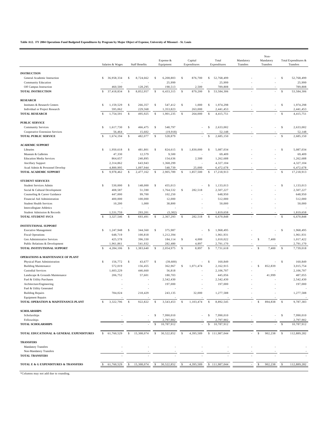**Table A12. FY 2004 Operations Fund Budgeted Expenditures by Program by Major Object of Expense, University of Missouri - St. Louis**

|                                                         |                    | Salaries & Wages     |               | <b>Staff Benefits</b> |               | Expense &<br>Equipment |               | Capital<br>Expenditures  |                    | Total<br>Expenditures  | Mandatory<br>Transfers |              | Non-<br>Mandatory<br>Transfers |                    | Total Expenditures &<br>Transfers |
|---------------------------------------------------------|--------------------|----------------------|---------------|-----------------------|---------------|------------------------|---------------|--------------------------|--------------------|------------------------|------------------------|--------------|--------------------------------|--------------------|-----------------------------------|
|                                                         |                    |                      |               |                       |               |                        |               |                          |                    |                        |                        |              |                                |                    |                                   |
| <b>INSTRUCTION</b>                                      |                    |                      |               |                       |               |                        |               |                          |                    |                        |                        |              |                                |                    |                                   |
| General Academic Instruction                            | \$                 | 36,958,334           | \$            | 8,724,662             | \$            | 6,208,803<br>25,999    | \$            | 876,700                  | \$                 | 52,768,499             |                        |              |                                | \$                 | 52,768,499<br>25,999              |
| Community Education<br>Off Campus Instruction           |                    | 460,500              |               | 128,295               |               | 198,513                |               | 2,500                    |                    | 25,999<br>789,808      |                        |              |                                |                    | 789,808                           |
| <b>TOTAL INSTRUCTION</b>                                | \$                 | 37,418,834           | $\mathbb{S}$  | 8,852,957             | \$            | 6,433,315              | $\mathbb{S}$  | 879,200                  | $\mathbb{S}$       | 53,584,306             |                        |              | ÷                              | $\mathbb{S}$       | 53,584,306                        |
|                                                         |                    |                      |               |                       |               |                        |               |                          |                    |                        |                        |              |                                |                    |                                   |
| <b>RESEARCH</b>                                         |                    |                      |               |                       |               |                        |               |                          |                    |                        |                        |              |                                |                    |                                   |
| Institutes & Research Centers                           | \$                 | 1,159,529            | \$            | 266,357               | \$            | 547,412                | \$            | 1,000                    | \$                 | 1,974,298              |                        |              |                                | $\mathbb{S}$       | 1,974,298<br>2,441,453            |
| Individual or Project Research<br><b>TOTAL RESEARCH</b> | $\mathbf{\hat{S}}$ | 595,062<br>1,754,591 | $\mathsf{\$}$ | 229,568<br>495,925    | $\mathsf{\$}$ | 1,353,823<br>1,901,235 | $\mathsf{\$}$ | 263,000<br>264,000       | $\mathsf{\$}$      | 2,441,453<br>4,415,751 |                        |              |                                | $\mathbf{\hat{s}}$ | 4,415,751                         |
|                                                         |                    |                      |               |                       |               |                        |               |                          |                    |                        |                        |              |                                |                    |                                   |
| <b>PUBLIC SERVICE</b>                                   |                    |                      |               |                       |               |                        |               |                          |                    |                        |                        |              |                                |                    |                                   |
| <b>Community Services</b>                               | \$                 | 1,617,730            | \$            | 466,475               | $\mathbb{S}$  | 548,797                |               | ÷,                       | \$                 | 2,633,002              |                        |              |                                | $\mathbb{S}$       | 2,633,002                         |
| Cooperative Extension Services                          |                    | 56,464               |               | 15,602                |               | (19, 918)              |               |                          |                    | 52,148                 |                        |              |                                |                    | 52,148                            |
| <b>TOTAL PUBLIC SERVICE</b>                             | \$                 | 1,674,194            | \$            | 482,077               | \$            | 528,879                |               | ÷                        | $\mathbb{S}$       | 2,685,150              |                        |              | ÷,                             | $\mathbb{S}$       | 2,685,150                         |
| <b>ACADEMIC SUPPORT</b>                                 |                    |                      |               |                       |               |                        |               |                          |                    |                        |                        |              |                                |                    |                                   |
| Libraries                                               | <sup>\$</sup>      | 1,950,618            | \$            | 481,801               | \$            | 824,615                | <sup>\$</sup> | 1,830,000                | \$                 | 5,087,034              |                        |              |                                | \$                 | 5,087,034                         |
| Museum & Galleries                                      |                    | 47,330               |               | 12,579                |               | 9,500                  |               |                          |                    | 69,409                 |                        |              |                                |                    | 69,409                            |
| <b>Education Media Services</b>                         |                    | 864,657              |               | 240,895               |               | 154,636                |               | 2,500                    |                    | 1,262,688              |                        |              |                                |                    | 1,262,688                         |
| Ancillary Support                                       |                    | 2,314,862            |               | 643,943               |               | 1,368,299              |               | ä,                       |                    | 4,327,104              |                        |              |                                |                    | 4,327,104                         |
| Acad Admin & Personnel Develop                          |                    | 4,800,995            |               | 1,097,944             |               | 548,739                |               | 25,000                   |                    | 6,472,678              |                        |              |                                |                    | 6,472,678                         |
| TOTAL ACADEMIC SUPPORT                                  | \$                 | 9,978,462            | $\mathbb{S}$  | 2,477,162             | $\mathbb{S}$  | 2,905,789              | $\mathbb{S}$  | 1,857,500                | $\mathbb{S}$       | 17,218,913             |                        |              |                                | $\mathbf{\hat{s}}$ | 17,218,913                        |
| <b>STUDENT SERVICES</b>                                 |                    |                      |               |                       |               |                        |               |                          |                    |                        |                        |              |                                |                    |                                   |
| Student Services Admin                                  | \$                 | 530,000              | \$            | 148,000               | \$            | 455,013                |               | $\overline{\phantom{a}}$ | \$                 | 1,133,013              |                        |              |                                | \$                 | 1,133,013                         |
| Social & Cultural Development                           |                    | 408,587              |               | 51,590                |               | 1,764,532              | \$            | 282,518                  |                    | 2,507,227              |                        |              |                                |                    | 2,507,227                         |
| Counseling & Career Guidance                            |                    | 447,000              |               | 99,700                |               | 102,250                |               |                          |                    | 648,950                |                        |              |                                |                    | 648,950                           |
| Financial Aid Administration                            |                    | 400,000              |               | 100,000               |               | 12,000                 |               | ÷                        |                    | 512,000                |                        |              |                                |                    | 512,000                           |
| <b>Student Health Services</b>                          |                    | 10,200               |               | 1,000                 |               | 38,800                 |               |                          |                    | 50,000                 |                        |              |                                |                    | 50,000                            |
| Intercollegiate Athletics                               |                    |                      |               |                       |               |                        |               |                          |                    | ÷                      |                        |              |                                |                    |                                   |
| Student Admission & Records                             |                    | 1,531,759            |               | 293,201               |               | (5,302)                |               |                          |                    | 1,819,658              |                        |              |                                |                    | 1,819,658                         |
| TOTAL STUDENT SVCS                                      | <sup>\$</sup>      | 3,327,546            | $\mathbf{s}$  | 693,491               | $\mathbf{s}$  | 2,367,293              | $\mathbf{s}$  | 282,518                  | $\mathbf{\hat{S}}$ | 6,670,848              |                        |              |                                | $\mathbf{s}$       | 6,670,848                         |
| <b>INSTITUTIONAL SUPPORT</b>                            |                    |                      |               |                       |               |                        |               |                          |                    |                        |                        |              |                                |                    |                                   |
| <b>Executive Management</b>                             | \$                 | 1,247,948            | \$            | 344,560               | \$            | 375,987                |               |                          | \$                 | 1,968,495              |                        |              |                                | $\mathbb{S}$       | 1,968,495                         |
| <b>Fiscal Operations</b>                                |                    | 648,719              |               | 100,818               |               | 1,212,394              |               |                          |                    | 1,961,931              |                        |              |                                |                    | 1,961,931                         |
| Gen Administrative Services                             |                    | 425,578              |               | 396,330               |               | 184,114                | \$            | 4,000                    |                    | 1,010,022              |                        | \$           | 7,400                          |                    | 1,017,422                         |
| Public Relations & Development                          |                    | 1,961,861            |               | 541,932               |               | 282,480                |               | 4,897                    |                    | 2,791,170              |                        |              |                                |                    | 2,791,170                         |
| TOTAL INSTITUTIONAL SUPPORT                             | $\mathcal{S}$      | 4,284,106            | \$            | 1,383,640             | <sup>\$</sup> | 2,054,975              | \$            | 8,897                    | \$                 | 7,731,618              |                        | $\mathbb{S}$ | 7,400                          | $\mathbf{s}$       | 7,739,018                         |
| <b>OPERATIONS &amp; MAINTENANCE OF PLANT</b>            |                    |                      |               |                       |               |                        |               |                          |                    |                        |                        |              |                                |                    |                                   |
| Physical Plant Administration                           | \$                 | 156,772              | \$            | 43,677                | \$            | (39,600)               |               | ä,                       | \$                 | 160,849                |                        |              |                                | \$                 | 160,849                           |
| <b>Building Maintenance</b>                             |                    | 572,019              |               | 156,455               |               | 362,967                | \$            | 1,071,474                |                    | 2,162,915              |                        | \$           | 852,839                        |                    | 3,015,754                         |
| <b>Custodial Services</b>                               |                    | 1,603,229            |               | 446,660               |               | 56,818                 |               |                          |                    | 2,106,707              |                        |              |                                |                    | 2,106,707                         |
| Landscape & Grounds Maintenance                         |                    | 206,752              |               | 57,601                |               | 180,703                |               |                          |                    | 445,056                |                        |              | 41,999                         |                    | 487,055                           |
| Fuel & Utility Purchases                                |                    |                      |               | ٠                     |               | 2,542,430              |               |                          |                    | 2,542,430              |                        |              |                                |                    | 2,542,430                         |
| Architecture/Engineering                                |                    |                      |               |                       |               | 197,000                |               |                          |                    | 197,000                |                        |              |                                |                    | 197,000                           |
| Fuel & Utility Generated                                |                    |                      |               |                       |               |                        |               |                          |                    |                        |                        |              |                                |                    |                                   |
| <b>Building Repairs</b><br><b>Equipment Repairs</b>     |                    | 784,024              |               | 218,429               |               | 243,135                |               | 32,000                   |                    | 1,277,588              |                        |              |                                |                    | 1,277,588                         |
| TOTAL OPERATION & MAINTENANCE-PLANT                     | \$                 | 3,322,796            | \$            | 922,822               | -S            | 3,543,453              | -\$           | 1,103,474                | -S                 | 8,892,545              |                        | \$           | 894,838                        | <sup>\$</sup>      | 9,787,383                         |
| <b>SCHOLARSHIPS</b>                                     |                    |                      |               |                       |               |                        |               |                          |                    |                        |                        |              |                                |                    |                                   |
| Scholarships                                            |                    |                      |               |                       | -S            | 7,990,010              |               |                          | -S                 | 7,990,010              |                        |              |                                | \$                 | 7,990,010                         |
| Fellowships                                             |                    |                      |               |                       |               | 2,797,902              |               |                          |                    | 2,797,902              |                        |              |                                |                    | 2,797,902                         |
| <b>TOTAL SCHOLARSHIPS</b>                               |                    |                      |               |                       | <sup>\$</sup> | 10,787,912             |               |                          | -S                 | 10,787,912             |                        |              |                                | -S                 | 10,787,912                        |
| TOTAL EDUCATIONAL & GENERAL EXPENDITURES                | \$                 | 61,760,529           | \$            | 15,308,074            | \$            | 30,522,852             | $\mathsf{\$}$ | 4,395,589                |                    | \$111,987,044          |                        | -S           | 902,238                        | -S                 | 112,889,282                       |
|                                                         |                    |                      |               |                       |               |                        |               |                          |                    |                        |                        |              |                                |                    |                                   |
| <b>TRANSFERS</b><br>Mandatory Transfers                 |                    |                      |               |                       |               |                        |               |                          |                    |                        |                        |              |                                |                    |                                   |
| Non-Mandatory Transfers                                 |                    |                      |               |                       |               |                        |               |                          |                    |                        |                        |              |                                |                    |                                   |
| <b>TOTAL TRANSFERS</b>                                  |                    |                      |               |                       |               |                        |               |                          |                    |                        |                        |              |                                |                    |                                   |
| TOTAL E & G EXPENDITURES & TRANSFERS                    |                    | 61,760,529           |               | 15,308,074            |               | 30,522,852             |               | 4,395,589                |                    | \$111,987,044          |                        |              | 902,238                        |                    | 112,889,282                       |
|                                                         |                    |                      |               |                       |               |                        |               |                          |                    |                        |                        |              |                                |                    |                                   |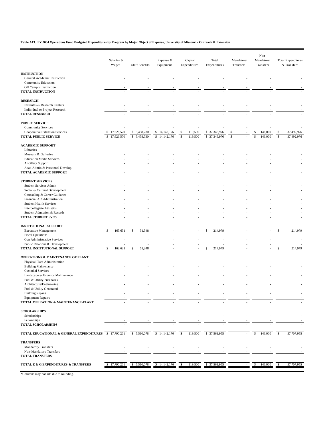**Table A13. FY 2004 Operations Fund Budgeted Expenditures by Program by Major Object of Expense, University of Missouri - Outreach & Extension**

|                                                                 | Salaries &<br>Wages | <b>Staff Benefits</b> | Expense &<br>Equipment       | Capital<br>Expenditures | Total<br>Expenditures | Mandatory<br>Transfers | Non-<br>Mandatory<br>Transfers | <b>Total Expenditures</b><br>& Transfers |
|-----------------------------------------------------------------|---------------------|-----------------------|------------------------------|-------------------------|-----------------------|------------------------|--------------------------------|------------------------------------------|
|                                                                 |                     |                       |                              |                         |                       |                        |                                |                                          |
| <b>INSTRUCTION</b><br>General Academic Instruction              |                     |                       |                              |                         |                       |                        |                                |                                          |
| <b>Community Education</b>                                      |                     |                       |                              |                         |                       |                        |                                |                                          |
| Off Campus Instruction                                          |                     |                       |                              |                         |                       |                        |                                |                                          |
| <b>TOTAL INSTRUCTION</b>                                        |                     |                       |                              |                         |                       |                        |                                |                                          |
| <b>RESEARCH</b>                                                 |                     |                       |                              |                         |                       |                        |                                |                                          |
| Institutes & Research Centers                                   |                     |                       |                              |                         |                       |                        |                                |                                          |
| Individual or Project Research                                  |                     |                       |                              |                         |                       |                        |                                |                                          |
| <b>TOTAL RESEARCH</b>                                           |                     |                       |                              |                         |                       |                        |                                |                                          |
| <b>PUBLIC SERVICE</b>                                           |                     |                       |                              |                         |                       |                        |                                |                                          |
| <b>Community Services</b>                                       |                     |                       |                              |                         |                       |                        |                                |                                          |
| Cooperative Extension Services                                  | \$17,626,570        | \$ 5,458,730          | \$14,142,176                 | \$<br>119,500           | \$ 37,346,976         | \$                     | 146,000<br>\$                  | 37,492,976<br>\$                         |
| <b>TOTAL PUBLIC SERVICE</b>                                     | 17,626,570<br>S     | \$5,458,730           | $\mathbb{S}$<br>14, 142, 176 | $\mathbb S$<br>119,500  | \$ 37,346,976         | $\mathbb S$            | 146,000<br>Ŝ                   | $\mathsf{s}$<br>37,492,976               |
| <b>ACADEMIC SUPPORT</b>                                         |                     |                       |                              |                         |                       |                        |                                |                                          |
| Libraries                                                       |                     |                       |                              |                         |                       |                        |                                |                                          |
| Museum & Galleries                                              |                     |                       |                              |                         |                       |                        |                                |                                          |
| <b>Education Media Services</b>                                 |                     |                       |                              |                         |                       |                        |                                |                                          |
| <b>Ancillary Support</b>                                        |                     |                       |                              |                         |                       |                        |                                |                                          |
| Acad Admin & Personnel Develop<br>TOTAL ACADEMIC SUPPORT        |                     |                       |                              |                         |                       |                        |                                |                                          |
|                                                                 |                     |                       |                              |                         |                       |                        |                                |                                          |
| <b>STUDENT SERVICES</b>                                         |                     |                       |                              |                         |                       |                        |                                |                                          |
| Student Services Admin<br>Social & Cultural Development         |                     |                       |                              |                         |                       |                        |                                |                                          |
| Counseling & Career Guidance                                    |                     |                       |                              |                         |                       |                        |                                |                                          |
| Financial Aid Administration                                    |                     |                       |                              |                         |                       |                        |                                |                                          |
| <b>Student Health Services</b>                                  |                     |                       |                              |                         |                       |                        |                                |                                          |
| Intercollegiate Athletics                                       |                     |                       |                              |                         |                       |                        |                                |                                          |
| Student Admission & Records                                     |                     |                       |                              |                         |                       |                        |                                |                                          |
| TOTAL STUDENT SVCS                                              |                     |                       |                              |                         |                       |                        |                                |                                          |
| <b>INSTITUTIONAL SUPPORT</b>                                    |                     |                       |                              |                         |                       |                        |                                |                                          |
| <b>Executive Management</b>                                     | \$<br>163,631       | S<br>51,348           |                              |                         | 214,979<br>S          |                        |                                | 214,979<br>\$                            |
| <b>Fiscal Operations</b>                                        |                     |                       |                              |                         |                       |                        |                                |                                          |
| Gen Administrative Services                                     |                     |                       |                              |                         |                       |                        |                                |                                          |
| Public Relations & Development                                  |                     |                       |                              |                         | $\mathbb{S}$          |                        |                                | $\mathbb S$                              |
| TOTAL INSTITUTIONAL SUPPORT                                     | S<br>163,631        | S<br>51,348           |                              |                         | 214,979               |                        |                                | 214,979                                  |
| <b>OPERATIONS &amp; MAINTENANCE OF PLANT</b>                    |                     |                       |                              |                         |                       |                        |                                |                                          |
| Physical Plant Administration                                   |                     |                       |                              |                         |                       |                        |                                |                                          |
| <b>Building Maintenance</b>                                     |                     |                       |                              |                         |                       |                        |                                |                                          |
| <b>Custodial Services</b><br>Landscape & Grounds Maintenance    |                     |                       |                              |                         |                       |                        |                                |                                          |
| Fuel & Utility Purchases                                        |                     |                       |                              |                         |                       |                        |                                |                                          |
| Architecture/Engineering                                        |                     |                       |                              |                         |                       |                        |                                |                                          |
| Fuel & Utility Generated                                        |                     |                       |                              |                         |                       |                        |                                |                                          |
| <b>Building Repairs</b>                                         |                     |                       |                              |                         |                       |                        |                                |                                          |
| <b>Equipment Repairs</b><br>TOTAL OPERATION & MAINTENANCE-PLANT |                     |                       |                              |                         |                       |                        |                                |                                          |
|                                                                 |                     |                       |                              |                         |                       |                        |                                |                                          |
| <b>SCHOLARSHIPS</b>                                             |                     |                       |                              |                         |                       |                        |                                |                                          |
| Scholarships                                                    |                     |                       |                              |                         |                       |                        |                                |                                          |
| Fellowships                                                     |                     |                       |                              |                         |                       |                        |                                |                                          |
| <b>TOTAL SCHOLARSHIPS</b>                                       |                     |                       |                              |                         |                       |                        |                                |                                          |
| TOTAL EDUCATIONAL & GENERAL EXPENDITURES \$17,790,201           |                     | \$ 5,510,078          | \$14,142,176                 | -S<br>119,500           | \$ 37,561,955         |                        | 146,000<br>S                   | 37,707,955<br>- S                        |
| <b>TRANSFERS</b>                                                |                     |                       |                              |                         |                       |                        |                                |                                          |
| <b>Mandatory Transfers</b>                                      |                     |                       |                              |                         |                       |                        |                                |                                          |
| Non-Mandatory Transfers                                         |                     |                       |                              |                         |                       |                        |                                |                                          |
| <b>TOTAL TRANSFERS</b>                                          |                     |                       |                              |                         |                       |                        |                                |                                          |
| TOTAL E & G EXPENDITURES & TRANSFERS                            | 17,790,201<br>S     | \$ 5,510,078          | \$14,142,176                 | 119,500<br>S            | \$ 37,561,955         |                        | 146,000<br>S                   | 37,707,955<br>S                          |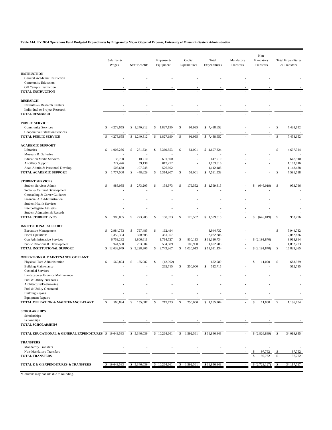**Table A14. FY 2004 Operations Fund Budgeted Expenditures by Program by Major Object of Expense, University of Missouri - System Administration**

| <b>INSTRUCTION</b><br>General Academic Instruction<br><b>Community Education</b><br>Off Campus Instruction<br><b>TOTAL INSTRUCTION</b><br><b>RESEARCH</b><br>Institutes & Research Centers<br>Individual or Project Research<br><b>TOTAL RESEARCH</b><br><b>PUBLIC SERVICE</b><br>1,827,190<br>91,995<br>\$<br>7,438,652<br>s<br>4,278,655<br>\$1,240,812<br>\$<br>\$<br>\$7,438,652<br><b>Community Services</b><br>Cooperative Extension Services<br>$\mathbb S$<br>$\mathbb{S}$<br>7,438,652<br><b>TOTAL PUBLIC SERVICE</b><br>4,278,655<br>\$1,240,812<br>$\mathbb S$<br>1,827,190<br>91,995<br>\$7,438,652<br>S<br><b>ACADEMIC SUPPORT</b><br>$\mathbb{S}$<br>51,001<br>\$<br>Libraries<br>s<br>1,005,236<br>S<br>271,534<br>S<br>3,369,553<br>\$4,697,324<br>4,697,324<br>Museum & Galleries<br>10,710<br>647,910<br><b>Education Media Services</b><br>35,700<br>601,500<br>647,910<br>227,426<br>817,252<br>1,103,816<br>1,103,816<br><b>Ancillary Support</b><br>59,138<br>Acad Admin & Personnel Develop<br>508,638<br>107,248<br>526,602<br>1,142,488<br>1,142,488<br>$\mathbb S$<br>TOTAL ACADEMIC SUPPORT<br>1,777,000<br>$\mathbb S$<br>448,629<br>5,314,907<br>\$<br>51,001<br>$\mathbb S$<br>7,591,538<br>7,591,538<br>Ŝ<br>S<br><b>STUDENT SERVICES</b><br>988.085<br>\$<br>273,205<br>S<br>158,973<br>\$<br>179,552<br>\$1,599,815<br>\$<br>953,796<br><b>Student Services Admin</b><br>S<br>\$<br>(646, 019)<br>Social & Cultural Development<br>Counseling & Career Guidance<br>Financial Aid Administration<br><b>Student Health Services</b><br>Intercollegiate Athletics<br>Student Admission & Records<br><sup>\$</sup><br>179,552<br>\$1,599,815<br><sub>S</sub><br>TOTAL STUDENT SVCS<br>988,085<br>$\mathbb S$<br>273,205<br>\$<br>158,973<br>\$<br>\$<br>(646, 019)<br>953,796<br>÷,<br><b>INSTITUTIONAL SUPPORT</b><br>\$<br>s<br>2,984,753<br>S<br>797,485<br>S<br>162,494<br>3,944,732<br>3,944,732<br><b>Executive Management</b><br>361,957<br>2,082,886<br>2,082,886<br>1,350,324<br>370,605<br><b>Fiscal Operations</b><br>\$(2,191,870)<br>8,918,864<br>6,759,282<br>1,806,611<br>1,714,727<br>s<br>830,113<br>\$11,110,734<br>Gen Administrative Services<br>1,892,783<br>Public Relations & Development<br>944,590<br>253,604<br>504,689<br>189,900<br>1,892,783<br><b>S</b><br>TOTAL INSTITUTIONAL SUPPORT<br>12,038,949<br>S<br>$\mathbb{S}$<br>2,743,867<br>$\mathbb S$<br>1,020,013<br>\$19,031,134<br>\$(2,191,870)<br>16,839,265<br>S<br>3,228,306<br><b>OPERATIONS &amp; MAINTENANCE OF PLANT</b><br>560,894<br>\$<br>155,087<br>$\mathbb{S}$<br>672,989<br>\$<br>683,989<br>Physical Plant Administration<br>s<br>(42,992)<br>S<br>11,000<br>262,715<br>\$<br>250,000<br>$\mathbb S$<br>512,715<br>512,715<br><b>Building Maintenance</b><br><b>Custodial Services</b><br>Landscape & Grounds Maintenance<br>Fuel & Utility Purchases<br>Architecture/Engineering<br>Fuel & Utility Generated<br><b>Building Repairs</b><br><b>Equipment Repairs</b><br>219,723<br>$\mathbb S$<br>250,000<br>\$1,185,704<br><b>S</b><br>TOTAL OPERATION & MAINTENANCE-PLANT<br>560,894<br>S<br>155,087<br>S<br>11,000<br>1,196,704<br><b>SCHOLARSHIPS</b><br>Scholarships<br>Fellowships<br><b>TOTAL SCHOLARSHIPS</b><br>TOTAL EDUCATIONAL & GENERAL EXPENDITURES \$ 19,643,583<br>34,019,955<br>\$ 5,346,039<br>\$10,264,661<br>\$<br>1,592,561<br>\$36,846,843<br>(2,826,889)<br>-S<br><b>TRANSFERS</b><br><b>Mandatory Transfers</b><br>Non-Mandatory Transfers<br>97,762<br>97,762<br><b>TOTAL TRANSFERS</b><br>97.762<br>S<br>97,762<br>TOTAL E & G EXPENDITURES & TRANSFERS<br>19,643,583<br>\$ 5,346,039<br>10,264,661<br>1,592,561<br>\$36,846,843<br>(2,729,127)<br>34,117,717<br>\$<br>S<br>S |  | Salaries &<br>Wages | <b>Staff Benefits</b> | Expense &<br>Equipment | Capital<br>Expenditures | Total<br>Expenditures | Mandatory<br>Transfers | Non-<br>Mandatory<br>Transfers | <b>Total Expenditures</b><br>& Transfers |
|---------------------------------------------------------------------------------------------------------------------------------------------------------------------------------------------------------------------------------------------------------------------------------------------------------------------------------------------------------------------------------------------------------------------------------------------------------------------------------------------------------------------------------------------------------------------------------------------------------------------------------------------------------------------------------------------------------------------------------------------------------------------------------------------------------------------------------------------------------------------------------------------------------------------------------------------------------------------------------------------------------------------------------------------------------------------------------------------------------------------------------------------------------------------------------------------------------------------------------------------------------------------------------------------------------------------------------------------------------------------------------------------------------------------------------------------------------------------------------------------------------------------------------------------------------------------------------------------------------------------------------------------------------------------------------------------------------------------------------------------------------------------------------------------------------------------------------------------------------------------------------------------------------------------------------------------------------------------------------------------------------------------------------------------------------------------------------------------------------------------------------------------------------------------------------------------------------------------------------------------------------------------------------------------------------------------------------------------------------------------------------------------------------------------------------------------------------------------------------------------------------------------------------------------------------------------------------------------------------------------------------------------------------------------------------------------------------------------------------------------------------------------------------------------------------------------------------------------------------------------------------------------------------------------------------------------------------------------------------------------------------------------------------------------------------------------------------------------------------------------------------------------------------------------------------------------------------------------------------------------------------------------------------------------------------------------------------------------------------------------------------------------------------------------------------------------------------------------------------------------------------------------------------------------------------------------------------------------------------------------------------------------------------------------------------------------------------------------------------------|--|---------------------|-----------------------|------------------------|-------------------------|-----------------------|------------------------|--------------------------------|------------------------------------------|
|                                                                                                                                                                                                                                                                                                                                                                                                                                                                                                                                                                                                                                                                                                                                                                                                                                                                                                                                                                                                                                                                                                                                                                                                                                                                                                                                                                                                                                                                                                                                                                                                                                                                                                                                                                                                                                                                                                                                                                                                                                                                                                                                                                                                                                                                                                                                                                                                                                                                                                                                                                                                                                                                                                                                                                                                                                                                                                                                                                                                                                                                                                                                                                                                                                                                                                                                                                                                                                                                                                                                                                                                                                                                                                                                       |  |                     |                       |                        |                         |                       |                        |                                |                                          |
|                                                                                                                                                                                                                                                                                                                                                                                                                                                                                                                                                                                                                                                                                                                                                                                                                                                                                                                                                                                                                                                                                                                                                                                                                                                                                                                                                                                                                                                                                                                                                                                                                                                                                                                                                                                                                                                                                                                                                                                                                                                                                                                                                                                                                                                                                                                                                                                                                                                                                                                                                                                                                                                                                                                                                                                                                                                                                                                                                                                                                                                                                                                                                                                                                                                                                                                                                                                                                                                                                                                                                                                                                                                                                                                                       |  |                     |                       |                        |                         |                       |                        |                                |                                          |
|                                                                                                                                                                                                                                                                                                                                                                                                                                                                                                                                                                                                                                                                                                                                                                                                                                                                                                                                                                                                                                                                                                                                                                                                                                                                                                                                                                                                                                                                                                                                                                                                                                                                                                                                                                                                                                                                                                                                                                                                                                                                                                                                                                                                                                                                                                                                                                                                                                                                                                                                                                                                                                                                                                                                                                                                                                                                                                                                                                                                                                                                                                                                                                                                                                                                                                                                                                                                                                                                                                                                                                                                                                                                                                                                       |  |                     |                       |                        |                         |                       |                        |                                |                                          |
|                                                                                                                                                                                                                                                                                                                                                                                                                                                                                                                                                                                                                                                                                                                                                                                                                                                                                                                                                                                                                                                                                                                                                                                                                                                                                                                                                                                                                                                                                                                                                                                                                                                                                                                                                                                                                                                                                                                                                                                                                                                                                                                                                                                                                                                                                                                                                                                                                                                                                                                                                                                                                                                                                                                                                                                                                                                                                                                                                                                                                                                                                                                                                                                                                                                                                                                                                                                                                                                                                                                                                                                                                                                                                                                                       |  |                     |                       |                        |                         |                       |                        |                                |                                          |
|                                                                                                                                                                                                                                                                                                                                                                                                                                                                                                                                                                                                                                                                                                                                                                                                                                                                                                                                                                                                                                                                                                                                                                                                                                                                                                                                                                                                                                                                                                                                                                                                                                                                                                                                                                                                                                                                                                                                                                                                                                                                                                                                                                                                                                                                                                                                                                                                                                                                                                                                                                                                                                                                                                                                                                                                                                                                                                                                                                                                                                                                                                                                                                                                                                                                                                                                                                                                                                                                                                                                                                                                                                                                                                                                       |  |                     |                       |                        |                         |                       |                        |                                |                                          |
|                                                                                                                                                                                                                                                                                                                                                                                                                                                                                                                                                                                                                                                                                                                                                                                                                                                                                                                                                                                                                                                                                                                                                                                                                                                                                                                                                                                                                                                                                                                                                                                                                                                                                                                                                                                                                                                                                                                                                                                                                                                                                                                                                                                                                                                                                                                                                                                                                                                                                                                                                                                                                                                                                                                                                                                                                                                                                                                                                                                                                                                                                                                                                                                                                                                                                                                                                                                                                                                                                                                                                                                                                                                                                                                                       |  |                     |                       |                        |                         |                       |                        |                                |                                          |
|                                                                                                                                                                                                                                                                                                                                                                                                                                                                                                                                                                                                                                                                                                                                                                                                                                                                                                                                                                                                                                                                                                                                                                                                                                                                                                                                                                                                                                                                                                                                                                                                                                                                                                                                                                                                                                                                                                                                                                                                                                                                                                                                                                                                                                                                                                                                                                                                                                                                                                                                                                                                                                                                                                                                                                                                                                                                                                                                                                                                                                                                                                                                                                                                                                                                                                                                                                                                                                                                                                                                                                                                                                                                                                                                       |  |                     |                       |                        |                         |                       |                        |                                |                                          |
|                                                                                                                                                                                                                                                                                                                                                                                                                                                                                                                                                                                                                                                                                                                                                                                                                                                                                                                                                                                                                                                                                                                                                                                                                                                                                                                                                                                                                                                                                                                                                                                                                                                                                                                                                                                                                                                                                                                                                                                                                                                                                                                                                                                                                                                                                                                                                                                                                                                                                                                                                                                                                                                                                                                                                                                                                                                                                                                                                                                                                                                                                                                                                                                                                                                                                                                                                                                                                                                                                                                                                                                                                                                                                                                                       |  |                     |                       |                        |                         |                       |                        |                                |                                          |
|                                                                                                                                                                                                                                                                                                                                                                                                                                                                                                                                                                                                                                                                                                                                                                                                                                                                                                                                                                                                                                                                                                                                                                                                                                                                                                                                                                                                                                                                                                                                                                                                                                                                                                                                                                                                                                                                                                                                                                                                                                                                                                                                                                                                                                                                                                                                                                                                                                                                                                                                                                                                                                                                                                                                                                                                                                                                                                                                                                                                                                                                                                                                                                                                                                                                                                                                                                                                                                                                                                                                                                                                                                                                                                                                       |  |                     |                       |                        |                         |                       |                        |                                |                                          |
|                                                                                                                                                                                                                                                                                                                                                                                                                                                                                                                                                                                                                                                                                                                                                                                                                                                                                                                                                                                                                                                                                                                                                                                                                                                                                                                                                                                                                                                                                                                                                                                                                                                                                                                                                                                                                                                                                                                                                                                                                                                                                                                                                                                                                                                                                                                                                                                                                                                                                                                                                                                                                                                                                                                                                                                                                                                                                                                                                                                                                                                                                                                                                                                                                                                                                                                                                                                                                                                                                                                                                                                                                                                                                                                                       |  |                     |                       |                        |                         |                       |                        |                                |                                          |
|                                                                                                                                                                                                                                                                                                                                                                                                                                                                                                                                                                                                                                                                                                                                                                                                                                                                                                                                                                                                                                                                                                                                                                                                                                                                                                                                                                                                                                                                                                                                                                                                                                                                                                                                                                                                                                                                                                                                                                                                                                                                                                                                                                                                                                                                                                                                                                                                                                                                                                                                                                                                                                                                                                                                                                                                                                                                                                                                                                                                                                                                                                                                                                                                                                                                                                                                                                                                                                                                                                                                                                                                                                                                                                                                       |  |                     |                       |                        |                         |                       |                        |                                |                                          |
|                                                                                                                                                                                                                                                                                                                                                                                                                                                                                                                                                                                                                                                                                                                                                                                                                                                                                                                                                                                                                                                                                                                                                                                                                                                                                                                                                                                                                                                                                                                                                                                                                                                                                                                                                                                                                                                                                                                                                                                                                                                                                                                                                                                                                                                                                                                                                                                                                                                                                                                                                                                                                                                                                                                                                                                                                                                                                                                                                                                                                                                                                                                                                                                                                                                                                                                                                                                                                                                                                                                                                                                                                                                                                                                                       |  |                     |                       |                        |                         |                       |                        |                                |                                          |
|                                                                                                                                                                                                                                                                                                                                                                                                                                                                                                                                                                                                                                                                                                                                                                                                                                                                                                                                                                                                                                                                                                                                                                                                                                                                                                                                                                                                                                                                                                                                                                                                                                                                                                                                                                                                                                                                                                                                                                                                                                                                                                                                                                                                                                                                                                                                                                                                                                                                                                                                                                                                                                                                                                                                                                                                                                                                                                                                                                                                                                                                                                                                                                                                                                                                                                                                                                                                                                                                                                                                                                                                                                                                                                                                       |  |                     |                       |                        |                         |                       |                        |                                |                                          |
|                                                                                                                                                                                                                                                                                                                                                                                                                                                                                                                                                                                                                                                                                                                                                                                                                                                                                                                                                                                                                                                                                                                                                                                                                                                                                                                                                                                                                                                                                                                                                                                                                                                                                                                                                                                                                                                                                                                                                                                                                                                                                                                                                                                                                                                                                                                                                                                                                                                                                                                                                                                                                                                                                                                                                                                                                                                                                                                                                                                                                                                                                                                                                                                                                                                                                                                                                                                                                                                                                                                                                                                                                                                                                                                                       |  |                     |                       |                        |                         |                       |                        |                                |                                          |
|                                                                                                                                                                                                                                                                                                                                                                                                                                                                                                                                                                                                                                                                                                                                                                                                                                                                                                                                                                                                                                                                                                                                                                                                                                                                                                                                                                                                                                                                                                                                                                                                                                                                                                                                                                                                                                                                                                                                                                                                                                                                                                                                                                                                                                                                                                                                                                                                                                                                                                                                                                                                                                                                                                                                                                                                                                                                                                                                                                                                                                                                                                                                                                                                                                                                                                                                                                                                                                                                                                                                                                                                                                                                                                                                       |  |                     |                       |                        |                         |                       |                        |                                |                                          |
|                                                                                                                                                                                                                                                                                                                                                                                                                                                                                                                                                                                                                                                                                                                                                                                                                                                                                                                                                                                                                                                                                                                                                                                                                                                                                                                                                                                                                                                                                                                                                                                                                                                                                                                                                                                                                                                                                                                                                                                                                                                                                                                                                                                                                                                                                                                                                                                                                                                                                                                                                                                                                                                                                                                                                                                                                                                                                                                                                                                                                                                                                                                                                                                                                                                                                                                                                                                                                                                                                                                                                                                                                                                                                                                                       |  |                     |                       |                        |                         |                       |                        |                                |                                          |
|                                                                                                                                                                                                                                                                                                                                                                                                                                                                                                                                                                                                                                                                                                                                                                                                                                                                                                                                                                                                                                                                                                                                                                                                                                                                                                                                                                                                                                                                                                                                                                                                                                                                                                                                                                                                                                                                                                                                                                                                                                                                                                                                                                                                                                                                                                                                                                                                                                                                                                                                                                                                                                                                                                                                                                                                                                                                                                                                                                                                                                                                                                                                                                                                                                                                                                                                                                                                                                                                                                                                                                                                                                                                                                                                       |  |                     |                       |                        |                         |                       |                        |                                |                                          |
|                                                                                                                                                                                                                                                                                                                                                                                                                                                                                                                                                                                                                                                                                                                                                                                                                                                                                                                                                                                                                                                                                                                                                                                                                                                                                                                                                                                                                                                                                                                                                                                                                                                                                                                                                                                                                                                                                                                                                                                                                                                                                                                                                                                                                                                                                                                                                                                                                                                                                                                                                                                                                                                                                                                                                                                                                                                                                                                                                                                                                                                                                                                                                                                                                                                                                                                                                                                                                                                                                                                                                                                                                                                                                                                                       |  |                     |                       |                        |                         |                       |                        |                                |                                          |
|                                                                                                                                                                                                                                                                                                                                                                                                                                                                                                                                                                                                                                                                                                                                                                                                                                                                                                                                                                                                                                                                                                                                                                                                                                                                                                                                                                                                                                                                                                                                                                                                                                                                                                                                                                                                                                                                                                                                                                                                                                                                                                                                                                                                                                                                                                                                                                                                                                                                                                                                                                                                                                                                                                                                                                                                                                                                                                                                                                                                                                                                                                                                                                                                                                                                                                                                                                                                                                                                                                                                                                                                                                                                                                                                       |  |                     |                       |                        |                         |                       |                        |                                |                                          |
|                                                                                                                                                                                                                                                                                                                                                                                                                                                                                                                                                                                                                                                                                                                                                                                                                                                                                                                                                                                                                                                                                                                                                                                                                                                                                                                                                                                                                                                                                                                                                                                                                                                                                                                                                                                                                                                                                                                                                                                                                                                                                                                                                                                                                                                                                                                                                                                                                                                                                                                                                                                                                                                                                                                                                                                                                                                                                                                                                                                                                                                                                                                                                                                                                                                                                                                                                                                                                                                                                                                                                                                                                                                                                                                                       |  |                     |                       |                        |                         |                       |                        |                                |                                          |
|                                                                                                                                                                                                                                                                                                                                                                                                                                                                                                                                                                                                                                                                                                                                                                                                                                                                                                                                                                                                                                                                                                                                                                                                                                                                                                                                                                                                                                                                                                                                                                                                                                                                                                                                                                                                                                                                                                                                                                                                                                                                                                                                                                                                                                                                                                                                                                                                                                                                                                                                                                                                                                                                                                                                                                                                                                                                                                                                                                                                                                                                                                                                                                                                                                                                                                                                                                                                                                                                                                                                                                                                                                                                                                                                       |  |                     |                       |                        |                         |                       |                        |                                |                                          |
|                                                                                                                                                                                                                                                                                                                                                                                                                                                                                                                                                                                                                                                                                                                                                                                                                                                                                                                                                                                                                                                                                                                                                                                                                                                                                                                                                                                                                                                                                                                                                                                                                                                                                                                                                                                                                                                                                                                                                                                                                                                                                                                                                                                                                                                                                                                                                                                                                                                                                                                                                                                                                                                                                                                                                                                                                                                                                                                                                                                                                                                                                                                                                                                                                                                                                                                                                                                                                                                                                                                                                                                                                                                                                                                                       |  |                     |                       |                        |                         |                       |                        |                                |                                          |
|                                                                                                                                                                                                                                                                                                                                                                                                                                                                                                                                                                                                                                                                                                                                                                                                                                                                                                                                                                                                                                                                                                                                                                                                                                                                                                                                                                                                                                                                                                                                                                                                                                                                                                                                                                                                                                                                                                                                                                                                                                                                                                                                                                                                                                                                                                                                                                                                                                                                                                                                                                                                                                                                                                                                                                                                                                                                                                                                                                                                                                                                                                                                                                                                                                                                                                                                                                                                                                                                                                                                                                                                                                                                                                                                       |  |                     |                       |                        |                         |                       |                        |                                |                                          |
|                                                                                                                                                                                                                                                                                                                                                                                                                                                                                                                                                                                                                                                                                                                                                                                                                                                                                                                                                                                                                                                                                                                                                                                                                                                                                                                                                                                                                                                                                                                                                                                                                                                                                                                                                                                                                                                                                                                                                                                                                                                                                                                                                                                                                                                                                                                                                                                                                                                                                                                                                                                                                                                                                                                                                                                                                                                                                                                                                                                                                                                                                                                                                                                                                                                                                                                                                                                                                                                                                                                                                                                                                                                                                                                                       |  |                     |                       |                        |                         |                       |                        |                                |                                          |
|                                                                                                                                                                                                                                                                                                                                                                                                                                                                                                                                                                                                                                                                                                                                                                                                                                                                                                                                                                                                                                                                                                                                                                                                                                                                                                                                                                                                                                                                                                                                                                                                                                                                                                                                                                                                                                                                                                                                                                                                                                                                                                                                                                                                                                                                                                                                                                                                                                                                                                                                                                                                                                                                                                                                                                                                                                                                                                                                                                                                                                                                                                                                                                                                                                                                                                                                                                                                                                                                                                                                                                                                                                                                                                                                       |  |                     |                       |                        |                         |                       |                        |                                |                                          |
|                                                                                                                                                                                                                                                                                                                                                                                                                                                                                                                                                                                                                                                                                                                                                                                                                                                                                                                                                                                                                                                                                                                                                                                                                                                                                                                                                                                                                                                                                                                                                                                                                                                                                                                                                                                                                                                                                                                                                                                                                                                                                                                                                                                                                                                                                                                                                                                                                                                                                                                                                                                                                                                                                                                                                                                                                                                                                                                                                                                                                                                                                                                                                                                                                                                                                                                                                                                                                                                                                                                                                                                                                                                                                                                                       |  |                     |                       |                        |                         |                       |                        |                                |                                          |
|                                                                                                                                                                                                                                                                                                                                                                                                                                                                                                                                                                                                                                                                                                                                                                                                                                                                                                                                                                                                                                                                                                                                                                                                                                                                                                                                                                                                                                                                                                                                                                                                                                                                                                                                                                                                                                                                                                                                                                                                                                                                                                                                                                                                                                                                                                                                                                                                                                                                                                                                                                                                                                                                                                                                                                                                                                                                                                                                                                                                                                                                                                                                                                                                                                                                                                                                                                                                                                                                                                                                                                                                                                                                                                                                       |  |                     |                       |                        |                         |                       |                        |                                |                                          |
|                                                                                                                                                                                                                                                                                                                                                                                                                                                                                                                                                                                                                                                                                                                                                                                                                                                                                                                                                                                                                                                                                                                                                                                                                                                                                                                                                                                                                                                                                                                                                                                                                                                                                                                                                                                                                                                                                                                                                                                                                                                                                                                                                                                                                                                                                                                                                                                                                                                                                                                                                                                                                                                                                                                                                                                                                                                                                                                                                                                                                                                                                                                                                                                                                                                                                                                                                                                                                                                                                                                                                                                                                                                                                                                                       |  |                     |                       |                        |                         |                       |                        |                                |                                          |
|                                                                                                                                                                                                                                                                                                                                                                                                                                                                                                                                                                                                                                                                                                                                                                                                                                                                                                                                                                                                                                                                                                                                                                                                                                                                                                                                                                                                                                                                                                                                                                                                                                                                                                                                                                                                                                                                                                                                                                                                                                                                                                                                                                                                                                                                                                                                                                                                                                                                                                                                                                                                                                                                                                                                                                                                                                                                                                                                                                                                                                                                                                                                                                                                                                                                                                                                                                                                                                                                                                                                                                                                                                                                                                                                       |  |                     |                       |                        |                         |                       |                        |                                |                                          |
|                                                                                                                                                                                                                                                                                                                                                                                                                                                                                                                                                                                                                                                                                                                                                                                                                                                                                                                                                                                                                                                                                                                                                                                                                                                                                                                                                                                                                                                                                                                                                                                                                                                                                                                                                                                                                                                                                                                                                                                                                                                                                                                                                                                                                                                                                                                                                                                                                                                                                                                                                                                                                                                                                                                                                                                                                                                                                                                                                                                                                                                                                                                                                                                                                                                                                                                                                                                                                                                                                                                                                                                                                                                                                                                                       |  |                     |                       |                        |                         |                       |                        |                                |                                          |
|                                                                                                                                                                                                                                                                                                                                                                                                                                                                                                                                                                                                                                                                                                                                                                                                                                                                                                                                                                                                                                                                                                                                                                                                                                                                                                                                                                                                                                                                                                                                                                                                                                                                                                                                                                                                                                                                                                                                                                                                                                                                                                                                                                                                                                                                                                                                                                                                                                                                                                                                                                                                                                                                                                                                                                                                                                                                                                                                                                                                                                                                                                                                                                                                                                                                                                                                                                                                                                                                                                                                                                                                                                                                                                                                       |  |                     |                       |                        |                         |                       |                        |                                |                                          |
|                                                                                                                                                                                                                                                                                                                                                                                                                                                                                                                                                                                                                                                                                                                                                                                                                                                                                                                                                                                                                                                                                                                                                                                                                                                                                                                                                                                                                                                                                                                                                                                                                                                                                                                                                                                                                                                                                                                                                                                                                                                                                                                                                                                                                                                                                                                                                                                                                                                                                                                                                                                                                                                                                                                                                                                                                                                                                                                                                                                                                                                                                                                                                                                                                                                                                                                                                                                                                                                                                                                                                                                                                                                                                                                                       |  |                     |                       |                        |                         |                       |                        |                                |                                          |
|                                                                                                                                                                                                                                                                                                                                                                                                                                                                                                                                                                                                                                                                                                                                                                                                                                                                                                                                                                                                                                                                                                                                                                                                                                                                                                                                                                                                                                                                                                                                                                                                                                                                                                                                                                                                                                                                                                                                                                                                                                                                                                                                                                                                                                                                                                                                                                                                                                                                                                                                                                                                                                                                                                                                                                                                                                                                                                                                                                                                                                                                                                                                                                                                                                                                                                                                                                                                                                                                                                                                                                                                                                                                                                                                       |  |                     |                       |                        |                         |                       |                        |                                |                                          |
|                                                                                                                                                                                                                                                                                                                                                                                                                                                                                                                                                                                                                                                                                                                                                                                                                                                                                                                                                                                                                                                                                                                                                                                                                                                                                                                                                                                                                                                                                                                                                                                                                                                                                                                                                                                                                                                                                                                                                                                                                                                                                                                                                                                                                                                                                                                                                                                                                                                                                                                                                                                                                                                                                                                                                                                                                                                                                                                                                                                                                                                                                                                                                                                                                                                                                                                                                                                                                                                                                                                                                                                                                                                                                                                                       |  |                     |                       |                        |                         |                       |                        |                                |                                          |
|                                                                                                                                                                                                                                                                                                                                                                                                                                                                                                                                                                                                                                                                                                                                                                                                                                                                                                                                                                                                                                                                                                                                                                                                                                                                                                                                                                                                                                                                                                                                                                                                                                                                                                                                                                                                                                                                                                                                                                                                                                                                                                                                                                                                                                                                                                                                                                                                                                                                                                                                                                                                                                                                                                                                                                                                                                                                                                                                                                                                                                                                                                                                                                                                                                                                                                                                                                                                                                                                                                                                                                                                                                                                                                                                       |  |                     |                       |                        |                         |                       |                        |                                |                                          |
|                                                                                                                                                                                                                                                                                                                                                                                                                                                                                                                                                                                                                                                                                                                                                                                                                                                                                                                                                                                                                                                                                                                                                                                                                                                                                                                                                                                                                                                                                                                                                                                                                                                                                                                                                                                                                                                                                                                                                                                                                                                                                                                                                                                                                                                                                                                                                                                                                                                                                                                                                                                                                                                                                                                                                                                                                                                                                                                                                                                                                                                                                                                                                                                                                                                                                                                                                                                                                                                                                                                                                                                                                                                                                                                                       |  |                     |                       |                        |                         |                       |                        |                                |                                          |
|                                                                                                                                                                                                                                                                                                                                                                                                                                                                                                                                                                                                                                                                                                                                                                                                                                                                                                                                                                                                                                                                                                                                                                                                                                                                                                                                                                                                                                                                                                                                                                                                                                                                                                                                                                                                                                                                                                                                                                                                                                                                                                                                                                                                                                                                                                                                                                                                                                                                                                                                                                                                                                                                                                                                                                                                                                                                                                                                                                                                                                                                                                                                                                                                                                                                                                                                                                                                                                                                                                                                                                                                                                                                                                                                       |  |                     |                       |                        |                         |                       |                        |                                |                                          |
|                                                                                                                                                                                                                                                                                                                                                                                                                                                                                                                                                                                                                                                                                                                                                                                                                                                                                                                                                                                                                                                                                                                                                                                                                                                                                                                                                                                                                                                                                                                                                                                                                                                                                                                                                                                                                                                                                                                                                                                                                                                                                                                                                                                                                                                                                                                                                                                                                                                                                                                                                                                                                                                                                                                                                                                                                                                                                                                                                                                                                                                                                                                                                                                                                                                                                                                                                                                                                                                                                                                                                                                                                                                                                                                                       |  |                     |                       |                        |                         |                       |                        |                                |                                          |
|                                                                                                                                                                                                                                                                                                                                                                                                                                                                                                                                                                                                                                                                                                                                                                                                                                                                                                                                                                                                                                                                                                                                                                                                                                                                                                                                                                                                                                                                                                                                                                                                                                                                                                                                                                                                                                                                                                                                                                                                                                                                                                                                                                                                                                                                                                                                                                                                                                                                                                                                                                                                                                                                                                                                                                                                                                                                                                                                                                                                                                                                                                                                                                                                                                                                                                                                                                                                                                                                                                                                                                                                                                                                                                                                       |  |                     |                       |                        |                         |                       |                        |                                |                                          |
|                                                                                                                                                                                                                                                                                                                                                                                                                                                                                                                                                                                                                                                                                                                                                                                                                                                                                                                                                                                                                                                                                                                                                                                                                                                                                                                                                                                                                                                                                                                                                                                                                                                                                                                                                                                                                                                                                                                                                                                                                                                                                                                                                                                                                                                                                                                                                                                                                                                                                                                                                                                                                                                                                                                                                                                                                                                                                                                                                                                                                                                                                                                                                                                                                                                                                                                                                                                                                                                                                                                                                                                                                                                                                                                                       |  |                     |                       |                        |                         |                       |                        |                                |                                          |
|                                                                                                                                                                                                                                                                                                                                                                                                                                                                                                                                                                                                                                                                                                                                                                                                                                                                                                                                                                                                                                                                                                                                                                                                                                                                                                                                                                                                                                                                                                                                                                                                                                                                                                                                                                                                                                                                                                                                                                                                                                                                                                                                                                                                                                                                                                                                                                                                                                                                                                                                                                                                                                                                                                                                                                                                                                                                                                                                                                                                                                                                                                                                                                                                                                                                                                                                                                                                                                                                                                                                                                                                                                                                                                                                       |  |                     |                       |                        |                         |                       |                        |                                |                                          |
|                                                                                                                                                                                                                                                                                                                                                                                                                                                                                                                                                                                                                                                                                                                                                                                                                                                                                                                                                                                                                                                                                                                                                                                                                                                                                                                                                                                                                                                                                                                                                                                                                                                                                                                                                                                                                                                                                                                                                                                                                                                                                                                                                                                                                                                                                                                                                                                                                                                                                                                                                                                                                                                                                                                                                                                                                                                                                                                                                                                                                                                                                                                                                                                                                                                                                                                                                                                                                                                                                                                                                                                                                                                                                                                                       |  |                     |                       |                        |                         |                       |                        |                                |                                          |
|                                                                                                                                                                                                                                                                                                                                                                                                                                                                                                                                                                                                                                                                                                                                                                                                                                                                                                                                                                                                                                                                                                                                                                                                                                                                                                                                                                                                                                                                                                                                                                                                                                                                                                                                                                                                                                                                                                                                                                                                                                                                                                                                                                                                                                                                                                                                                                                                                                                                                                                                                                                                                                                                                                                                                                                                                                                                                                                                                                                                                                                                                                                                                                                                                                                                                                                                                                                                                                                                                                                                                                                                                                                                                                                                       |  |                     |                       |                        |                         |                       |                        |                                |                                          |
|                                                                                                                                                                                                                                                                                                                                                                                                                                                                                                                                                                                                                                                                                                                                                                                                                                                                                                                                                                                                                                                                                                                                                                                                                                                                                                                                                                                                                                                                                                                                                                                                                                                                                                                                                                                                                                                                                                                                                                                                                                                                                                                                                                                                                                                                                                                                                                                                                                                                                                                                                                                                                                                                                                                                                                                                                                                                                                                                                                                                                                                                                                                                                                                                                                                                                                                                                                                                                                                                                                                                                                                                                                                                                                                                       |  |                     |                       |                        |                         |                       |                        |                                |                                          |
|                                                                                                                                                                                                                                                                                                                                                                                                                                                                                                                                                                                                                                                                                                                                                                                                                                                                                                                                                                                                                                                                                                                                                                                                                                                                                                                                                                                                                                                                                                                                                                                                                                                                                                                                                                                                                                                                                                                                                                                                                                                                                                                                                                                                                                                                                                                                                                                                                                                                                                                                                                                                                                                                                                                                                                                                                                                                                                                                                                                                                                                                                                                                                                                                                                                                                                                                                                                                                                                                                                                                                                                                                                                                                                                                       |  |                     |                       |                        |                         |                       |                        |                                |                                          |
|                                                                                                                                                                                                                                                                                                                                                                                                                                                                                                                                                                                                                                                                                                                                                                                                                                                                                                                                                                                                                                                                                                                                                                                                                                                                                                                                                                                                                                                                                                                                                                                                                                                                                                                                                                                                                                                                                                                                                                                                                                                                                                                                                                                                                                                                                                                                                                                                                                                                                                                                                                                                                                                                                                                                                                                                                                                                                                                                                                                                                                                                                                                                                                                                                                                                                                                                                                                                                                                                                                                                                                                                                                                                                                                                       |  |                     |                       |                        |                         |                       |                        |                                |                                          |
|                                                                                                                                                                                                                                                                                                                                                                                                                                                                                                                                                                                                                                                                                                                                                                                                                                                                                                                                                                                                                                                                                                                                                                                                                                                                                                                                                                                                                                                                                                                                                                                                                                                                                                                                                                                                                                                                                                                                                                                                                                                                                                                                                                                                                                                                                                                                                                                                                                                                                                                                                                                                                                                                                                                                                                                                                                                                                                                                                                                                                                                                                                                                                                                                                                                                                                                                                                                                                                                                                                                                                                                                                                                                                                                                       |  |                     |                       |                        |                         |                       |                        |                                |                                          |
|                                                                                                                                                                                                                                                                                                                                                                                                                                                                                                                                                                                                                                                                                                                                                                                                                                                                                                                                                                                                                                                                                                                                                                                                                                                                                                                                                                                                                                                                                                                                                                                                                                                                                                                                                                                                                                                                                                                                                                                                                                                                                                                                                                                                                                                                                                                                                                                                                                                                                                                                                                                                                                                                                                                                                                                                                                                                                                                                                                                                                                                                                                                                                                                                                                                                                                                                                                                                                                                                                                                                                                                                                                                                                                                                       |  |                     |                       |                        |                         |                       |                        |                                |                                          |
|                                                                                                                                                                                                                                                                                                                                                                                                                                                                                                                                                                                                                                                                                                                                                                                                                                                                                                                                                                                                                                                                                                                                                                                                                                                                                                                                                                                                                                                                                                                                                                                                                                                                                                                                                                                                                                                                                                                                                                                                                                                                                                                                                                                                                                                                                                                                                                                                                                                                                                                                                                                                                                                                                                                                                                                                                                                                                                                                                                                                                                                                                                                                                                                                                                                                                                                                                                                                                                                                                                                                                                                                                                                                                                                                       |  |                     |                       |                        |                         |                       |                        |                                |                                          |
|                                                                                                                                                                                                                                                                                                                                                                                                                                                                                                                                                                                                                                                                                                                                                                                                                                                                                                                                                                                                                                                                                                                                                                                                                                                                                                                                                                                                                                                                                                                                                                                                                                                                                                                                                                                                                                                                                                                                                                                                                                                                                                                                                                                                                                                                                                                                                                                                                                                                                                                                                                                                                                                                                                                                                                                                                                                                                                                                                                                                                                                                                                                                                                                                                                                                                                                                                                                                                                                                                                                                                                                                                                                                                                                                       |  |                     |                       |                        |                         |                       |                        |                                |                                          |
|                                                                                                                                                                                                                                                                                                                                                                                                                                                                                                                                                                                                                                                                                                                                                                                                                                                                                                                                                                                                                                                                                                                                                                                                                                                                                                                                                                                                                                                                                                                                                                                                                                                                                                                                                                                                                                                                                                                                                                                                                                                                                                                                                                                                                                                                                                                                                                                                                                                                                                                                                                                                                                                                                                                                                                                                                                                                                                                                                                                                                                                                                                                                                                                                                                                                                                                                                                                                                                                                                                                                                                                                                                                                                                                                       |  |                     |                       |                        |                         |                       |                        |                                |                                          |
|                                                                                                                                                                                                                                                                                                                                                                                                                                                                                                                                                                                                                                                                                                                                                                                                                                                                                                                                                                                                                                                                                                                                                                                                                                                                                                                                                                                                                                                                                                                                                                                                                                                                                                                                                                                                                                                                                                                                                                                                                                                                                                                                                                                                                                                                                                                                                                                                                                                                                                                                                                                                                                                                                                                                                                                                                                                                                                                                                                                                                                                                                                                                                                                                                                                                                                                                                                                                                                                                                                                                                                                                                                                                                                                                       |  |                     |                       |                        |                         |                       |                        |                                |                                          |
|                                                                                                                                                                                                                                                                                                                                                                                                                                                                                                                                                                                                                                                                                                                                                                                                                                                                                                                                                                                                                                                                                                                                                                                                                                                                                                                                                                                                                                                                                                                                                                                                                                                                                                                                                                                                                                                                                                                                                                                                                                                                                                                                                                                                                                                                                                                                                                                                                                                                                                                                                                                                                                                                                                                                                                                                                                                                                                                                                                                                                                                                                                                                                                                                                                                                                                                                                                                                                                                                                                                                                                                                                                                                                                                                       |  |                     |                       |                        |                         |                       |                        |                                |                                          |
|                                                                                                                                                                                                                                                                                                                                                                                                                                                                                                                                                                                                                                                                                                                                                                                                                                                                                                                                                                                                                                                                                                                                                                                                                                                                                                                                                                                                                                                                                                                                                                                                                                                                                                                                                                                                                                                                                                                                                                                                                                                                                                                                                                                                                                                                                                                                                                                                                                                                                                                                                                                                                                                                                                                                                                                                                                                                                                                                                                                                                                                                                                                                                                                                                                                                                                                                                                                                                                                                                                                                                                                                                                                                                                                                       |  |                     |                       |                        |                         |                       |                        |                                |                                          |
|                                                                                                                                                                                                                                                                                                                                                                                                                                                                                                                                                                                                                                                                                                                                                                                                                                                                                                                                                                                                                                                                                                                                                                                                                                                                                                                                                                                                                                                                                                                                                                                                                                                                                                                                                                                                                                                                                                                                                                                                                                                                                                                                                                                                                                                                                                                                                                                                                                                                                                                                                                                                                                                                                                                                                                                                                                                                                                                                                                                                                                                                                                                                                                                                                                                                                                                                                                                                                                                                                                                                                                                                                                                                                                                                       |  |                     |                       |                        |                         |                       |                        |                                |                                          |
|                                                                                                                                                                                                                                                                                                                                                                                                                                                                                                                                                                                                                                                                                                                                                                                                                                                                                                                                                                                                                                                                                                                                                                                                                                                                                                                                                                                                                                                                                                                                                                                                                                                                                                                                                                                                                                                                                                                                                                                                                                                                                                                                                                                                                                                                                                                                                                                                                                                                                                                                                                                                                                                                                                                                                                                                                                                                                                                                                                                                                                                                                                                                                                                                                                                                                                                                                                                                                                                                                                                                                                                                                                                                                                                                       |  |                     |                       |                        |                         |                       |                        |                                |                                          |